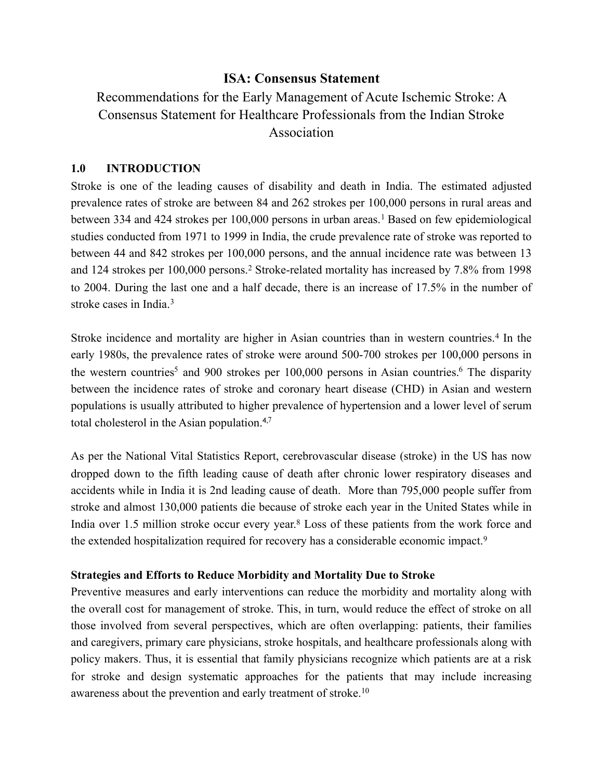# <span id="page-0-5"></span><span id="page-0-3"></span><span id="page-0-0"></span>**ISA: Consensus Statement**

Recommendations for the Early Management of Acute Ischemic Stroke: A Consensus Statement for Healthcare Professionals from the Indian Stroke Association

# **1.0 INTRODUCTION**

Stroke is one of the leading causes of disability and death in India. The estimated adjusted prevalence rates of stroke are between 84 and 262 strokes per 100,000 persons in rural areas and between334 and 424 strokes per [1](#page-31-0)00,000 persons in urban areas.<sup>1</sup> Based on few epidemiological studies conducted from 1971 to 1999 in India, the crude prevalence rate of stroke was reported to between 44 and 842 strokes per 100,000 persons, and the annual incidence rate was between 13 and1[2](#page-31-1)4 strokes per 100,000 persons.<sup>2</sup> Stroke-related mortality has increased by 7.8% from 1998 to 2004. During the last one and a half decade, there is an increase of 17.5% in the number of stroke cases in India.[3](#page-31-2)

<span id="page-0-4"></span><span id="page-0-2"></span><span id="page-0-1"></span>Stroke incidence and mortality are higher in Asian countries than in western countries.<sup>[4](#page-31-3)</sup> In the early 1980s, the prevalence rates of stroke were around 500-700 strokes per 100,000 persons in the we[s](#page-31-4)tern countries<sup>[5](#page-31-4)</sup> and 900 strokes per  $100,000$  persons in Asian countries[.](#page-31-5)<sup>6</sup> The disparity between the incidence rates of stroke and coronary heart disease (CHD) in Asian and western populations is usually attributed to higher prevalence of hypertension and a lower level of serum total cholesterol in the Asian population.4[,7](#page-31-6)

<span id="page-0-6"></span>As per the National Vital Statistics Report, cerebrovascular disease (stroke) in the US has now dropped down to the fifth leading cause of death after chronic lower respiratory diseases and accidents while in India it is 2nd leading cause of death. More than 795,000 people suffer from stroke and almost 130,000 patients die because of stroke each year in the United States while in India over 1[.](#page-31-7)5 million stroke occur every year.<sup>[8](#page-31-7)</sup> Loss of these patients from the work force and the extended hospitalization required for recovery has a considerable economic impact.[9](#page-31-8)

# <span id="page-0-8"></span><span id="page-0-7"></span>**Strategies and Efforts to Reduce Morbidity and Mortality Due to Stroke**

<span id="page-0-9"></span>Preventive measures and early interventions can reduce the morbidity and mortality along with the overall cost for management of stroke. This, in turn, would reduce the effect of stroke on all those involved from several perspectives, which are often overlapping: patients, their families and caregivers, primary care physicians, stroke hospitals, and healthcare professionals along with policy makers. Thus, it is essential that family physicians recognize which patients are at a risk for stroke and design systematic approaches for the patients that may include increasing awareness about the prevention and early treatment of stroke.<sup>[10](#page-31-9)</sup>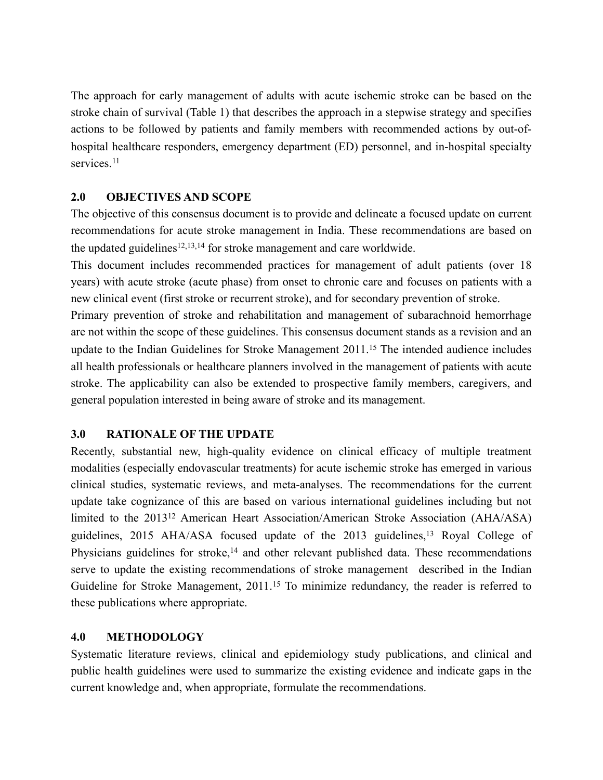The approach for early management of adults with acute ischemic stroke can be based on the stroke chain of survival (Table 1) that describes the approach in a stepwise strategy and specifies actions to be followed by patients and family members with recommended actions by out-ofhospital healthcare responders, emergency department (ED) personnel, and in-hospital specialty services.<sup>[11](#page-31-10)</sup>

# <span id="page-1-0"></span>**2.0 OBJECTIVES AND SCOPE**

The objective of this consensus document is to provide and delineate a focused update on current recommendations for acute stroke management in India. These recommendations are based on theupdated guidelines<sup>[12](#page-32-0),[13](#page-32-1),14</sup> for stroke management and care worldwide.

<span id="page-1-3"></span><span id="page-1-2"></span><span id="page-1-1"></span>This document includes recommended practices for management of adult patients (over 18 years) with acute stroke (acute phase) from onset to chronic care and focuses on patients with a new clinical event (first stroke or recurrent stroke), and for secondary prevention of stroke.

Primary prevention of stroke and rehabilitation and management of subarachnoid hemorrhage are not within the scope of these guidelines. This consensus document stands as a revision and an update to the Indian Guidelines for Stroke Management 2011.15 The intended audience includes all health professionals or healthcare planners involved in the management of patients with acute stroke. The applicability can also be extended to prospective family members, caregivers, and general population interested in being aware of stroke and its management.

# **3.0 RATIONALE OF THE UPDATE**

Recently, substantial new, high-quality evidence on clinical efficacy of multiple treatment modalities (especially endovascular treatments) for acute ischemic stroke has emerged in various clinical studies, systematic reviews, and meta-analyses. The recommendations for the current update take cognizance of this are based on various international guidelines including but not limited to the 201312 American Heart Association/American Stroke Association (AHA/ASA) guidelines, 2015 AHA/ASA focused update of the 2013 guidelines,<sup>13</sup> Royal College of Physicians guidelines for stroke, $14$  and other relevant published data. These recommendations serve to update the existing recommendations of stroke management described in the Indian Guidelinefor Stroke Management, 2011.<sup>[15](#page-32-3)</sup> To minimize redundancy, the reader is referred to these publications where appropriate.

#### <span id="page-1-4"></span>**4.0 METHODOLOGY**

Systematic literature reviews, clinical and epidemiology study publications, and clinical and public health guidelines were used to summarize the existing evidence and indicate gaps in the current knowledge and, when appropriate, formulate the recommendations.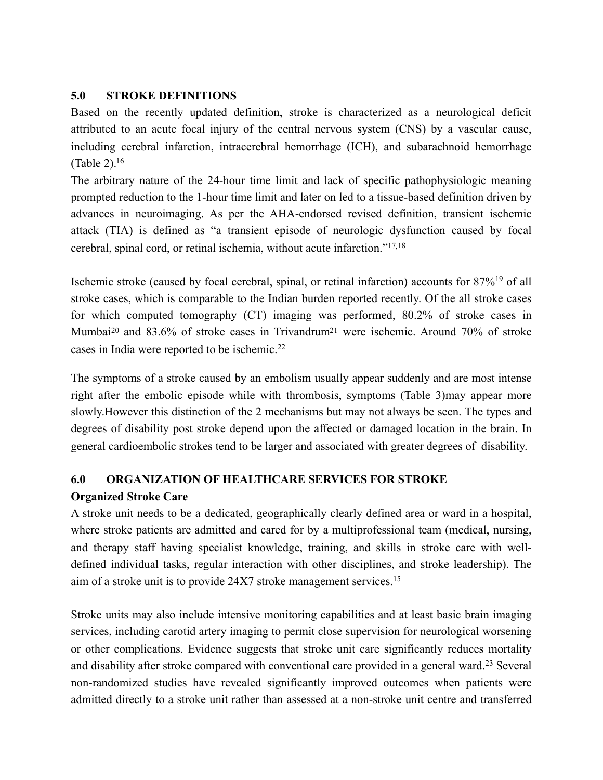# **5.0 STROKE DEFINITIONS**

Based on the recently updated definition, stroke is characterized as a neurological deficit attributed to an acute focal injury of the central nervous system (CNS) by a vascular cause, including cerebral infarction, intracerebral hemorrhage (ICH), and subarachnoid hemorrhage (Table 2)[.16](#page-32-4)

<span id="page-2-0"></span>The arbitrary nature of the 24-hour time limit and lack of specific pathophysiologic meaning prompted reduction to the 1-hour time limit and later on led to a tissue-based definition driven by advances in neuroimaging. As per the AHA-endorsed revised definition, transient ischemic attack (TIA) is defined as "a transient episode of neurologic dysfunction caused by focal cerebral, spinal cord, or retinal ischemia, without acute infarction."[17,](#page-32-5)[18](#page-32-6)

<span id="page-2-3"></span><span id="page-2-2"></span><span id="page-2-1"></span>Ischemicstroke (caused by focal cerebral, spinal, or retinal infarction) accounts for 87%<sup>[19](#page-32-7)</sup> of all stroke cases, which is comparable to the Indian burden reported recently. Of the all stroke cases for which computed tomography (CT) imaging was performed, 80.2% of stroke cases in Mumbai<sup>20</sup>and 83.6% of stroke cases in Trivandru[m](#page-32-9)<sup>21</sup> were ischemic. Around 70% of stroke cases in India were reported to be ischemic.[22](#page-33-0)

<span id="page-2-6"></span><span id="page-2-5"></span><span id="page-2-4"></span>The symptoms of a stroke caused by an embolism usually appear suddenly and are most intense right after the embolic episode while with thrombosis, symptoms (Table 3)may appear more slowly.However this distinction of the 2 mechanisms but may not always be seen. The types and degrees of disability post stroke depend upon the affected or damaged location in the brain. In general cardioembolic strokes tend to be larger and associated with greater degrees of disability.

# **6.0 ORGANIZATION OF HEALTHCARE SERVICES FOR STROKE Organized Stroke Care**

A stroke unit needs to be a dedicated, geographically clearly defined area or ward in a hospital, where stroke patients are admitted and cared for by a multiprofessional team (medical, nursing, and therapy staff having specialist knowledge, training, and skills in stroke care with welldefined individual tasks, regular interaction with other disciplines, and stroke leadership). The aim of a stroke unit is to provide 24X7 stroke management services.15

<span id="page-2-7"></span>Stroke units may also include intensive monitoring capabilities and at least basic brain imaging services, including carotid artery imaging to permit close supervision for neurological worsening or other complications. Evidence suggests that stroke unit care significantly reduces mortality anddisability after stroke compared with conventional care provided in a general ward.<sup>[23](#page-33-1)</sup> Several non-randomized studies have revealed significantly improved outcomes when patients were admitted directly to a stroke unit rather than assessed at a non-stroke unit centre and transferred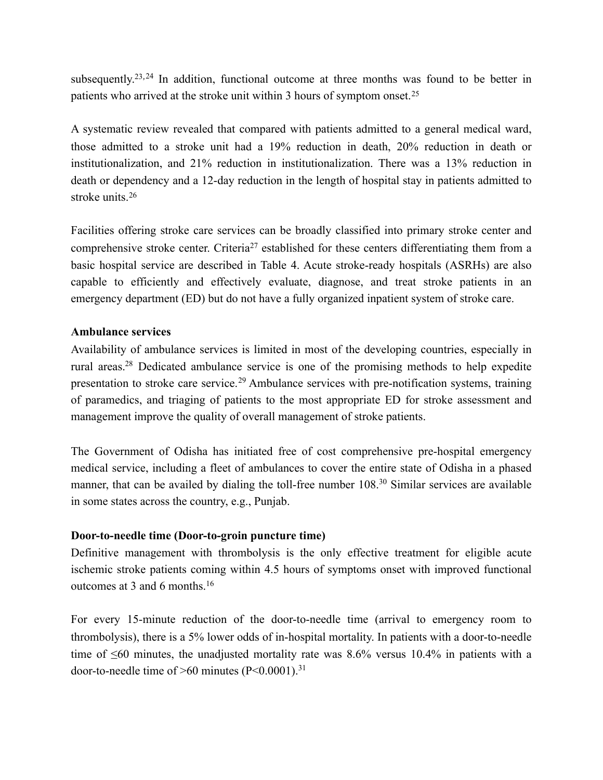<span id="page-3-1"></span><span id="page-3-0"></span>subsequently.<sup>23,[24](#page-33-2)</sup> In addition, functional outcome at three months was found to be better in patients who arrived at the stroke unit within 3 hours of symptom onset.[25](#page-33-3)

A systematic review revealed that compared with patients admitted to a general medical ward, those admitted to a stroke unit had a 19% reduction in death, 20% reduction in death or institutionalization, and 21% reduction in institutionalization. There was a 13% reduction in death or dependency and a 12-day reduction in the length of hospital stay in patients admitted to stroke units.<sup>[26](#page-33-4)</sup>

<span id="page-3-3"></span><span id="page-3-2"></span>Facilities offering stroke care services can be broadly classified into primary stroke center and comprehensivestroke center. Criteria<sup>[27](#page-33-5)</sup> established for these centers differentiating them from a basic hospital service are described in Table 4. Acute stroke-ready hospitals (ASRHs) are also capable to efficiently and effectively evaluate, diagnose, and treat stroke patients in an emergency department (ED) but do not have a fully organized inpatient system of stroke care.

#### **Ambulance services**

<span id="page-3-5"></span><span id="page-3-4"></span>Availability of ambulance services is limited in most of the developing countries, especially in rural areas[.](#page-33-6)<sup>[28](#page-33-6)</sup> Dedicated ambulance service is one of the promising methods to help expedite presentationto stroke care service.<sup>[29](#page-33-7)</sup> Ambulance services with pre-notification systems, training of paramedics, and triaging of patients to the most appropriate ED for stroke assessment and management improve the quality of overall management of stroke patients.

<span id="page-3-6"></span>The Government of Odisha has initiated free of cost comprehensive pre-hospital emergency medical service, including a fleet of ambulances to cover the entire state of Odisha in a phased manner, that can be availed by dialing the toll-free number  $108<sup>30</sup>$  $108<sup>30</sup>$  $108<sup>30</sup>$  Similar services are available in some states across the country, e.g., Punjab.

# **Door-to-needle time (Door-to-groin puncture time)**

Definitive management with thrombolysis is the only effective treatment for eligible acute ischemic stroke patients coming within 4.5 hours of symptoms onset with improved functional outcomes at 3 and 6 months.16

<span id="page-3-7"></span>For every 15-minute reduction of the door-to-needle time (arrival to emergency room to thrombolysis), there is a 5% lower odds of in-hospital mortality. In patients with a door-to-needle time of ≤60 minutes, the unadjusted mortality rate was 8.6% versus 10.4% in patients with a door-to-needle time of  $>60$  minutes (P<0.0001).<sup>[31](#page-33-9)</sup>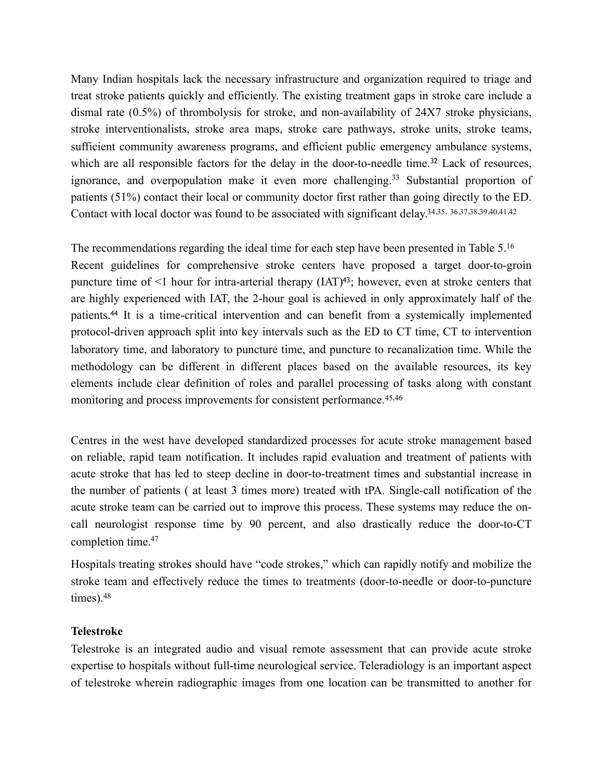<span id="page-4-0"></span>Many Indian hospitals lack the necessary infrastructure and organization required to triage and treat stroke patients quickly and efficiently. The existing treatment gaps in stroke care include a dismal rate (0.5%) of thrombolysis for stroke, and non-availability of 24X7 stroke physicians, stroke interventionalists, stroke area maps, stroke care pathways, stroke units, stroke teams, sufficient community awareness programs, and efficient public emergency ambulance systems, whichare all responsible factors for the delay in the door-to-needle time.<sup>32</sup> Lack of resources, ignorance,and overpopulation make it even more challenging.<sup>[33](#page-33-11)</sup> Substantial proportion of patients (51%) contact their local or community doctor first rather than going directly to the ED. Contact with local doctor was found to be associated with significant delay[.34](#page-33-12)[,35](#page-34-0), [36](#page-34-1)[,37](#page-34-2)[,38](#page-34-3)[,39](#page-34-4)[,40](#page-34-5)[,41](#page-34-6)[,42](#page-34-7)

<span id="page-4-12"></span><span id="page-4-11"></span><span id="page-4-10"></span><span id="page-4-9"></span><span id="page-4-8"></span><span id="page-4-7"></span><span id="page-4-6"></span><span id="page-4-5"></span><span id="page-4-4"></span><span id="page-4-3"></span><span id="page-4-2"></span><span id="page-4-1"></span>The recommendations regarding the ideal time for each step have been presented in Table 5.16 Recent guidelines for comprehensive stroke centers have proposed a target door-to-groin puncture time of  $\leq 1$  hour for intra-arterial therapy (IAT)<sup>[43](#page-34-8)</sup>; however, even at stroke centers that are highly experienced with IAT, the 2-hour goal is achieved in only approximately half of the patients[.](#page-34-9)<sup>44</sup> It is a time-critical intervention and can benefit from a systemically implemented protocol-driven approach split into key intervals such as the ED to CT time, CT to intervention laboratory time, and laboratory to puncture time, and puncture to recanalization time. While the methodology can be different in different places based on the available resources, its key elements include clear definition of roles and parallel processing of tasks along with constant monitoring and process improvements for consistent performance.<sup>[45,](#page-34-10)[46](#page-34-11)</sup>

<span id="page-4-14"></span><span id="page-4-13"></span>Centres in the west have developed standardized processes for acute stroke management based on reliable, rapid team notification. It includes rapid evaluation and treatment of patients with acute stroke that has led to steep decline in door-to-treatment times and substantial increase in the number of patients ( at least 3 times more) treated with tPA. Single-call notification of the acute stroke team can be carried out to improve this process. These systems may reduce the oncall neurologist response time by 90 percent, and also drastically reduce the door-to-CT completion time[.47](#page-35-0)

<span id="page-4-16"></span><span id="page-4-15"></span>Hospitals treating strokes should have "code strokes," which can rapidly notify and mobilize the stroke team and effectively reduce the times to treatments (door-to-needle or door-to-puncture times).[48](#page-35-1)

#### **Telestroke**

Telestroke is an integrated audio and visual remote assessment that can provide acute stroke expertise to hospitals without full-time neurological service. Teleradiology is an important aspect of telestroke wherein radiographic images from one location can be transmitted to another for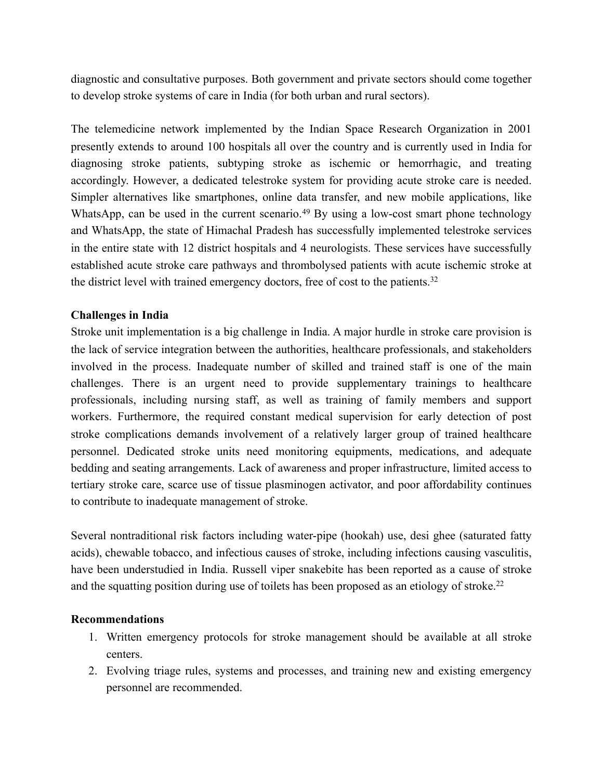diagnostic and consultative purposes. Both government and private sectors should come together to develop stroke systems of care in India (for both urban and rural sectors).

<span id="page-5-0"></span>The telemedicine network implemented by the Indian Space Research Organization in 2001 presently extends to around 100 hospitals all over the country and is currently used in India for diagnosing stroke patients, subtyping stroke as ischemic or hemorrhagic, and treating accordingly. However, a dedicated telestroke system for providing acute stroke care is needed. Simpler alternatives like smartphones, online data transfer, and new mobile applications, like WhatsApp,can be used in the current scenario.<sup>[49](#page-35-2)</sup> By using a low-cost smart phone technology and WhatsApp, the state of Himachal Pradesh has successfully implemented telestroke services in the entire state with 12 district hospitals and 4 neurologists. These services have successfully established acute stroke care pathways and thrombolysed patients with acute ischemic stroke at the district level with trained emergency doctors, free of cost to the patients.32

#### **Challenges in India**

Stroke unit implementation is a big challenge in India. A major hurdle in stroke care provision is the lack of service integration between the authorities, healthcare professionals, and stakeholders involved in the process. Inadequate number of skilled and trained staff is one of the main challenges. There is an urgent need to provide supplementary trainings to healthcare professionals, including nursing staff, as well as training of family members and support workers. Furthermore, the required constant medical supervision for early detection of post stroke complications demands involvement of a relatively larger group of trained healthcare personnel. Dedicated stroke units need monitoring equipments, medications, and adequate bedding and seating arrangements. Lack of awareness and proper infrastructure, limited access to tertiary stroke care, scarce use of tissue plasminogen activator, and poor affordability continues to contribute to inadequate management of stroke.

Several nontraditional risk factors including water-pipe (hookah) use, desi ghee (saturated fatty acids), chewable tobacco, and infectious causes of stroke, including infections causing vasculitis, have been understudied in India. Russell viper snakebite has been reported as a cause of stroke and the squatting position during use of toilets has been proposed as an etiology of stroke.<sup>22</sup>

#### **Recommendations**

- 1. Written emergency protocols for stroke management should be available at all stroke centers.
- 2. Evolving triage rules, systems and processes, and training new and existing emergency personnel are recommended.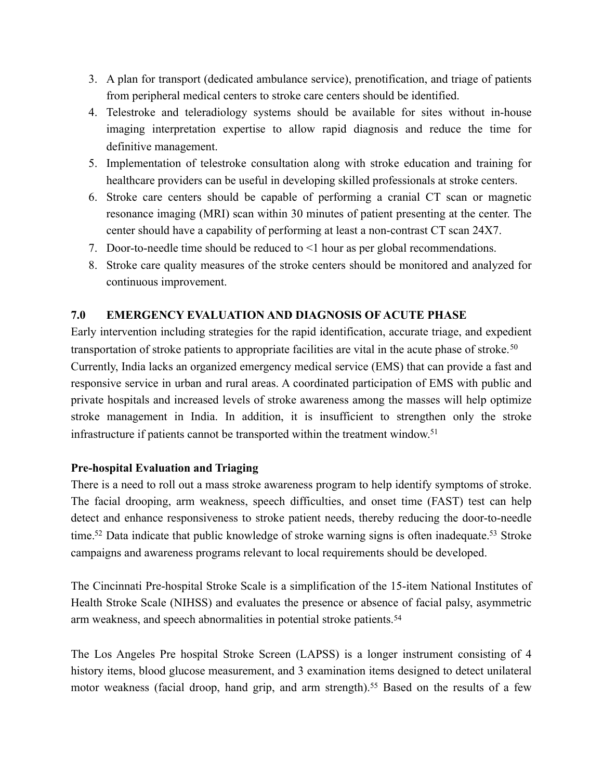- 3. A plan for transport (dedicated ambulance service), prenotification, and triage of patients from peripheral medical centers to stroke care centers should be identified.
- 4. Telestroke and teleradiology systems should be available for sites without in-house imaging interpretation expertise to allow rapid diagnosis and reduce the time for definitive management.
- 5. Implementation of telestroke consultation along with stroke education and training for healthcare providers can be useful in developing skilled professionals at stroke centers.
- 6. Stroke care centers should be capable of performing a cranial CT scan or magnetic resonance imaging (MRI) scan within 30 minutes of patient presenting at the center. The center should have a capability of performing at least a non-contrast CT scan 24X7.
- 7. Door-to-needle time should be reduced to <1 hour as per global recommendations.
- <span id="page-6-0"></span>8. Stroke care quality measures of the stroke centers should be monitored and analyzed for continuous improvement.

# **7.0 EMERGENCY EVALUATION AND DIAGNOSIS OF ACUTE PHASE**

Early intervention including strategies for the rapid identification, accurate triage, and expedient transportation of stroke patients to appropriate facilities are vital in the acute phase of stroke.[50](#page-35-3) Currently, India lacks an organized emergency medical service (EMS) that can provide a fast and responsive service in urban and rural areas. A coordinated participation of EMS with public and private hospitals and increased levels of stroke awareness among the masses will help optimize stroke management in India. In addition, it is insufficient to strengthen only the stroke infrastructure if patients cannot be transported within the treatment window.<sup>51</sup>

# <span id="page-6-1"></span>**Pre-hospital Evaluation and Triaging**

<span id="page-6-3"></span><span id="page-6-2"></span>There is a need to roll out a mass stroke awareness program to help identify symptoms of stroke. The facial drooping, arm weakness, speech difficulties, and onset time (FAST) test can help detect and enhance responsiveness to stroke patient needs, thereby reducing the door-to-needle time[.](#page-35-6)<sup>[52](#page-35-5)</sup> Data indicate that public knowledge of stroke warning signs is often inadequate.<sup>53</sup> Stroke campaigns and awareness programs relevant to local requirements should be developed.

<span id="page-6-4"></span>The Cincinnati Pre-hospital Stroke Scale is a simplification of the 15-item National Institutes of Health Stroke Scale (NIHSS) and evaluates the presence or absence of facial palsy, asymmetric arm weakness, and speech abnormalities in potential stroke patients.[54](#page-35-7)

<span id="page-6-5"></span>The Los Angeles Pre hospital Stroke Screen (LAPSS) is a longer instrument consisting of 4 history items, blood glucose measurement, and 3 examination items designed to detect unilateral motor weakness (facial droop, hand grip, and arm strength).<sup>[55](#page-35-8)</sup> Based on the results of a few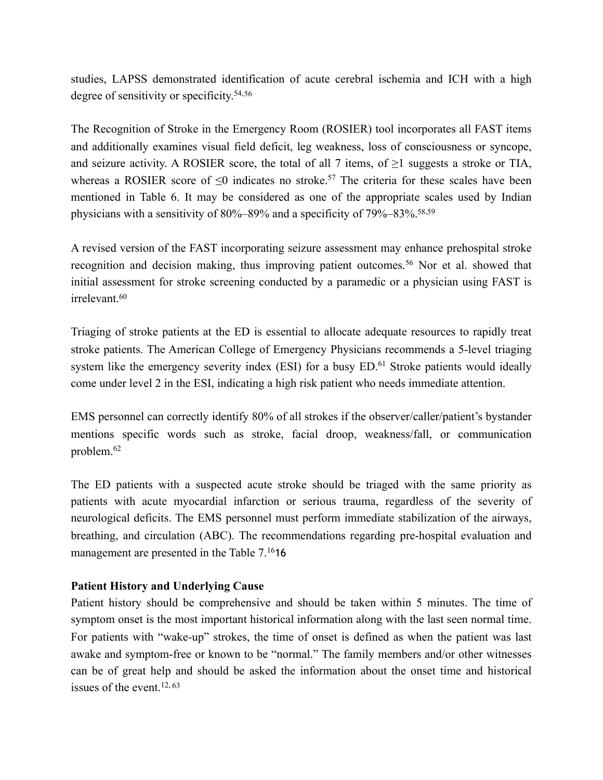<span id="page-7-0"></span>studies, LAPSS demonstrated identification of acute cerebral ischemia and ICH with a high degree of sensitivity or specificity.54,[56](#page-35-9)

<span id="page-7-1"></span>The Recognition of Stroke in the Emergency Room (ROSIER) tool incorporates all FAST items and additionally examines visual field deficit, leg weakness, loss of consciousness or syncope, and seizure activity. A ROSIER score, the total of all 7 items, of  $\geq 1$  suggests a stroke or TIA, whereas a ROSIER score of  $\leq 0$  indicates no stroke[.](#page-35-10)<sup>[57](#page-35-10)</sup> The criteria for these scales have been mentioned in Table 6. It may be considered as one of the appropriate scales used by Indian physicians with a sensitivity of 80%–89% and a specificity of 79%–83%[.58](#page-35-11)[,59](#page-36-0)

<span id="page-7-3"></span><span id="page-7-2"></span>A revised version of the FAST incorporating seizure assessment may enhance prehospital stroke recognition and decision making, thus improving patient outcomes.<sup>56</sup> Nor et al. showed that initial assessment for stroke screening conducted by a paramedic or a physician using FAST is irrelevant.[60](#page-36-1)

<span id="page-7-5"></span><span id="page-7-4"></span>Triaging of stroke patients at the ED is essential to allocate adequate resources to rapidly treat stroke patients. The American College of Emergency Physicians recommends a 5-level triaging systemlike the emergency severity index (ESI) for a busy  $ED<sup>61</sup>$  $ED<sup>61</sup>$  $ED<sup>61</sup>$  Stroke patients would ideally come under level 2 in the ESI, indicating a high risk patient who needs immediate attention.

<span id="page-7-6"></span>EMS personnel can correctly identify 80% of all strokes if the observer/caller/patient's bystander mentions specific words such as stroke, facial droop, weakness/fall, or communication problem.[62](#page-36-3)

The ED patients with a suspected acute stroke should be triaged with the same priority as patients with acute myocardial infarction or serious trauma, regardless of the severity of neurological deficits. The EMS personnel must perform immediate stabilization of the airways, breathing, and circulation (ABC). The recommendations regarding pre-hospital evaluation and management are presented in the Table 7.<sup>16</sup>16

# **Patient History and Underlying Cause**

<span id="page-7-7"></span>Patient history should be comprehensive and should be taken within 5 minutes. The time of symptom onset is the most important historical information along with the last seen normal time. For patients with "wake-up" strokes, the time of onset is defined as when the patient was last awake and symptom-free or known to be "normal." The family members and/or other witnesses can be of great help and should be asked the information about the onset time and historical issues of the event.12, [63](#page-36-4)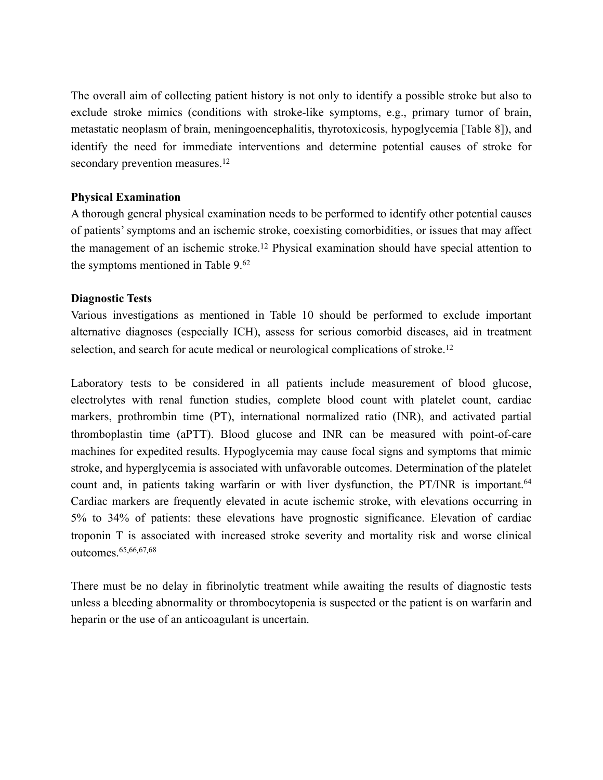The overall aim of collecting patient history is not only to identify a possible stroke but also to exclude stroke mimics (conditions with stroke-like symptoms, e.g., primary tumor of brain, metastatic neoplasm of brain, meningoencephalitis, thyrotoxicosis, hypoglycemia [Table 8]), and identify the need for immediate interventions and determine potential causes of stroke for secondary prevention measures.<sup>12</sup>

#### **Physical Examination**

A thorough general physical examination needs to be performed to identify other potential causes of patients' symptoms and an ischemic stroke, coexisting comorbidities, or issues that may affect the management of an ischemic stroke.12 Physical examination should have special attention to the symptoms mentioned in Table 9.62

#### **Diagnostic Tests**

Various investigations as mentioned in Table 10 should be performed to exclude important alternative diagnoses (especially ICH), assess for serious comorbid diseases, aid in treatment selection, and search for acute medical or neurological complications of stroke.<sup>12</sup>

<span id="page-8-0"></span>Laboratory tests to be considered in all patients include measurement of blood glucose, electrolytes with renal function studies, complete blood count with platelet count, cardiac markers, prothrombin time (PT), international normalized ratio (INR), and activated partial thromboplastin time (aPTT). Blood glucose and INR can be measured with point-of-care machines for expedited results. Hypoglycemia may cause focal signs and symptoms that mimic stroke, and hyperglycemia is associated with unfavorable outcomes. Determination of the platelet count and, in patients taking warfarin or with liver dysfunction, the PT/INR is important.<sup>[64](#page-36-5)</sup> Cardiac markers are frequently elevated in acute ischemic stroke, with elevations occurring in 5% to 34% of patients: these elevations have prognostic significance. Elevation of cardiac troponin T is associated with increased stroke severity and mortality risk and worse clinical outcomes.[65,](#page-36-6)[66,](#page-36-7)[67,](#page-36-8)[68](#page-36-9)

<span id="page-8-4"></span><span id="page-8-3"></span><span id="page-8-2"></span><span id="page-8-1"></span>There must be no delay in fibrinolytic treatment while awaiting the results of diagnostic tests unless a bleeding abnormality or thrombocytopenia is suspected or the patient is on warfarin and heparin or the use of an anticoagulant is uncertain.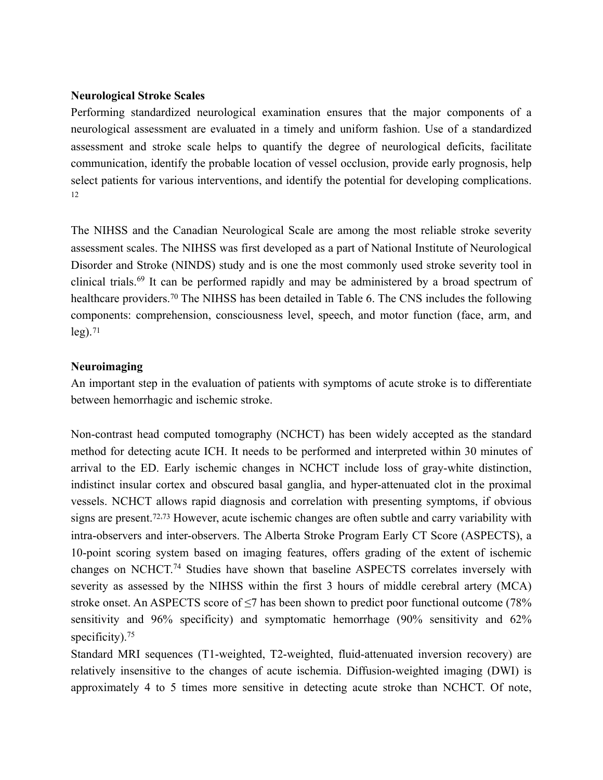#### **Neurological Stroke Scales**

Performing standardized neurological examination ensures that the major components of a neurological assessment are evaluated in a timely and uniform fashion. Use of a standardized assessment and stroke scale helps to quantify the degree of neurological deficits, facilitate communication, identify the probable location of vessel occlusion, provide early prognosis, help select patients for various interventions, and identify the potential for developing complications. 12

<span id="page-9-1"></span><span id="page-9-0"></span>The NIHSS and the Canadian Neurological Scale are among the most reliable stroke severity assessment scales. The NIHSS was first developed as a part of National Institute of Neurological Disorder and Stroke (NINDS) study and is one the most commonly used stroke severity tool in clinicaltrials.<sup>[69](#page-36-10)</sup> It can be performed rapidly and may be administered by a broad spectrum of healthcareproviders.<sup>[70](#page-36-11)</sup> The NIHSS has been detailed in Table 6. The CNS includes the following components: comprehension, consciousness level, speech, and motor function (face, arm, and  $leg)$ .<sup>[71](#page-36-12)</sup>

# <span id="page-9-2"></span>**Neuroimaging**

An important step in the evaluation of patients with symptoms of acute stroke is to differentiate between hemorrhagic and ischemic stroke.

<span id="page-9-4"></span><span id="page-9-3"></span>Non-contrast head computed tomography (NCHCT) has been widely accepted as the standard method for detecting acute ICH. It needs to be performed and interpreted within 30 minutes of arrival to the ED. Early ischemic changes in NCHCT include loss of gray-white distinction, indistinct insular cortex and obscured basal ganglia, and hyper-attenuated clot in the proximal vessels. NCHCT allows rapid diagnosis and correlation with presenting symptoms, if obvious signs are present.<sup> $72,73$  $72,73$  $72,73$ </sup> However, acute ischemic changes are often subtle and carry variability with intra-observers and inter-observers. The Alberta Stroke Program Early CT Score (ASPECTS), a 10-point scoring system based on imaging features, offers grading of the extent of ischemic changeson NCHCT.<sup>[74](#page-37-2)</sup> Studies have shown that baseline ASPECTS correlates inversely with severity as assessed by the NIHSS within the first 3 hours of middle cerebral artery (MCA) stroke onset. An ASPECTS score of <7 has been shown to predict poor functional outcome (78%) sensitivity and 96% specificity) and symptomatic hemorrhage (90% sensitivity and 62% specificity).<sup>[75](#page-37-3)</sup>

<span id="page-9-6"></span><span id="page-9-5"></span>Standard MRI sequences (T1-weighted, T2-weighted, fluid-attenuated inversion recovery) are relatively insensitive to the changes of acute ischemia. Diffusion-weighted imaging (DWI) is approximately 4 to 5 times more sensitive in detecting acute stroke than NCHCT. Of note,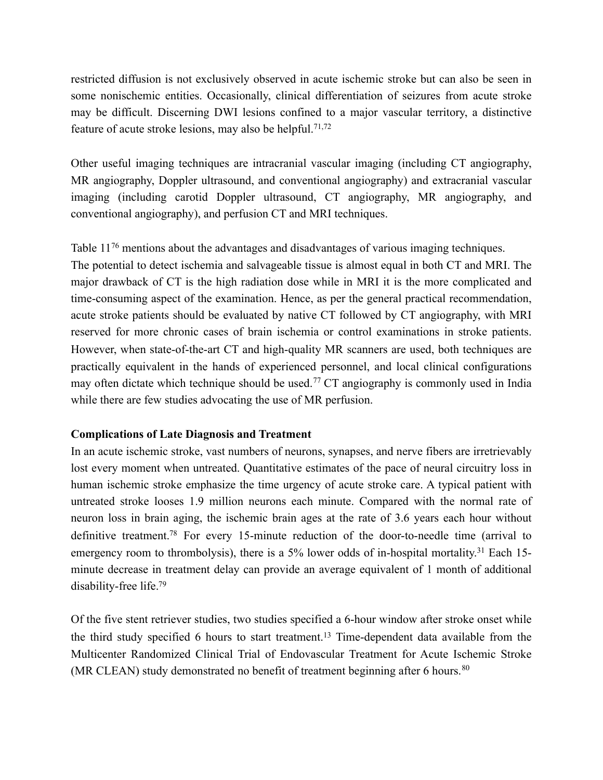restricted diffusion is not exclusively observed in acute ischemic stroke but can also be seen in some nonischemic entities. Occasionally, clinical differentiation of seizures from acute stroke may be difficult. Discerning DWI lesions confined to a major vascular territory, a distinctive feature of acute stroke lesions, may also be helpful.<sup>71,72</sup>

Other useful imaging techniques are intracranial vascular imaging (including CT angiography, MR angiography, Doppler ultrasound, and conventional angiography) and extracranial vascular imaging (including carotid Doppler ultrasound, CT angiography, MR angiography, and conventional angiography), and perfusion CT and MRI techniques.

<span id="page-10-0"></span>Table  $11^{76}$  $11^{76}$  mentions about the advantages and disadvantages of various imaging techniques.

The potential to detect ischemia and salvageable tissue is almost equal in both CT and MRI. The major drawback of CT is the high radiation dose while in MRI it is the more complicated and time-consuming aspect of the examination. Hence, as per the general practical recommendation, acute stroke patients should be evaluated by native CT followed by CT angiography, with MRI reserved for more chronic cases of brain ischemia or control examinations in stroke patients. However, when state-of-the-art CT and high-quality MR scanners are used, both techniques are practically equivalent in the hands of experienced personnel, and local clinical configurations mayoften dictate which technique should be used.<sup>[77](#page-37-5)</sup> CT angiography is commonly used in India while there are few studies advocating the use of MR perfusion.

#### <span id="page-10-1"></span>**Complications of Late Diagnosis and Treatment**

<span id="page-10-2"></span>In an acute ischemic stroke, vast numbers of neurons, synapses, and nerve fibers are irretrievably lost every moment when untreated. Quantitative estimates of the pace of neural circuitry loss in human ischemic stroke emphasize the time urgency of acute stroke care. A typical patient with untreated stroke looses 1.9 million neurons each minute. Compared with the normal rate of neuron loss in brain aging, the ischemic brain ages at the rate of 3.6 years each hour without definitive treatment[.](#page-37-6)<sup>[78](#page-37-6)</sup> For every 15-minute reduction of the door-to-needle time (arrival to emergency room to thrombolysis), there is a 5% lower odds of in-hospital mortality.<sup>31</sup> Each 15minute decrease in treatment delay can provide an average equivalent of 1 month of additional disability-free life[.79](#page-37-7)

<span id="page-10-4"></span><span id="page-10-3"></span>Of the five stent retriever studies, two studies specified a 6-hour window after stroke onset while the third study specified 6 hours to start treatment.13 Time-dependent data available from the Multicenter Randomized Clinical Trial of Endovascular Treatment for Acute Ischemic Stroke (MR CLEAN) study demonstrated no benefit of treatment beginning after 6 hours.  $80$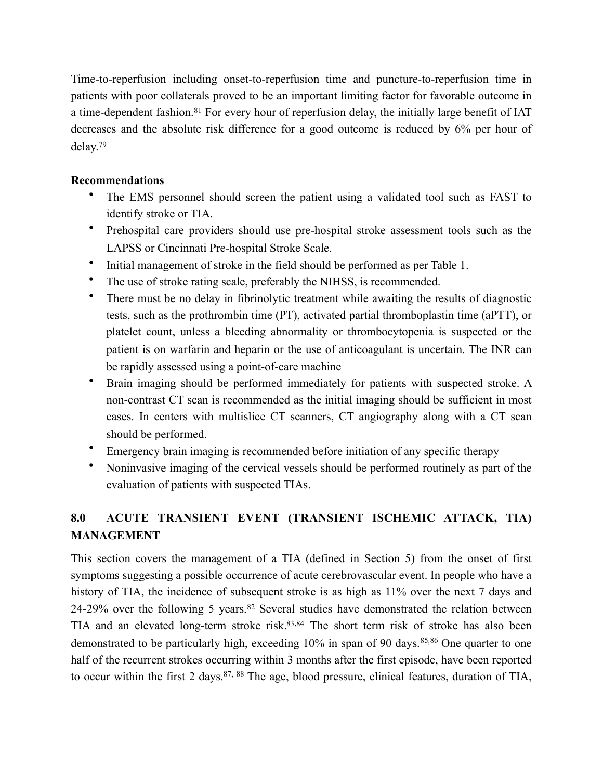<span id="page-11-0"></span>Time-to-reperfusion including onset-to-reperfusion time and puncture-to-reperfusion time in patients with poor collaterals proved to be an important limiting factor for favorable outcome in a time-dependent fashion.<sup>[81](#page-37-9)</sup> For every hour of reperfusion delay, the initially large benefit of IAT decreases and the absolute risk difference for a good outcome is reduced by 6% per hour of delay.79

# **Recommendations**

- The EMS personnel should screen the patient using a validated tool such as FAST to identify stroke or TIA.
- Prehospital care providers should use pre-hospital stroke assessment tools such as the LAPSS or Cincinnati Pre-hospital Stroke Scale.
- Initial management of stroke in the field should be performed as per Table 1.
- The use of stroke rating scale, preferably the NIHSS, is recommended.
- There must be no delay in fibrinolytic treatment while awaiting the results of diagnostic tests, such as the prothrombin time (PT), activated partial thromboplastin time (aPTT), or platelet count, unless a bleeding abnormality or thrombocytopenia is suspected or the patient is on warfarin and heparin or the use of anticoagulant is uncertain. The INR can be rapidly assessed using a point-of-care machine
- Brain imaging should be performed immediately for patients with suspected stroke. A non-contrast CT scan is recommended as the initial imaging should be sufficient in most cases. In centers with multislice CT scanners, CT angiography along with a CT scan should be performed.
- Emergency brain imaging is recommended before initiation of any specific therapy
- Noninvasive imaging of the cervical vessels should be performed routinely as part of the evaluation of patients with suspected TIAs.

# **8.0 ACUTE TRANSIENT EVENT (TRANSIENT ISCHEMIC ATTACK, TIA) MANAGEMENT**

<span id="page-11-7"></span><span id="page-11-6"></span><span id="page-11-5"></span><span id="page-11-4"></span><span id="page-11-3"></span><span id="page-11-2"></span><span id="page-11-1"></span>This section covers the management of a TIA (defined in Section 5) from the onset of first symptoms suggesting a possible occurrence of acute cerebrovascular event. In people who have a history of TIA, the incidence of subsequent stroke is as high as 11% over the next 7 days and 24-29%over the following 5 years.  $82$  Several studies have demonstrated the relation between TIA and an elevated long-term stroke risk. 83[,](#page-38-1)84 The short term risk of stroke has also been demonstrated to be particularly high[,](#page-38-2)exceeding  $10\%$  in span of 90 days.  $85,86$  $85,86$  One quarter to one half of the recurrent strokes occurring within 3 months after the first episode, have been reported to occur within the first 2 days.  $87, 88$  $87, 88$  $87, 88$  The age, blood pressure, clinical features, duration of TIA,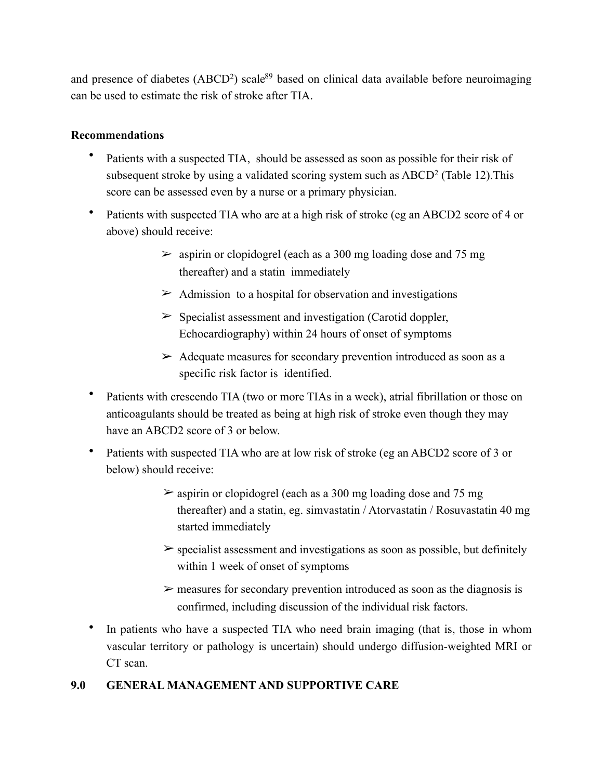and pr[e](#page-38-6)sence of diabetes (ABCD<sup>2</sup>) scale<sup>[89](#page-38-6)</sup> based on clinical data available before neuroimaging can be used to estimate the risk of stroke after TIA.

# **Recommendations**

- <span id="page-12-0"></span>Patients with a suspected TIA, should be assessed as soon as possible for their risk of subsequent stroke by using a validated scoring system such as ABCD2 (Table 12).This score can be assessed even by a nurse or a primary physician.
- Patients with suspected TIA who are at a high risk of stroke (eg an ABCD2 score of 4 or above) should receive:
	- $\geq$  aspirin or clopidogrel (each as a 300 mg loading dose and 75 mg) thereafter) and a statin immediately
	- $\triangleright$  Admission to a hospital for observation and investigations
	- $\triangleright$  Specialist assessment and investigation (Carotid doppler, Echocardiography) within 24 hours of onset of symptoms
	- $\triangleright$  Adequate measures for secondary prevention introduced as soon as a specific risk factor is identified.
- Patients with crescendo TIA (two or more TIAs in a week), atrial fibrillation or those on anticoagulants should be treated as being at high risk of stroke even though they may have an ABCD2 score of 3 or below.
- Patients with suspected TIA who are at low risk of stroke (eg an ABCD2 score of 3 or below) should receive:
	- $\geq$  aspirin or clopidogrel (each as a 300 mg loading dose and 75 mg) thereafter) and a statin, eg. simvastatin / Atorvastatin / Rosuvastatin 40 mg started immediately
	- $\geq$  specialist assessment and investigations as soon as possible, but definitely within 1 week of onset of symptoms
	- $\triangleright$  measures for secondary prevention introduced as soon as the diagnosis is confirmed, including discussion of the individual risk factors.
- In patients who have a suspected TIA who need brain imaging (that is, those in whom vascular territory or pathology is uncertain) should undergo diffusion-weighted MRI or CT scan.

# **9.0 GENERAL MANAGEMENT AND SUPPORTIVE CARE**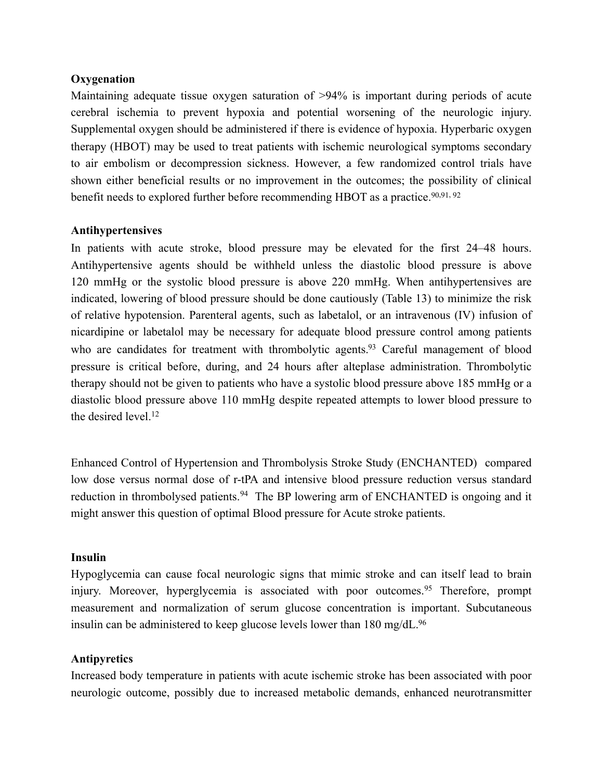#### **Oxygenation**

Maintaining adequate tissue oxygen saturation of >94% is important during periods of acute cerebral ischemia to prevent hypoxia and potential worsening of the neurologic injury. Supplemental oxygen should be administered if there is evidence of hypoxia. Hyperbaric oxygen therapy (HBOT) may be used to treat patients with ischemic neurological symptoms secondary to air embolism or decompression sickness. However, a few randomized control trials have shown either beneficial results or no improvement in the outcomes; the possibility of clinical benefit needs to explored further before recommending HBOT as a practice.<sup>[90,](#page-38-7)[91,](#page-38-8) [92](#page-38-9)</sup>

#### <span id="page-13-2"></span><span id="page-13-1"></span><span id="page-13-0"></span>**Antihypertensives**

<span id="page-13-3"></span>In patients with acute stroke, blood pressure may be elevated for the first 24–48 hours. Antihypertensive agents should be withheld unless the diastolic blood pressure is above 120 mmHg or the systolic blood pressure is above 220 mmHg. When antihypertensives are indicated, lowering of blood pressure should be done cautiously (Table 13) to minimize the risk of relative hypotension. Parenteral agents, such as labetalol, or an intravenous (IV) infusion of nicardipine or labetalol may be necessary for adequate blood pressure control among patients who are candidates for treatment with thrombolytic agents[.](#page-38-10)<sup>[93](#page-38-10)</sup> Careful management of blood pressure is critical before, during, and 24 hours after alteplase administration. Thrombolytic therapy should not be given to patients who have a systolic blood pressure above 185 mmHg or a diastolic blood pressure above 110 mmHg despite repeated attempts to lower blood pressure to the desired level. $12$ 

<span id="page-13-4"></span>Enhanced Control of Hypertension and Thrombolysis Stroke Study (ENCHANTED) compared low dose versus normal dose of r-tPA and intensive blood pressure reduction versus standard reductionin thrombolysed patients.<sup>[94](#page-39-0)</sup> The BP lowering arm of ENCHANTED is ongoing and it might answer this question of optimal Blood pressure for Acute stroke patients.

#### **Insulin**

<span id="page-13-5"></span>Hypoglycemia can cause focal neurologic signs that mimic stroke and can itself lead to brain injury.Moreover, hyperglycemia is associated with poor outcomes.<sup>[95](#page-39-1)</sup> Therefore, prompt measurement and normalization of serum glucose concentration is important. Subcutaneous insulin can be administered to keep glucose levels lower than 180 mg/dL.<sup>96</sup>

# <span id="page-13-6"></span>**Antipyretics**

Increased body temperature in patients with acute ischemic stroke has been associated with poor neurologic outcome, possibly due to increased metabolic demands, enhanced neurotransmitter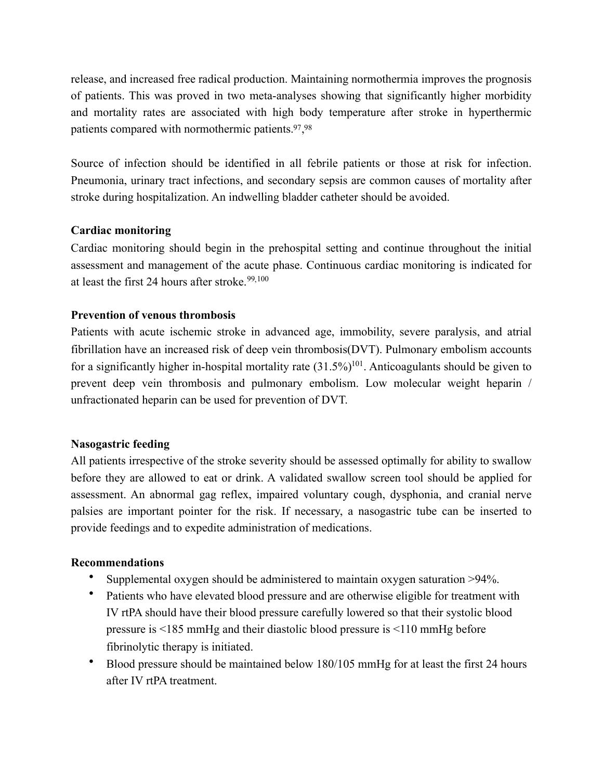release, and increased free radical production. Maintaining normothermia improves the prognosis of patients. This was proved in two meta-analyses showing that significantly higher morbidity and mortality rates are associated with high body temperature after stroke in hyperthermic patients compared with normothermic patients. $\frac{97,98}{ }$  $\frac{97,98}{ }$  $\frac{97,98}{ }$  $\frac{97,98}{ }$  $\frac{97,98}{ }$ 

<span id="page-14-1"></span><span id="page-14-0"></span>Source of infection should be identified in all febrile patients or those at risk for infection. Pneumonia, urinary tract infections, and secondary sepsis are common causes of mortality after stroke during hospitalization. An indwelling bladder catheter should be avoided.

# **Cardiac monitoring**

<span id="page-14-3"></span><span id="page-14-2"></span>Cardiac monitoring should begin in the prehospital setting and continue throughout the initial assessment and management of the acute phase. Continuous cardiac monitoring is indicated for at least the first 24 hours after stroke.<sup>[99,](#page-39-5)[100](#page-39-6)</sup>

# **Prevention of venous thrombosis**

<span id="page-14-4"></span>Patients with acute ischemic stroke in advanced age, immobility, severe paralysis, and atrial fibrillation have an increased risk of deep vein thrombosis(DVT). Pulmonary embolism accounts for a significantly higher in-hospital mortality rate  $(31.5\%)^{101}$  $(31.5\%)^{101}$  $(31.5\%)^{101}$ . Anticoagulants should be given to prevent deep vein thrombosis and pulmonary embolism. Low molecular weight heparin / unfractionated heparin can be used for prevention of DVT.

# **Nasogastric feeding**

All patients irrespective of the stroke severity should be assessed optimally for ability to swallow before they are allowed to eat or drink. A validated swallow screen tool should be applied for assessment. An abnormal gag reflex, impaired voluntary cough, dysphonia, and cranial nerve palsies are important pointer for the risk. If necessary, a nasogastric tube can be inserted to provide feedings and to expedite administration of medications.

# **Recommendations**

- Supplemental oxygen should be administered to maintain oxygen saturation >94%.
- Patients who have elevated blood pressure and are otherwise eligible for treatment with IV rtPA should have their blood pressure carefully lowered so that their systolic blood pressure is <185 mmHg and their diastolic blood pressure is <110 mmHg before fibrinolytic therapy is initiated.
- Blood pressure should be maintained below 180/105 mmHg for at least the first 24 hours after IV rtPA treatment.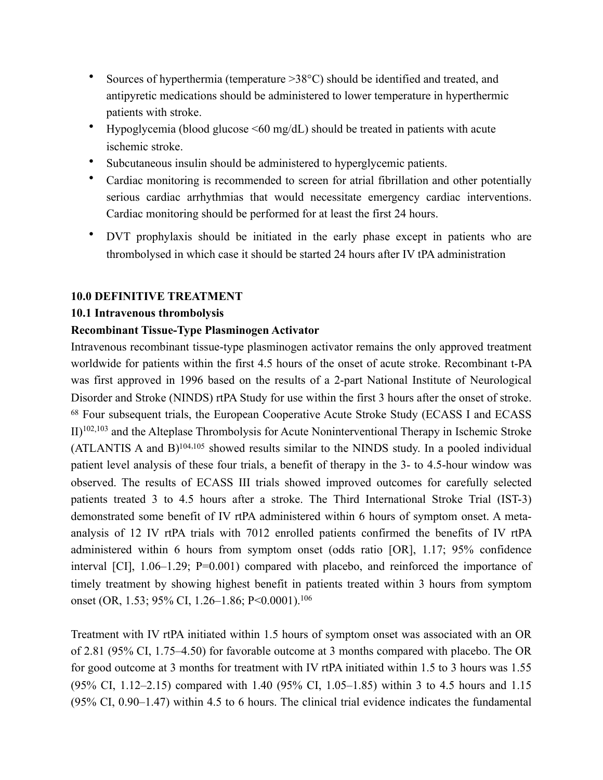- Sources of hyperthermia (temperature >38°C) should be identified and treated, and antipyretic medications should be administered to lower temperature in hyperthermic patients with stroke.
- Hypoglycemia (blood glucose <60 mg/dL) should be treated in patients with acute ischemic stroke.
- Subcutaneous insulin should be administered to hyperglycemic patients.
- Cardiac monitoring is recommended to screen for atrial fibrillation and other potentially serious cardiac arrhythmias that would necessitate emergency cardiac interventions. Cardiac monitoring should be performed for at least the first 24 hours.
- DVT prophylaxis should be initiated in the early phase except in patients who are thrombolysed in which case it should be started 24 hours after IV tPA administration

#### **10.0 DEFINITIVE TREATMENT**

#### **10.1 Intravenous thrombolysis**

#### **Recombinant Tissue-Type Plasminogen Activator**

<span id="page-15-3"></span><span id="page-15-2"></span><span id="page-15-1"></span><span id="page-15-0"></span>Intravenous recombinant tissue-type plasminogen activator remains the only approved treatment worldwide for patients within the first 4.5 hours of the onset of acute stroke. Recombinant t-PA was first approved in 1996 based on the results of a 2-part National Institute of Neurological Disorder and Stroke (NINDS) rtPA Study for use within the first 3 hours after the onset of stroke. 68 Four subsequent trials, the European Cooperative Acute Stroke Study (ECASS I and ECASS  $II$ <sup>102[,](#page-39-8)103</sup>and the Alteplase Thrombolysis for Acute Noninterventional Therapy in Ischemic Stroke (ATLANTIS A and B) $104, 105$  $104, 105$  $104, 105$  showed results similar to the NINDS study. In a pooled individual patient level analysis of these four trials, a benefit of therapy in the 3- to 4.5-hour window was observed. The results of ECASS III trials showed improved outcomes for carefully selected patients treated 3 to 4.5 hours after a stroke. The Third International Stroke Trial (IST-3) demonstrated some benefit of IV rtPA administered within 6 hours of symptom onset. A metaanalysis of 12 IV rtPA trials with 7012 enrolled patients confirmed the benefits of IV rtPA administered within 6 hours from symptom onset (odds ratio [OR], 1.17; 95% confidence interval [CI], 1.06–1.29; P=0.001) compared with placebo, and reinforced the importance of timely treatment by showing highest benefit in patients treated within 3 hours from symptom onset (OR, 1.53; 95% CI, 1.26-1.86; P<0.0001).<sup>106</sup>

<span id="page-15-4"></span>Treatment with IV rtPA initiated within 1.5 hours of symptom onset was associated with an OR of 2.81 (95% CI, 1.75–4.50) for favorable outcome at 3 months compared with placebo. The OR for good outcome at 3 months for treatment with IV rtPA initiated within 1.5 to 3 hours was 1.55 (95% CI, 1.12–2.15) compared with 1.40 (95% CI, 1.05–1.85) within 3 to 4.5 hours and 1.15 (95% CI, 0.90–1.47) within 4.5 to 6 hours. The clinical trial evidence indicates the fundamental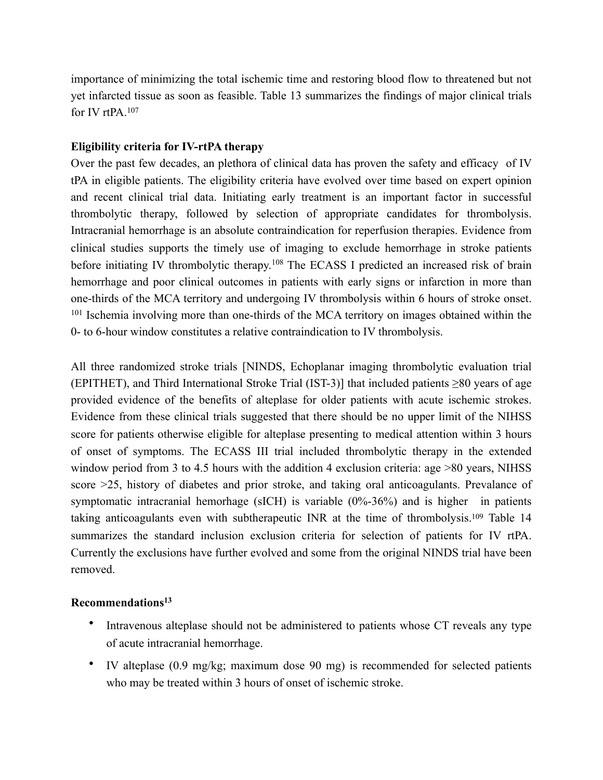<span id="page-16-0"></span>importance of minimizing the total ischemic time and restoring blood flow to threatened but not yet infarcted tissue as soon as feasible. Table 13 summarizes the findings of major clinical trials for IV rtPA[.107](#page-40-3)

### **Eligibility criteria for IV-rtPA therapy**

<span id="page-16-1"></span>Over the past few decades, an plethora of clinical data has proven the safety and efficacy of IV tPA in eligible patients. The eligibility criteria have evolved over time based on expert opinion and recent clinical trial data. Initiating early treatment is an important factor in successful thrombolytic therapy, followed by selection of appropriate candidates for thrombolysis. Intracranial hemorrhage is an absolute contraindication for reperfusion therapies. Evidence from clinical studies supports the timely use of imaging to exclude hemorrhage in stroke patients beforeinitiating IV thrombolytic therapy.<sup>[108](#page-40-4)</sup> The ECASS I predicted an increased risk of brain hemorrhage and poor clinical outcomes in patients with early signs or infarction in more than one-thirds of the MCA territory and undergoing IV thrombolysis within 6 hours of stroke onset. <sup>101</sup> Ischemia involving more than one-thirds of the MCA territory on images obtained within the 0- to 6-hour window constitutes a relative contraindication to IV thrombolysis.

All three randomized stroke trials [NINDS, Echoplanar imaging thrombolytic evaluation trial (EPITHET), and Third International Stroke Trial (IST-3)] that included patients ≥80 years of age provided evidence of the benefits of alteplase for older patients with acute ischemic strokes. Evidence from these clinical trials suggested that there should be no upper limit of the NIHSS score for patients otherwise eligible for alteplase presenting to medical attention within 3 hours of onset of symptoms. The ECASS III trial included thrombolytic therapy in the extended window period from 3 to 4.5 hours with the addition 4 exclusion criteria: age >80 years, NIHSS score >25, history of diabetes and prior stroke, and taking oral anticoagulants. Prevalance of symptomatic intracranial hemorhage (sICH) is variable (0%-36%) and is higher in patients taking anticoagulants even with subtherapeutic INR at the time of thrombolysis[.](#page-40-5)<sup>[109](#page-40-5)</sup> Table 14 summarizes the standard inclusion exclusion criteria for selection of patients for IV rtPA. Currently the exclusions have further evolved and some from the original NINDS trial have been removed.

#### **Recommendations13**

- <span id="page-16-2"></span>• Intravenous alteplase should not be administered to patients whose CT reveals any type of acute intracranial hemorrhage.
- IV alteplase (0.9 mg/kg; maximum dose 90 mg) is recommended for selected patients who may be treated within 3 hours of onset of ischemic stroke.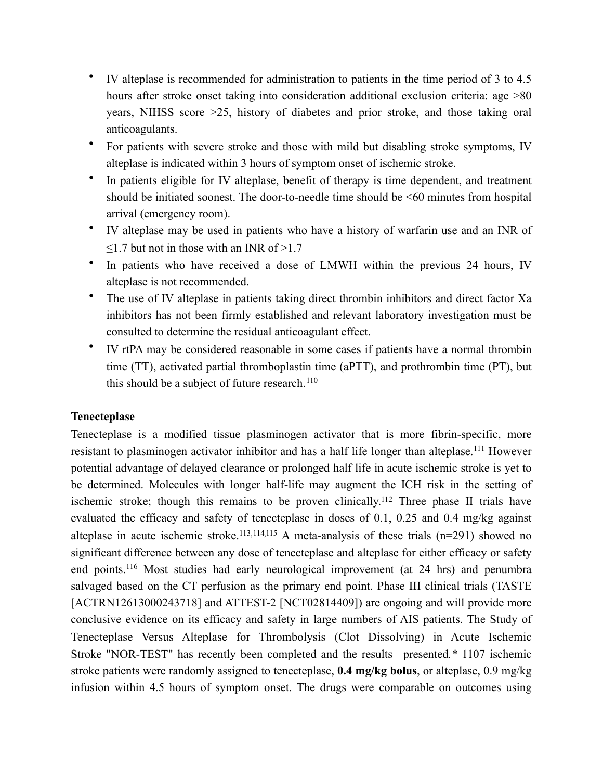- IV alteplase is recommended for administration to patients in the time period of 3 to 4.5 hours after stroke onset taking into consideration additional exclusion criteria: age  $>80$ years, NIHSS score >25, history of diabetes and prior stroke, and those taking oral anticoagulants.
- For patients with severe stroke and those with mild but disabling stroke symptoms, IV alteplase is indicated within 3 hours of symptom onset of ischemic stroke.
- In patients eligible for IV alteplase, benefit of therapy is time dependent, and treatment should be initiated soonest. The door-to-needle time should be <60 minutes from hospital arrival (emergency room).
- IV alteplase may be used in patients who have a history of warfarin use and an INR of  $\leq$ 1.7 but not in those with an INR of  $\geq$ 1.7
- In patients who have received a dose of LMWH within the previous 24 hours, IV alteplase is not recommended.
- The use of IV alteplase in patients taking direct thrombin inhibitors and direct factor Xa inhibitors has not been firmly established and relevant laboratory investigation must be consulted to determine the residual anticoagulant effect.
- <span id="page-17-1"></span><span id="page-17-0"></span>• IV rtPA may be considered reasonable in some cases if patients have a normal thrombin time (TT), activated partial thromboplastin time (aPTT), and prothrombin time (PT), but this should be a subject of future research. $110$

# **Tenecteplase**

<span id="page-17-6"></span><span id="page-17-5"></span><span id="page-17-4"></span><span id="page-17-3"></span><span id="page-17-2"></span>Tenecteplase is a modified tissue plasminogen activator that is more fibrin-specific, more resistant to plasminogen activator inhibitor and has a half life longer than alteplase.<sup>[111](#page-40-7)</sup> However potential advantage of delayed clearance or prolonged half life in acute ischemic stroke is yet to be determined. Molecules with longer half-life may augment the ICH risk in the setting of ischemic stroke; though this remains to be proven clinically.<sup>[112](#page-40-8)</sup> Three phase II trials have evaluated the efficacy and safety of tenecteplase in doses of 0.1, 0.25 and 0.4 mg/kg against alteplase in acute ischemic stroke.<sup>113[,](#page-41-1)114,115</sup> A meta-analysis of these trials (n=291) showed no significant difference between any dose of tenecteplase and alteplase for either efficacy or safety endpoints.<sup>[116](#page-41-2)</sup> Most studies had early neurological improvement (at  $24$  hrs) and penumbra salvaged based on the CT perfusion as the primary end point. Phase III clinical trials (TASTE [ACTRN12613000243718] and ATTEST-2 [NCT02814409]) are ongoing and will provide more conclusive evidence on its efficacy and safety in large numbers of AIS patients. The Study of Tenecteplase Versus Alteplase for Thrombolysis (Clot Dissolving) in Acute Ischemic Stroke "NOR-TEST" has recently been completed and the results presented*.\** 1107 ischemic stroke patients were randomly assigned to tenecteplase, **0.4 mg/kg bolus**, or alteplase, 0.9 mg/kg infusion within 4.5 hours of symptom onset. The drugs were comparable on outcomes using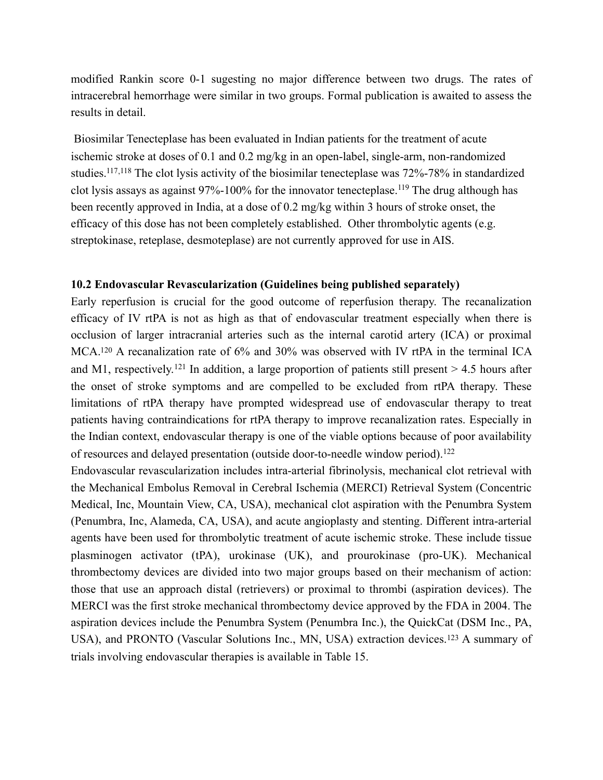modified Rankin score 0-1 sugesting no major difference between two drugs. The rates of intracerebral hemorrhage were similar in two groups. Formal publication is awaited to assess the results in detail.

<span id="page-18-2"></span><span id="page-18-1"></span><span id="page-18-0"></span> Biosimilar Tenecteplase has been evaluated in Indian patients for the treatment of acute ischemic stroke at doses of 0.1 and 0.2 mg/kg in an open-label, single-arm, non-randomized studies.  $117,118$  $117,118$  The clot lysis activity of the biosimilar tenecteplase was 72%-78% in standardized clotlysis assays as against  $97\% - 100\%$  for the innovator tenecteplase.<sup>[119](#page-41-5)</sup> The drug although has been recently approved in India, at a dose of 0.2 mg/kg within 3 hours of stroke onset, the efficacy of this dose has not been completely established. Other thrombolytic agents (e.g. streptokinase, reteplase, desmoteplase) are not currently approved for use in AIS.

#### **10.2 Endovascular Revascularization (Guidelines being published separately)**

<span id="page-18-4"></span><span id="page-18-3"></span>Early reperfusion is crucial for the good outcome of reperfusion therapy. The recanalization efficacy of IV rtPA is not as high as that of endovascular treatment especially when there is occlusion of larger intracranial arteries such as the internal carotid artery (ICA) or proximal MCA[.](#page-41-6)<sup>[120](#page-41-6)</sup> A recanalization rate of  $6\%$  and  $30\%$  was observed with IV rtPA in the terminal ICA andM1, respectively.<sup>[121](#page-41-7)</sup> In addition, a large proportion of patients still present  $> 4.5$  hours after the onset of stroke symptoms and are compelled to be excluded from rtPA therapy. These limitations of rtPA therapy have prompted widespread use of endovascular therapy to treat patients having contraindications for rtPA therapy to improve recanalization rates. Especially in the Indian context, endovascular therapy is one of the viable options because of poor availability of resources and delayed presentation (outside door-to-needle window period).<sup>[122](#page-41-8)</sup>

<span id="page-18-6"></span><span id="page-18-5"></span>Endovascular revascularization includes intra-arterial fibrinolysis, mechanical clot retrieval with the Mechanical Embolus Removal in Cerebral Ischemia (MERCI) Retrieval System (Concentric Medical, Inc, Mountain View, CA, USA), mechanical clot aspiration with the Penumbra System (Penumbra, Inc, Alameda, CA, USA), and acute angioplasty and stenting. Different intra-arterial agents have been used for thrombolytic treatment of acute ischemic stroke. These include tissue plasminogen activator (tPA), urokinase (UK), and prourokinase (pro-UK). Mechanical thrombectomy devices are divided into two major groups based on their mechanism of action: those that use an approach distal (retrievers) or proximal to thrombi (aspiration devices). The MERCI was the first stroke mechanical thrombectomy device approved by the FDA in 2004. The aspiration devices include the Penumbra System (Penumbra Inc.), the QuickCat (DSM Inc., PA, USA),and PRONTO (Vascular Solutions Inc., MN, USA) extraction devices.<sup>[123](#page-41-9)</sup> A summary of trials involving endovascular therapies is available in Table 15.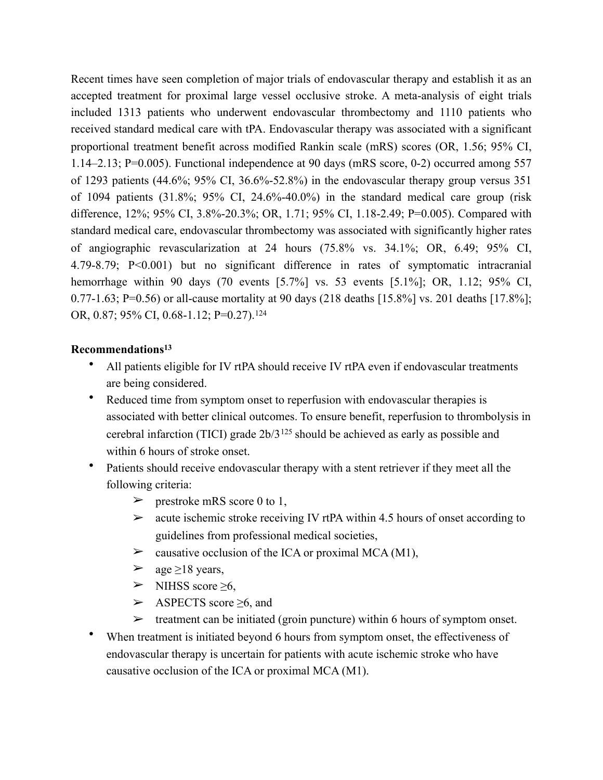Recent times have seen completion of major trials of endovascular therapy and establish it as an accepted treatment for proximal large vessel occlusive stroke. A meta-analysis of eight trials included 1313 patients who underwent endovascular thrombectomy and 1110 patients who received standard medical care with tPA. Endovascular therapy was associated with a significant proportional treatment benefit across modified Rankin scale (mRS) scores (OR, 1.56; 95% CI, 1.14–2.13; P=0.005). Functional independence at 90 days (mRS score, 0-2) occurred among 557 of 1293 patients  $(44.6\%; 95\% \text{ CI}, 36.6\% - 52.8\%)$  in the endovascular therapy group versus 351 of 1094 patients (31.8%; 95% CI, 24.6%-40.0%) in the standard medical care group (risk difference, 12%; 95% CI, 3.8%-20.3%; OR, 1.71; 95% CI, 1.18-2.49; P=0.005). Compared with standard medical care, endovascular thrombectomy was associated with significantly higher rates of angiographic revascularization at 24 hours (75.8% vs. 34.1%; OR, 6.49; 95% CI, 4.79-8.79; P<0.001) but no significant difference in rates of symptomatic intracranial hemorrhage within 90 days (70 events [5.7%] vs. 53 events [5.1%]; OR, 1.12; 95% CI, 0.77-1.63; P=0.56) or all-cause mortality at 90 days (218 deaths [15.8%] vs. 201 deaths [17.8%]; OR, 0.87; 95% CI, 0.68-1.12; P=0.27).<sup>[124](#page-42-0)</sup>

#### **Recommendations13**

- <span id="page-19-0"></span>• All patients eligible for IV rtPA should receive IV rtPA even if endovascular treatments are being considered.
- <span id="page-19-1"></span>• Reduced time from symptom onset to reperfusion with endovascular therapies is associated with better clinical outcomes. To ensure benefit, reperfusion to thrombolysis in cerebralinfarction (TICI) grade  $2b/3^{125}$  $2b/3^{125}$  $2b/3^{125}$  should be achieved as early as possible and within 6 hours of stroke onset.
- Patients should receive endovascular therapy with a stent retriever if they meet all the following criteria:
	- $\geq$  prestroke mRS score 0 to 1,
	- $\geq$  acute ischemic stroke receiving IV rtPA within 4.5 hours of onset according to guidelines from professional medical societies,
	- $\triangleright$  causative occlusion of the ICA or proximal MCA (M1),
	- $\geq$  age  $\geq$ 18 years,
	- $\triangleright$  NIHSS score  $\geq 6$ ,
	- ➢ ASPECTS score ≥6, and
	- $\triangleright$  treatment can be initiated (groin puncture) within 6 hours of symptom onset.
- When treatment is initiated beyond 6 hours from symptom onset, the effectiveness of endovascular therapy is uncertain for patients with acute ischemic stroke who have causative occlusion of the ICA or proximal MCA (M1).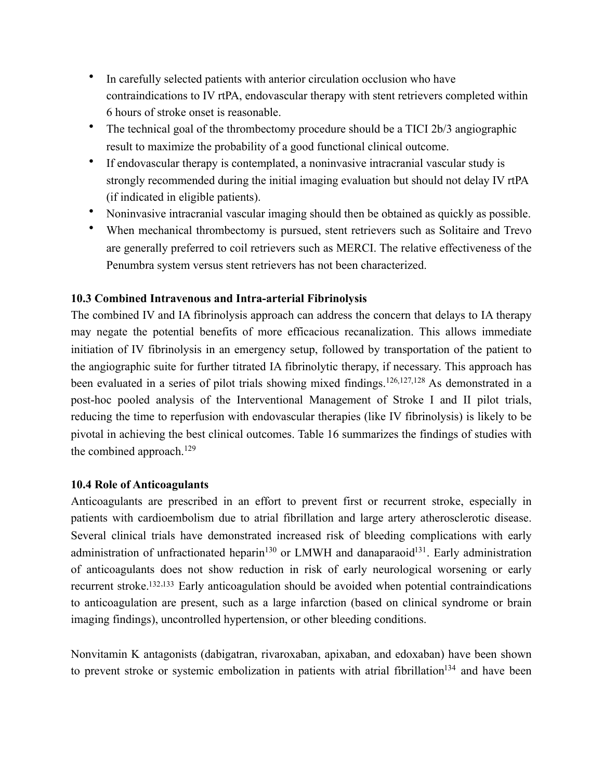- In carefully selected patients with anterior circulation occlusion who have contraindications to IV rtPA, endovascular therapy with stent retrievers completed within 6 hours of stroke onset is reasonable.
- The technical goal of the thrombectomy procedure should be a TICI 2b/3 angiographic result to maximize the probability of a good functional clinical outcome.
- If endovascular therapy is contemplated, a noninvasive intracranial vascular study is strongly recommended during the initial imaging evaluation but should not delay IV rtPA (if indicated in eligible patients).
- Noninvasive intracranial vascular imaging should then be obtained as quickly as possible.
- When mechanical thrombectomy is pursued, stent retrievers such as Solitaire and Trevo are generally preferred to coil retrievers such as MERCI. The relative effectiveness of the Penumbra system versus stent retrievers has not been characterized.

# **10.3 Combined Intravenous and Intra-arterial Fibrinolysis**

<span id="page-20-2"></span><span id="page-20-1"></span><span id="page-20-0"></span>The combined IV and IA fibrinolysis approach can address the concern that delays to IA therapy may negate the potential benefits of more efficacious recanalization. This allows immediate initiation of IV fibrinolysis in an emergency setup, followed by transportation of the patient to the angiographic suite for further titrated IA fibrinolytic therapy, if necessary. This approach has been evaluated in a series of pilot trials showing mixed findings.<sup>126[,](#page-42-3)127,128</sup>As demonstrated in a post-hoc pooled analysis of the Interventional Management of Stroke I and II pilot trials, reducing the time to reperfusion with endovascular therapies (like IV fibrinolysis) is likely to be pivotal in achieving the best clinical outcomes. Table 16 summarizes the findings of studies with the combined approach.<sup>[129](#page-42-5)</sup>

# <span id="page-20-3"></span>**10.4 Role of Anticoagulants**

<span id="page-20-5"></span><span id="page-20-4"></span>Anticoagulants are prescribed in an effort to prevent first or recurrent stroke, especially in patients with cardioembolism due to atrial fibrillation and large artery atherosclerotic disease. Several clinical trials have demonstrated increased risk of bleeding complications with early administration of unfractionated heparin<sup>[130](#page-42-6)</sup> or LMWH and danaparaoid<sup>131</sup>. Early administration of anticoagulants does not show reduction in risk of early neurological worsening or early recurrent stroke.<sup>132[,](#page-42-9)133</sup> Early anticoagulation should be avoided when potential contraindications to anticoagulation are present, such as a large infarction (based on clinical syndrome or brain imaging findings), uncontrolled hypertension, or other bleeding conditions.

<span id="page-20-8"></span><span id="page-20-7"></span><span id="page-20-6"></span>Nonvitamin K antagonists (dabigatran, rivaroxaban, apixaban, and edoxaban) have been shown toprevent stroke or systemic embolization in patients with atrial fibrillation<sup>[134](#page-42-10)</sup> and have been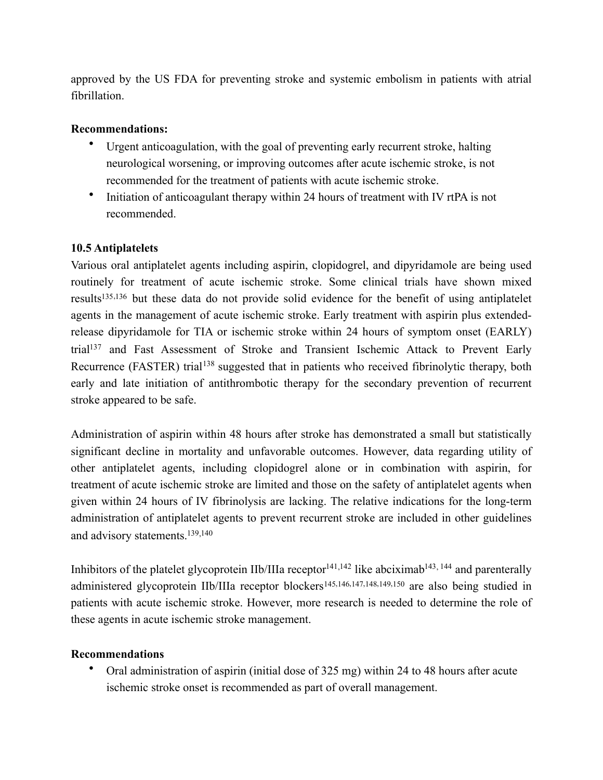approved by the US FDA for preventing stroke and systemic embolism in patients with atrial fibrillation.

#### **Recommendations:**

- Urgent anticoagulation, with the goal of preventing early recurrent stroke, halting neurological worsening, or improving outcomes after acute ischemic stroke, is not recommended for the treatment of patients with acute ischemic stroke.
- Initiation of anticoagulant therapy within 24 hours of treatment with IV rtPA is not recommended.

# **10.5 Antiplatelets**

<span id="page-21-2"></span><span id="page-21-1"></span><span id="page-21-0"></span>Various oral antiplatelet agents including aspirin, clopidogrel, and dipyridamole are being used routinely for treatment of acute ischemic stroke. Some clinical trials have shown mixed results<sup>135[,](#page-43-1)136</sup> but these data do not provide solid evidence for the benefit of using antiplatelet agents in the management of acute ischemic stroke. Early treatment with aspirin plus extendedrelease dipyridamole for TIA or ischemic stroke within 24 hours of symptom onset (EARLY) tria[l](#page-43-2)<sup>[137](#page-43-2)</sup> and Fast Assessment of Stroke and Transient Ischemic Attack to Prevent Early Recurrence(FASTER) trial<sup>[138](#page-43-3)</sup> suggested that in patients who received fibrinolytic therapy, both early and late initiation of antithrombotic therapy for the secondary prevention of recurrent stroke appeared to be safe.

<span id="page-21-3"></span>Administration of aspirin within 48 hours after stroke has demonstrated a small but statistically significant decline in mortality and unfavorable outcomes. However, data regarding utility of other antiplatelet agents, including clopidogrel alone or in combination with aspirin, for treatment of acute ischemic stroke are limited and those on the safety of antiplatelet agents when given within 24 hours of IV fibrinolysis are lacking. The relative indications for the long-term administration of antiplatelet agents to prevent recurrent stroke are included in other guidelines and advisory statements[.139](#page-43-4)[,140](#page-43-5)

<span id="page-21-7"></span><span id="page-21-6"></span><span id="page-21-5"></span><span id="page-21-4"></span>Inhibitorsof the platelet glycoprotein IIb/IIIa receptor  $141,142$  $141,142$  like abciximab  $143,144$  and parenterally administered glycoprotein IIb/IIIa receptor blockers<sup>145[,](#page-44-4)146,147,148,149,150</sup>are also being studied in patients with acute ischemic stroke. However, more research is needed to determine the role of these agents in acute ischemic stroke management.

#### **Recommendations**

<span id="page-21-15"></span><span id="page-21-14"></span><span id="page-21-13"></span><span id="page-21-12"></span><span id="page-21-11"></span><span id="page-21-10"></span><span id="page-21-9"></span><span id="page-21-8"></span>• Oral administration of aspirin (initial dose of 325 mg) within 24 to 48 hours after acute ischemic stroke onset is recommended as part of overall management.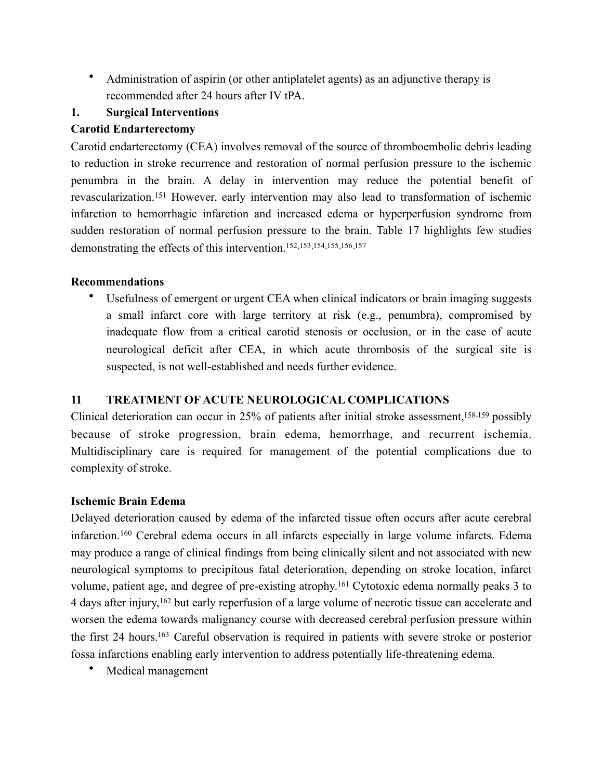• Administration of aspirin (or other antiplatelet agents) as an adjunctive therapy is recommended after 24 hours after IV tPA.

# **1. Surgical Interventions**

# **Carotid Endarterectomy**

<span id="page-22-0"></span>Carotid endarterectomy (CEA) involves removal of the source of thromboembolic debris leading to reduction in stroke recurrence and restoration of normal perfusion pressure to the ischemic penumbra in the brain. A delay in intervention may reduce the potential benefit of revascularization.<sup>151</sup>However, early intervention may also lead to transformation of ischemic infarction to hemorrhagic infarction and increased edema or hyperperfusion syndrome from sudden restoration of normal perfusion pressure to the brain. Table 17 highlights few studies demonstrating the effects of this intervention[.152](#page-44-7)[,153](#page-44-8)[,154](#page-44-9)[,155](#page-44-10)[,156](#page-44-11)[,157](#page-45-0)

# **Recommendations**

<span id="page-22-8"></span><span id="page-22-7"></span><span id="page-22-6"></span><span id="page-22-5"></span><span id="page-22-4"></span><span id="page-22-3"></span><span id="page-22-2"></span><span id="page-22-1"></span>• Usefulness of emergent or urgent CEA when clinical indicators or brain imaging suggests a small infarct core with large territory at risk (e.g., penumbra), compromised by inadequate flow from a critical carotid stenosis or occlusion, or in the case of acute neurological deficit after CEA, in which acute thrombosis of the surgical site is suspected, is not well-established and needs further evidence.

# **11 TREATMENT OF ACUTE NEUROLOGICAL COMPLICATIONS**

Clinical deterioration can occur in 25% of patients after initial stroke assessment,  $158,159$  $158,159$  possibly because of stroke progression, brain edema, hemorrhage, and recurrent ischemia. Multidisciplinary care is required for management of the potential complications due to complexity of stroke.

# **Ischemic Brain Edema**

<span id="page-22-9"></span>Delayed deterioration caused by edema of the infarcted tissue often occurs after acute cerebral infarction. $160$  Cerebral edema occurs in all infarcts especially in large volume infarcts. Edema may produce a range of clinical findings from being clinically silent and not associated with new neurological symptoms to precipitous fatal deterioration, depending on stroke location, infarct volume,patient age, and degree of pre-existing atrophy.<sup>[161](#page-45-4)</sup> Cytotoxic edema normally peaks 3 to 4days after injury, <sup>[162](#page-45-5)</sup> but early reperfusion of a large volume of necrotic tissue can accelerate and worsen the edema towards malignancy course with decreased cerebral perfusion pressure within the first 24 hours[.](#page-45-6)<sup>[163](#page-45-6)</sup> Careful observation is required in patients with severe stroke or posterior fossa infarctions enabling early intervention to address potentially life-threatening edema.

<span id="page-22-12"></span><span id="page-22-11"></span><span id="page-22-10"></span>• Medical management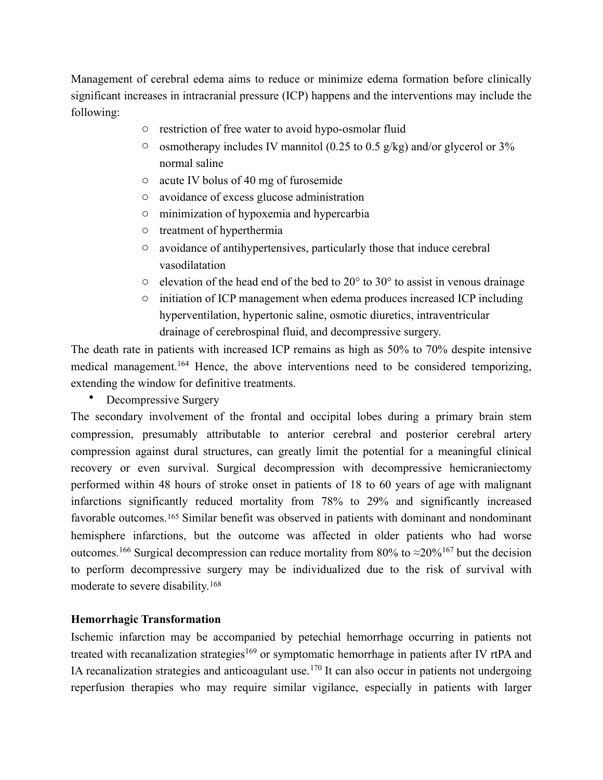Management of cerebral edema aims to reduce or minimize edema formation before clinically significant increases in intracranial pressure (ICP) happens and the interventions may include the following:

- o restriction of free water to avoid hypo-osmolar fluid
- $\circ$  osmotherapy includes IV mannitol (0.25 to 0.5 g/kg) and/or glycerol or 3% normal saline
- o acute IV bolus of 40 mg of furosemide
- o avoidance of excess glucose administration
- o minimization of hypoxemia and hypercarbia
- o treatment of hyperthermia
- o avoidance of antihypertensives, particularly those that induce cerebral vasodilatation
- $\circ$  elevation of the head end of the bed to 20 $\degree$  to 30 $\degree$  to assist in venous drainage
- <span id="page-23-0"></span> $\circ$  initiation of ICP management when edema produces increased ICP including hyperventilation, hypertonic saline, osmotic diuretics, intraventricular drainage of cerebrospinal fluid, and decompressive surgery.

The death rate in patients with increased ICP remains as high as 50% to 70% despite intensive medical management[.](#page-45-7)<sup>[164](#page-45-7)</sup> Hence, the above interventions need to be considered temporizing, extending the window for definitive treatments.

• Decompressive Surgery

<span id="page-23-1"></span>The secondary involvement of the frontal and occipital lobes during a primary brain stem compression, presumably attributable to anterior cerebral and posterior cerebral artery compression against dural structures, can greatly limit the potential for a meaningful clinical recovery or even survival. Surgical decompression with decompressive hemicraniectomy performed within 48 hours of stroke onset in patients of 18 to 60 years of age with malignant infarctions significantly reduced mortality from 78% to 29% and significantly increased favorableoutcomes.<sup>[165](#page-45-8)</sup> Similar benefit was observed in patients with dominant and nondominant hemisphere infarctions, but the outcome was affected in older patients who had worse outcomes.<sup>[166](#page-45-9)</sup> Surgical decompression can reduce mortality from 80% to  $\approx$ 20% <sup>167</sup> but the decision to perform decompressive surgery may be individualized due to the risk of survival with moderate to severe disability[.168](#page-46-0)

#### <span id="page-23-4"></span><span id="page-23-3"></span><span id="page-23-2"></span>**Hemorrhagic Transformation**

<span id="page-23-6"></span><span id="page-23-5"></span>Ischemic infarction may be accompanied by petechial hemorrhage occurring in patients not treatedwith recanalization strategies<sup>[169](#page-46-1)</sup> or symptomatic hemorrhage in patients after IV rtPA and IA recanalization strategies and anticoagulant use[.](#page-46-2)<sup>[170](#page-46-2)</sup> It can also occur in patients not undergoing reperfusion therapies who may require similar vigilance, especially in patients with larger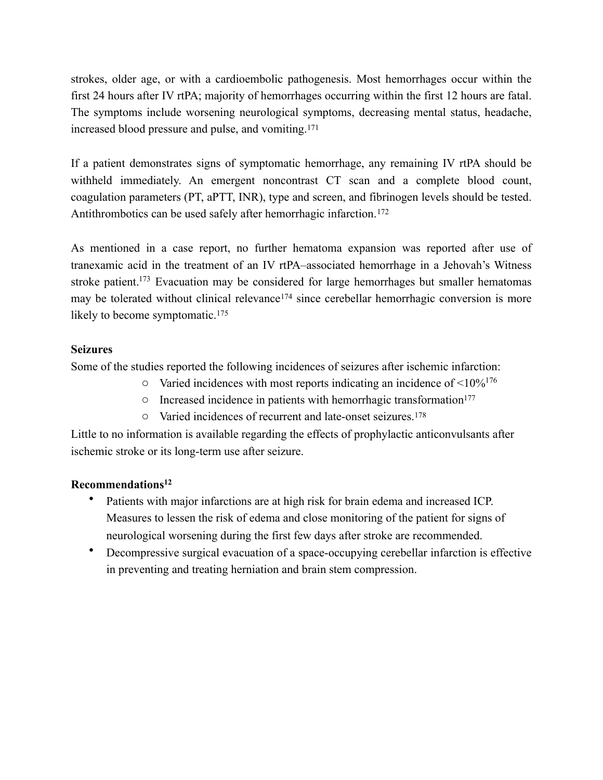strokes, older age, or with a cardioembolic pathogenesis. Most hemorrhages occur within the first 24 hours after IV rtPA; majority of hemorrhages occurring within the first 12 hours are fatal. The symptoms include worsening neurological symptoms, decreasing mental status, headache, increased blood pressure and pulse, and vomiting.[171](#page-46-3)

<span id="page-24-0"></span>If a patient demonstrates signs of symptomatic hemorrhage, any remaining IV rtPA should be withheld immediately. An emergent noncontrast CT scan and a complete blood count, coagulation parameters (PT, aPTT, INR), type and screen, and fibrinogen levels should be tested. Antithrombotics can be used safely after hemorrhagic infarction.<sup>[172](#page-46-4)</sup>

<span id="page-24-2"></span>As mentioned in a case report, no further hematoma expansion was reported after use of tranexamic acid in the treatment of an IV rtPA–associated hemorrhage in a Jehovah's Witness stroke patient[.](#page-46-5)<sup>[173](#page-46-5)</sup> Evacuation may be considered for large hemorrhages but smaller hematomas maybe tolerated without clinical relevance<sup> $174$ </sup> since cerebellar hemorrhagic conversion is more likely to become symptomatic.<sup>[175](#page-46-7)</sup>

# **Seizures**

Some of the studies reported the following incidences of seizures after ischemic infarction:

- <span id="page-24-4"></span><span id="page-24-3"></span><span id="page-24-1"></span> $\circ$  Varied incidences with most reports indicating an incidence of <10%<sup>[176](#page-46-8)</sup>
- <span id="page-24-5"></span> $\circ$  Increased incidence in patients with hemorrhagic transformation<sup>177</sup>
- <span id="page-24-7"></span><span id="page-24-6"></span>o Varied incidences of recurrent and late-onset seizures.[178](#page-46-10)

Little to no information is available regarding the effects of prophylactic anticonvulsants after ischemic stroke or its long-term use after seizure.

# **Recommendations12**

- Patients with major infarctions are at high risk for brain edema and increased ICP. Measures to lessen the risk of edema and close monitoring of the patient for signs of neurological worsening during the first few days after stroke are recommended.
- Decompressive surgical evacuation of a space-occupying cerebellar infarction is effective in preventing and treating herniation and brain stem compression.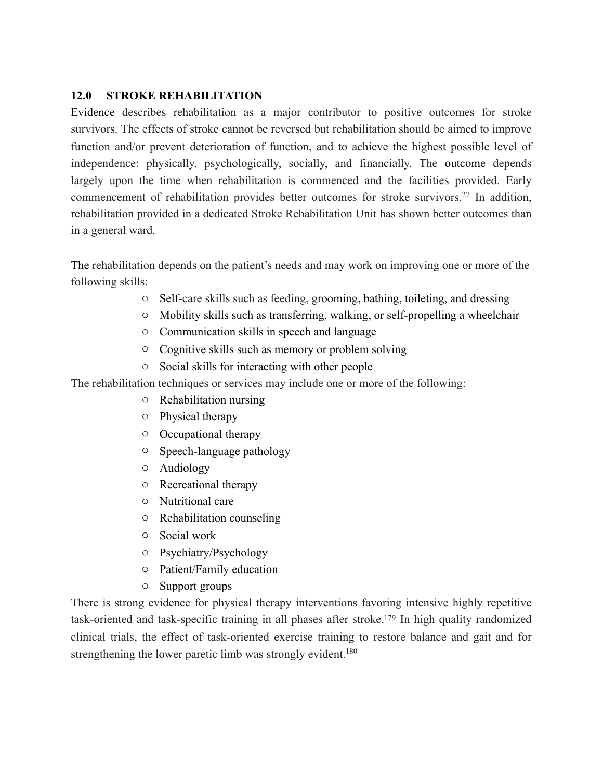# **12.0 STROKE REHABILITATION**

Evidence describes rehabilitation as a major contributor to positive outcomes for stroke survivors. The effects of stroke cannot be reversed but rehabilitation should be aimed to improve function and/or prevent deterioration of function, and to achieve the highest possible level of independence: physically, psychologically, socially, and financially. The outcome depends largely upon the time when rehabilitation is commenced and the facilities provided. Early commencement of rehabilitation provides better outcomes for stroke survivors.<sup>27</sup> In addition, rehabilitation provided in a dedicated Stroke Rehabilitation Unit has shown better outcomes than in a general ward.

The rehabilitation depends on the patient's needs and may work on improving one or more of the following skills:

- o Self-care skills such as feeding, grooming, bathing, toileting, and dressing
- o Mobility skills such as transferring, walking, or self-propelling a wheelchair
- o Communication skills in speech and language
- o Cognitive skills such as memory or problem solving
- o Social skills for interacting with other people

The rehabilitation techniques or services may include one or more of the following:

- o Rehabilitation nursing
- o Physical therapy
- o Occupational therapy
- o Speech-language pathology
- o Audiology
- o Recreational therapy
- o Nutritional care
- o Rehabilitation counseling
- o Social work
- o Psychiatry/Psychology
- o Patient/Family education
- <span id="page-25-1"></span><span id="page-25-0"></span>o Support groups

There is strong evidence for physical therapy interventions favoring intensive highly repetitive task-oriented and task-specific training in all phases after stroke[.](#page-46-11)<sup>[179](#page-46-11)</sup> In high quality randomized clinical trials, the effect of task-oriented exercise training to restore balance and gait and for strengthening the lower paretic limb was strongly evident.<sup>180</sup>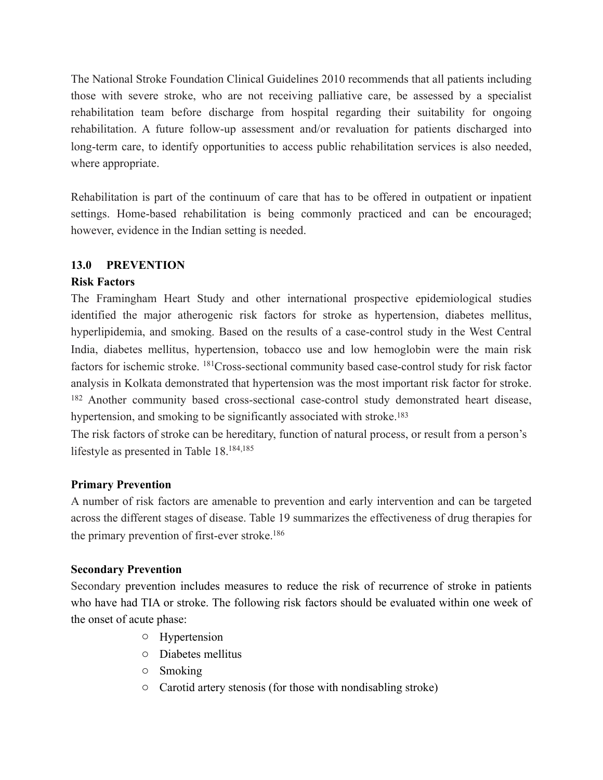The National Stroke Foundation Clinical Guidelines 2010 recommends that all patients including those with severe stroke, who are not receiving palliative care, be assessed by a specialist rehabilitation team before discharge from hospital regarding their suitability for ongoing rehabilitation. A future follow-up assessment and/or revaluation for patients discharged into long-term care, to identify opportunities to access public rehabilitation services is also needed, where appropriate.

Rehabilitation is part of the continuum of care that has to be offered in outpatient or inpatient settings. Home-based rehabilitation is being commonly practiced and can be encouraged; however, evidence in the Indian setting is needed.

# **13.0 PREVENTION**

# **Risk Factors**

<span id="page-26-0"></span>The Framingham Heart Study and other international prospective epidemiological studies identified the major atherogenic risk factors for stroke as hypertension, diabetes mellitus, hyperlipidemia, and smoking. Based on the results of a case-control study in the West Central India, diabetes mellitus, hypertension, tobacco use and low hemoglobin were the main risk factors for ischemic stroke. <sup>181</sup>[C](#page-47-1)ross-sectional community based case-control study for risk factor analysis in Kolkata demonstrated that hypertension was the most important risk factor for stroke. <sup>[182](#page-47-2)</sup> Another community based cross-sectional case-control study demonstrated heart disease, hypertension, and smoking to be significantly associated with stroke.<sup>183</sup>

<span id="page-26-4"></span><span id="page-26-3"></span><span id="page-26-2"></span><span id="page-26-1"></span>The risk factors of stroke can be hereditary, function of natural process, or result from a person's lifestyle as presented in Table 18[.184](#page-47-4)[,185](#page-47-5)

# **Primary Prevention**

A number of risk factors are amenable to prevention and early intervention and can be targeted across the different stages of disease. Table 19 summarizes the effectiveness of drug therapies for the primary prevention of first-ever stroke.<sup>186</sup>

# **Secondary Prevention**

Secondary prevention includes measures to reduce the risk of recurrence of stroke in patients who have had TIA or stroke. The following risk factors should be evaluated within one week of the onset of acute phase:

- <span id="page-26-5"></span>o Hypertension
- o Diabetes mellitus
- o Smoking
- o Carotid artery stenosis (for those with nondisabling stroke)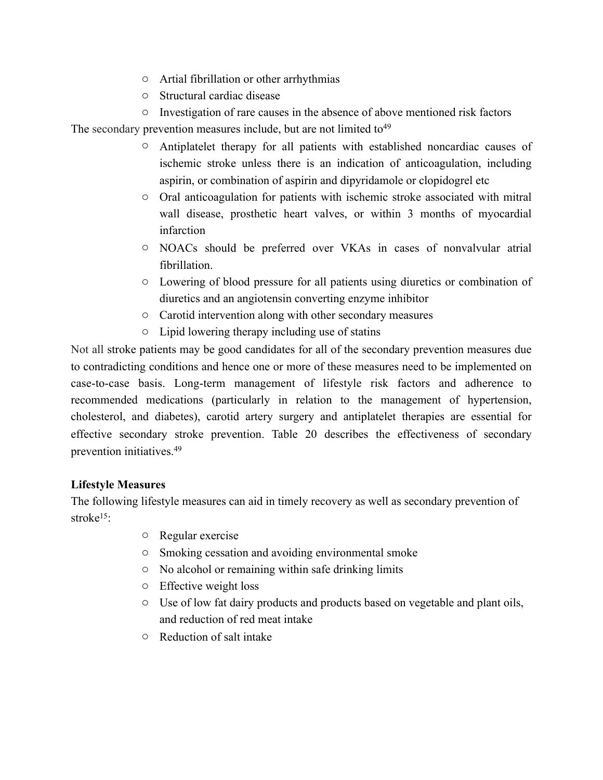- o Artial fibrillation or other arrhythmias
- o Structural cardiac disease

o Investigation of rare causes in the absence of above mentioned risk factors The secondary prevention measures include, but are not limited to  $49$ 

- o Antiplatelet therapy for all patients with established noncardiac causes of ischemic stroke unless there is an indication of anticoagulation, including aspirin, or combination of aspirin and dipyridamole or clopidogrel etc
- o Oral anticoagulation for patients with ischemic stroke associated with mitral wall disease, prosthetic heart valves, or within 3 months of myocardial infarction
- o NOACs should be preferred over VKAs in cases of nonvalvular atrial fibrillation.
- o Lowering of blood pressure for all patients using diuretics or combination of diuretics and an angiotensin converting enzyme inhibitor
- o Carotid intervention along with other secondary measures
- o Lipid lowering therapy including use of statins

Not all stroke patients may be good candidates for all of the secondary prevention measures due to contradicting conditions and hence one or more of these measures need to be implemented on case-to-case basis. Long-term management of lifestyle risk factors and adherence to recommended medications (particularly in relation to the management of hypertension, cholesterol, and diabetes), carotid artery surgery and antiplatelet therapies are essential for effective secondary stroke prevention. Table 20 describes the effectiveness of secondary prevention initiatives.49

# **Lifestyle Measures**

The following lifestyle measures can aid in timely recovery as well as secondary prevention of stroke<sup>15.</sup>

- o Regular exercise
- o Smoking cessation and avoiding environmental smoke
- o No alcohol or remaining within safe drinking limits
- o Effective weight loss
- o Use of low fat dairy products and products based on vegetable and plant oils, and reduction of red meat intake
- o Reduction of salt intake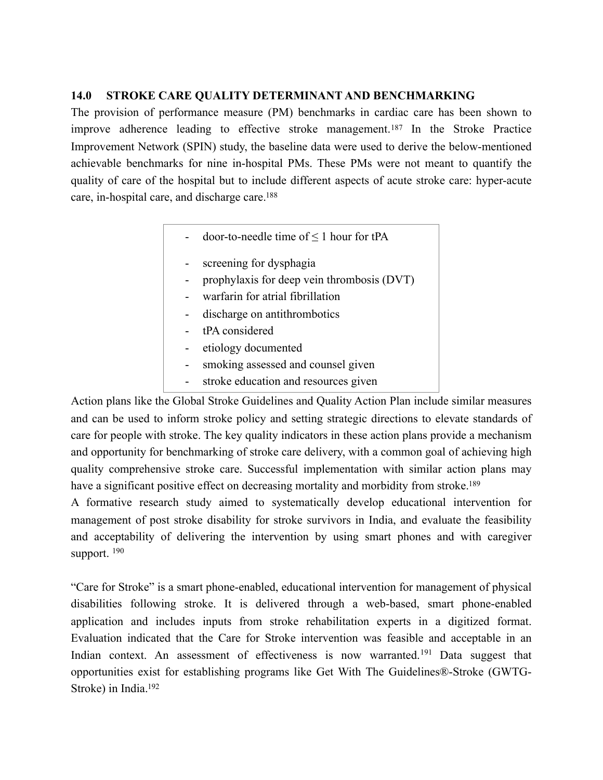### **14.0 STROKE CARE QUALITY DETERMINANT AND BENCHMARKING**

The provision of performance measure (PM) benchmarks in cardiac care has been shown to improveadherence leading to effective stroke management.<sup>[187](#page-47-7)</sup> In the Stroke Practice Improvement Network (SPIN) study, the baseline data were used to derive the below-mentioned achievable benchmarks for nine in-hospital PMs. These PMs were not meant to quantify the quality of care of the hospital but to include different aspects of acute stroke care: hyper-acute care, in-hospital care, and discharge care[.188](#page-47-8)

- <span id="page-28-1"></span><span id="page-28-0"></span> $door-to-nee$ de time of  $\leq 1$  hour for tPA
- screening for dysphagia
- prophylaxis for deep vein thrombosis (DVT)
- warfarin for atrial fibrillation
- discharge on antithrombotics
- tPA considered
- etiology documented
- smoking assessed and counsel given
- <span id="page-28-2"></span>- stroke education and resources given

Action plans like the Global Stroke Guidelines and Quality Action Plan include similar measures and can be used to inform stroke policy and setting strategic directions to elevate standards of care for people with stroke. The key quality indicators in these action plans provide a mechanism and opportunity for benchmarking of stroke care delivery, with a common goal of achieving high quality comprehensive stroke care. Successful implementation with similar action plans may have a significant positive effect on decreasing mortality and morbidity from stroke.<sup>189</sup>

A formative research study aimed to systematically develop educational intervention for management of post stroke disability for stroke survivors in India, and evaluate the feasibility and acceptability of delivering the intervention by using smart phones and with caregiver support.<sup>[190](#page-47-10)</sup>

<span id="page-28-5"></span><span id="page-28-4"></span><span id="page-28-3"></span>"Care for Stroke" is a smart phone-enabled, educational intervention for management of physical disabilities following stroke. It is delivered through a web-based, smart phone-enabled application and includes inputs from stroke rehabilitation experts in a digitized format. Evaluation indicated that the Care for Stroke intervention was feasible and acceptable in an Indiancontext. An assessment of effectiveness is now warranted.<sup>[191](#page-47-11)</sup> Data suggest that opportunities exist for establishing programs like Get With The Guidelines®-Stroke (GWTG-Stroke) in India[.192](#page-48-0)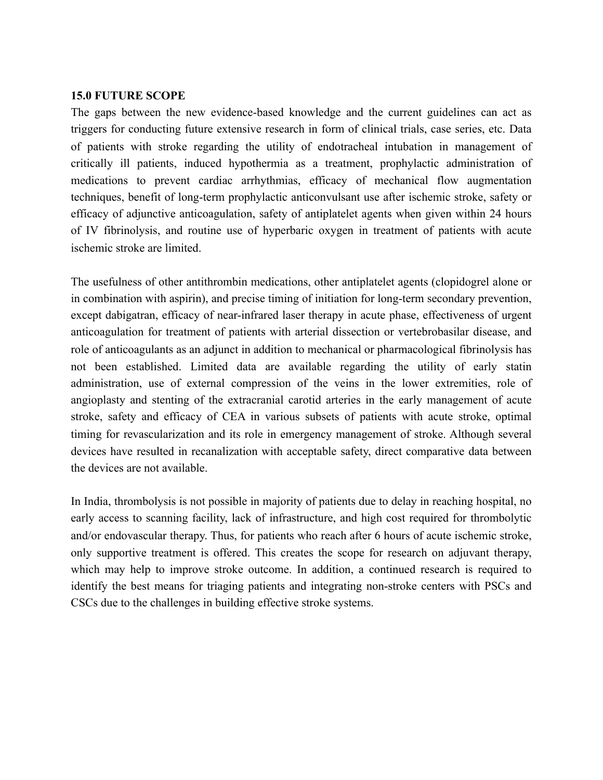#### **15.0 FUTURE SCOPE**

The gaps between the new evidence-based knowledge and the current guidelines can act as triggers for conducting future extensive research in form of clinical trials, case series, etc. Data of patients with stroke regarding the utility of endotracheal intubation in management of critically ill patients, induced hypothermia as a treatment, prophylactic administration of medications to prevent cardiac arrhythmias, efficacy of mechanical flow augmentation techniques, benefit of long-term prophylactic anticonvulsant use after ischemic stroke, safety or efficacy of adjunctive anticoagulation, safety of antiplatelet agents when given within 24 hours of IV fibrinolysis, and routine use of hyperbaric oxygen in treatment of patients with acute ischemic stroke are limited.

The usefulness of other antithrombin medications, other antiplatelet agents (clopidogrel alone or in combination with aspirin), and precise timing of initiation for long-term secondary prevention, except dabigatran, efficacy of near-infrared laser therapy in acute phase, effectiveness of urgent anticoagulation for treatment of patients with arterial dissection or vertebrobasilar disease, and role of anticoagulants as an adjunct in addition to mechanical or pharmacological fibrinolysis has not been established. Limited data are available regarding the utility of early statin administration, use of external compression of the veins in the lower extremities, role of angioplasty and stenting of the extracranial carotid arteries in the early management of acute stroke, safety and efficacy of CEA in various subsets of patients with acute stroke, optimal timing for revascularization and its role in emergency management of stroke. Although several devices have resulted in recanalization with acceptable safety, direct comparative data between the devices are not available.

In India, thrombolysis is not possible in majority of patients due to delay in reaching hospital, no early access to scanning facility, lack of infrastructure, and high cost required for thrombolytic and/or endovascular therapy. Thus, for patients who reach after 6 hours of acute ischemic stroke, only supportive treatment is offered. This creates the scope for research on adjuvant therapy, which may help to improve stroke outcome. In addition, a continued research is required to identify the best means for triaging patients and integrating non-stroke centers with PSCs and CSCs due to the challenges in building effective stroke systems.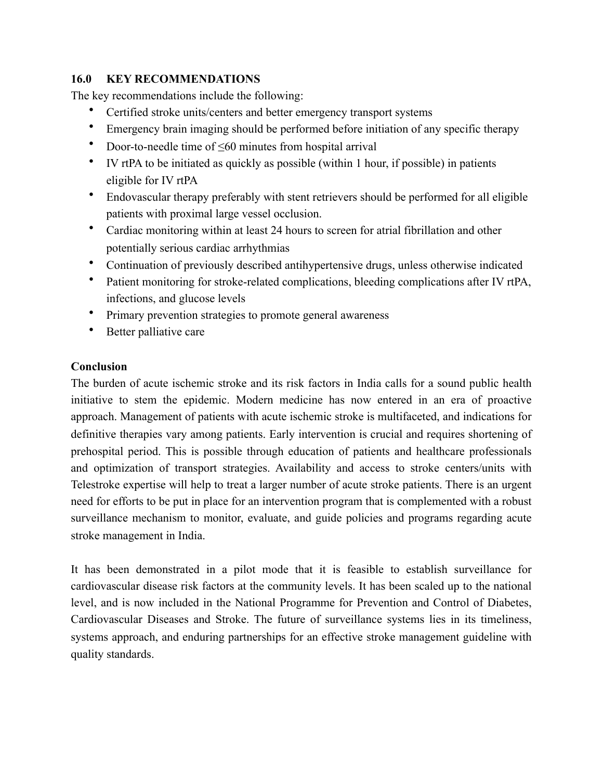# **16.0 KEY RECOMMENDATIONS**

The key recommendations include the following:

- Certified stroke units/centers and better emergency transport systems
- Emergency brain imaging should be performed before initiation of any specific therapy
- Door-to-needle time of  $\leq 60$  minutes from hospital arrival
- IV rtPA to be initiated as quickly as possible (within 1 hour, if possible) in patients eligible for IV rtPA
- Endovascular therapy preferably with stent retrievers should be performed for all eligible patients with proximal large vessel occlusion.
- Cardiac monitoring within at least 24 hours to screen for atrial fibrillation and other potentially serious cardiac arrhythmias
- Continuation of previously described antihypertensive drugs, unless otherwise indicated
- Patient monitoring for stroke-related complications, bleeding complications after IV rtPA, infections, and glucose levels
- Primary prevention strategies to promote general awareness
- Better palliative care

# **Conclusion**

The burden of acute ischemic stroke and its risk factors in India calls for a sound public health initiative to stem the epidemic. Modern medicine has now entered in an era of proactive approach. Management of patients with acute ischemic stroke is multifaceted, and indications for definitive therapies vary among patients. Early intervention is crucial and requires shortening of prehospital period. This is possible through education of patients and healthcare professionals and optimization of transport strategies. Availability and access to stroke centers/units with Telestroke expertise will help to treat a larger number of acute stroke patients. There is an urgent need for efforts to be put in place for an intervention program that is complemented with a robust surveillance mechanism to monitor, evaluate, and guide policies and programs regarding acute stroke management in India.

It has been demonstrated in a pilot mode that it is feasible to establish surveillance for cardiovascular disease risk factors at the community levels. It has been scaled up to the national level, and is now included in the National Programme for Prevention and Control of Diabetes, Cardiovascular Diseases and Stroke. The future of surveillance systems lies in its timeliness, systems approach, and enduring partnerships for an effective stroke management guideline with quality standards.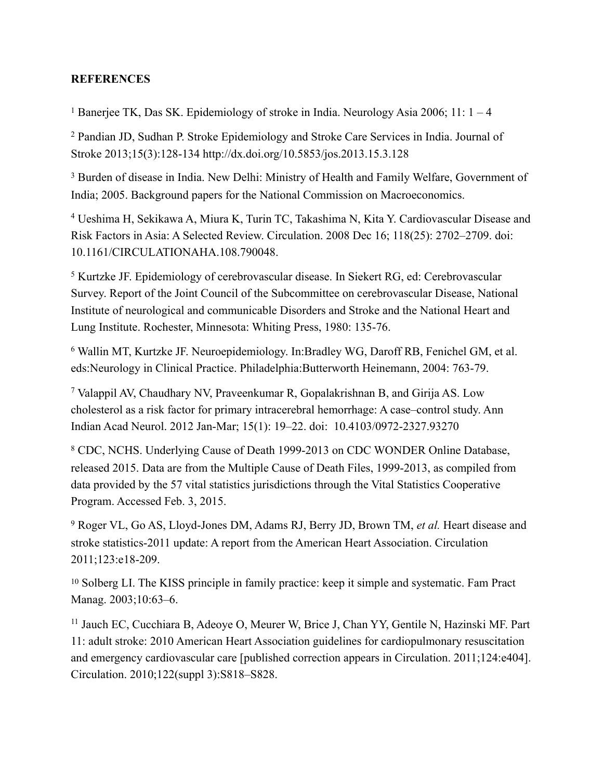### **REFERENCES**

<span id="page-31-0"></span><sup>[1](#page-0-0)</sup> Banerjee TK, Das SK. Epidemiology of stroke in India. Neurology Asia 2006; 11:  $1 - 4$ 

<span id="page-31-1"></span><sup>[2](#page-0-1)</sup> Pandian JD, Sudhan P. Stroke Epidemiology and Stroke Care Services in India. Journal of Stroke 2013;15(3):128-134 http://dx.doi.org/10.5853/jos.2013.15.3.128

<span id="page-31-2"></span><sup>[3](#page-0-2)</sup> Burden of disease in India. New Delhi: Ministry of Health and Family Welfare, Government of India; 2005. Background papers for the National Commission on Macroeconomics.

<span id="page-31-3"></span> Ueshima H, Sekikawa A, Miura K, Turin TC, Takashima N, Kita Y. Cardiovascular Disease and [4](#page-0-3) Risk Factors in Asia: A Selected Review. Circulation. 2008 Dec 16; 118(25): 2702–2709. doi: 10.1161/CIRCULATIONAHA.108.790048.

<span id="page-31-4"></span><sup>[5](#page-0-4)</sup> Kurtzke JF. Epidemiology of cerebrovascular disease. In Siekert RG, ed: Cerebrovascular Survey. Report of the Joint Council of the Subcommittee on cerebrovascular Disease, National Institute of neurological and communicable Disorders and Stroke and the National Heart and Lung Institute. Rochester, Minnesota: Whiting Press, 1980: 135-76.

<span id="page-31-5"></span><sup>[6](#page-0-5)</sup> Wallin MT, Kurtzke JF. Neuroepidemiology. In:Bradley WG, Daroff RB, Fenichel GM, et al. eds:Neurology in Clinical Practice. Philadelphia:Butterworth Heinemann, 2004: 763-79.

<span id="page-31-6"></span><sup>[7](#page-0-6)</sup> Valappil AV, Chaudhary NV, Praveenkumar R, Gopalakrishnan B, and Girija AS. Low cholesterol as a risk factor for primary intracerebral hemorrhage: A case–control study. Ann Indian Acad Neurol. 2012 Jan-Mar; 15(1): 19–22. doi: 10.4103/0972-2327.93270

<span id="page-31-7"></span><sup>[8](#page-0-7)</sup> CDC, NCHS. Underlying Cause of Death 1999-2013 on CDC WONDER Online Database, released 2015. Data are from the Multiple Cause of Death Files, 1999-2013, as compiled from data provided by the 57 vital statistics jurisdictions through the Vital Statistics Cooperative Program. Accessed Feb. 3, 2015.

<span id="page-31-8"></span>Roger VL, Go AS, Lloyd-Jones DM, Adams RJ, Berry JD, Brown TM, *et al.* Heart disease and [9](#page-0-8) stroke statistics-2011 update: A report from the American Heart Association. Circulation 2011;123:e18-209.

<span id="page-31-9"></span><sup>[10](#page-0-9)</sup> Solberg LI. The KISS principle in family practice: keep it simple and systematic. Fam Pract Manag. 2003;10:63–6.

<span id="page-31-10"></span><sup>11</sup>Jauch EC, Cucchiara B, Adeoye O, Meurer W, Brice J, Chan YY, Gentile N, Hazinski MF. Part 11: adult stroke: 2010 American Heart Association guidelines for cardiopulmonary resuscitation and emergency cardiovascular care [published correction appears in Circulation. 2011;124:e404]. Circulation. 2010;122(suppl 3):S818–S828.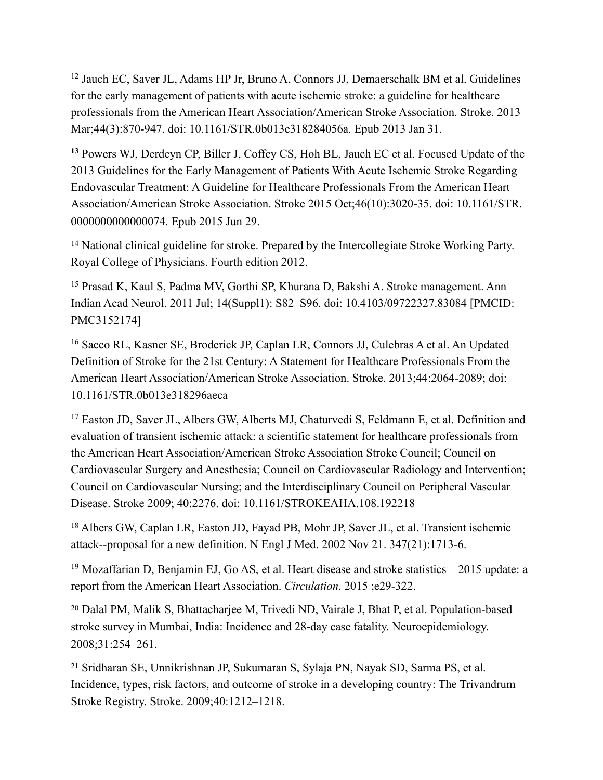<span id="page-32-0"></span> $12$  [Jauch EC,](http://www.ncbi.nlm.nih.gov/pubmed/?term=Jauch%2520EC%255BAuthor%255D&cauthor=true&cauthor_uid=23370205) [Saver JL,](http://www.ncbi.nlm.nih.gov/pubmed/?term=Saver%2520JL%255BAuthor%255D&cauthor=true&cauthor_uid=23370205) [Adams HP Jr,](http://www.ncbi.nlm.nih.gov/pubmed/?term=Adams%2520HP%2520Jr%255BAuthor%255D&cauthor=true&cauthor_uid=23370205) [Bruno A](http://www.ncbi.nlm.nih.gov/pubmed/?term=Bruno%2520A%255BAuthor%255D&cauthor=true&cauthor_uid=23370205), [Connors JJ](http://www.ncbi.nlm.nih.gov/pubmed/?term=Connors%2520JJ%255BAuthor%255D&cauthor=true&cauthor_uid=23370205), [Demaerschalk BM](http://www.ncbi.nlm.nih.gov/pubmed/?term=Demaerschalk%2520BM%255BAuthor%255D&cauthor=true&cauthor_uid=23370205) et al. Guidelines for the early management of patients with acute ischemic stroke: a guideline for healthcare professionals from the American Heart Association/American Stroke Association. [Stroke.](http://www.ncbi.nlm.nih.gov/pubmed/23370205) 2013 Mar;44(3):870-947. doi: 10.1161/STR.0b013e318284056a. Epub 2013 Jan 31.

<span id="page-32-1"></span> [Powers WJ](http://www.ncbi.nlm.nih.gov/pubmed/?term=Powers%2520WJ%255BAuthor%255D&cauthor=true&cauthor_uid=26123479), [Derdeyn CP,](http://www.ncbi.nlm.nih.gov/pubmed/?term=Derdeyn%2520CP%255BAuthor%255D&cauthor=true&cauthor_uid=26123479) [Biller J,](http://www.ncbi.nlm.nih.gov/pubmed/?term=Biller%2520J%255BAuthor%255D&cauthor=true&cauthor_uid=26123479) [Coffey CS,](http://www.ncbi.nlm.nih.gov/pubmed/?term=Coffey%2520CS%255BAuthor%255D&cauthor=true&cauthor_uid=26123479) [Hoh BL,](http://www.ncbi.nlm.nih.gov/pubmed/?term=Hoh%2520BL%255BAuthor%255D&cauthor=true&cauthor_uid=26123479) [Jauch EC](http://www.ncbi.nlm.nih.gov/pubmed/?term=Jauch%2520EC%255BAuthor%255D&cauthor=true&cauthor_uid=26123479) et al. Focused Update of the **[13](#page-1-2)** 2013 Guidelines for the Early Management of Patients With Acute Ischemic Stroke Regarding Endovascular Treatment: A Guideline for Healthcare Professionals From the American Heart Association/American Stroke Association. [Stroke](http://www.ncbi.nlm.nih.gov/pubmed/26123479) 2015 Oct;46(10):3020-35. doi: 10.1161/STR. 0000000000000074. Epub 2015 Jun 29.

<span id="page-32-2"></span><sup>[14](#page-1-3)</sup> National clinical guideline for stroke. Prepared by the Intercollegiate Stroke Working Party. Royal College of Physicians. Fourth edition 2012.

<span id="page-32-3"></span><sup>[15](#page-1-4)</sup> Prasad K, Kaul S, Padma MV, Gorthi SP, Khurana D, Bakshi A. Stroke management. Ann Indian Acad Neurol. 2011 Jul; 14(Suppl1): S82–S96. doi: 10.4103/09722327.83084 [PMCID: PMC3152174]

<span id="page-32-4"></span><sup>[16](#page-2-0)</sup> Sacco RL, Kasner SE, Broderick JP, Caplan LR, Connors JJ, Culebras A et al. An Updated Definition of Stroke for the 21st Century: A Statement for Healthcare Professionals From the American Heart Association/American Stroke Association. Stroke. 2013;44:2064-2089; doi: 10.1161/STR.0b013e318296aeca

<span id="page-32-5"></span><sup>[17](#page-2-1)</sup> Easton JD, Saver JL, Albers GW, Alberts MJ, Chaturvedi S, Feldmann E, et al. Definition and evaluation of transient ischemic attack: a scientific statement for healthcare professionals from the American Heart Association/American Stroke Association Stroke Council; Council on Cardiovascular Surgery and Anesthesia; Council on Cardiovascular Radiology and Intervention; Council on Cardiovascular Nursing; and the Interdisciplinary Council on Peripheral Vascular Disease. Stroke 2009; 40:2276. doi: 10.1161/STROKEAHA.108.192218

<span id="page-32-6"></span><sup>[18](#page-2-2)</sup> Albers GW, Caplan LR, Easton JD, Fayad PB, Mohr JP, Saver JL, et al. Transient ischemic attack--proposal for a new definition. N Engl J Med. 2002 Nov 21. 347(21):1713-6.

<span id="page-32-7"></span> $19$  Mozaffarian D, Benjamin EJ, Go AS, et al. Heart disease and stroke statistics—2015 update: a report from the American Heart Association. *Circulation*. 2015 ;e29-322.

<span id="page-32-8"></span><sup>[20](#page-2-4)</sup> Dalal PM, Malik S, Bhattacharjee M, Trivedi ND, Vairale J, Bhat P, et al. Population-based stroke survey in Mumbai, India: Incidence and 28-day case fatality. Neuroepidemiology. 2008;31:254–261.

<span id="page-32-9"></span><sup>[21](#page-2-5)</sup> Sridharan SE, Unnikrishnan JP, Sukumaran S, Sylaja PN, Nayak SD, Sarma PS, et al. Incidence, types, risk factors, and outcome of stroke in a developing country: The Trivandrum Stroke Registry. Stroke. 2009;40:1212–1218.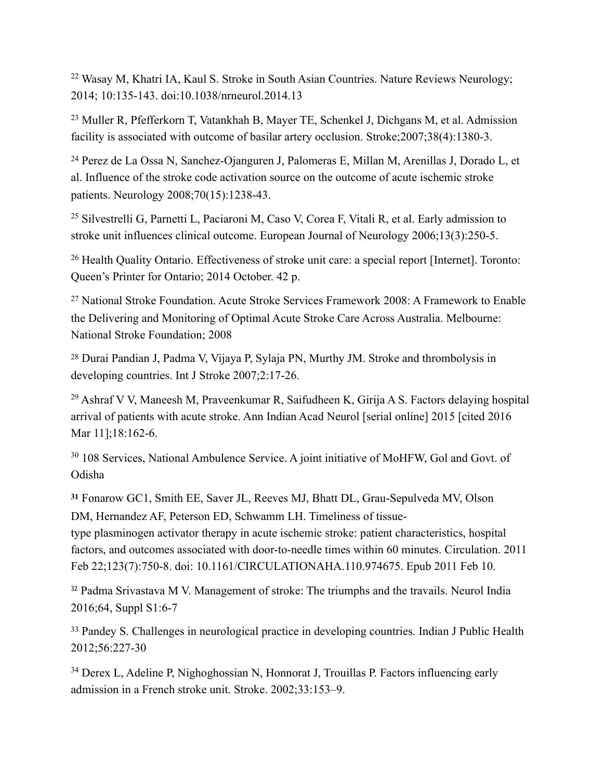<span id="page-33-0"></span><sup>[22](#page-2-6)</sup> Wasay M, Khatri IA, Kaul S. Stroke in South Asian Countries. Nature Reviews Neurology; 2014; 10:135-143. doi:10.1038/nrneurol.2014.13

<span id="page-33-1"></span><sup>[23](#page-2-7)</sup> Muller R, Pfefferkorn T, Vatankhah B, Mayer TE, Schenkel J, Dichgans M, et al. Admission facility is associated with outcome of basilar artery occlusion. Stroke;2007;38(4):1380-3.

<span id="page-33-2"></span><sup>[24](#page-3-0)</sup> Perez de La Ossa N, Sanchez-Ojanguren J, Palomeras E, Millan M, Arenillas J, Dorado L, et al. Influence of the stroke code activation source on the outcome of acute ischemic stroke patients. Neurology 2008;70(15):1238-43.

<span id="page-33-3"></span><sup>[25](#page-3-1)</sup> Silvestrelli G, Parnetti L, Paciaroni M, Caso V, Corea F, Vitali R, et al. Early admission to stroke unit influences clinical outcome. European Journal of Neurology 2006;13(3):250-5.

<span id="page-33-4"></span><sup>[26](#page-3-2)</sup> Health Quality Ontario. Effectiveness of stroke unit care: a special report [Internet]. Toronto: Queen's Printer for Ontario; 2014 October. 42 p.

<span id="page-33-5"></span><sup>[27](#page-3-3)</sup> National Stroke Foundation. Acute Stroke Services Framework 2008: A Framework to Enable the Delivering and Monitoring of Optimal Acute Stroke Care Across Australia. Melbourne: National Stroke Foundation; 2008

<span id="page-33-6"></span><sup>[28](#page-3-4)</sup> Durai Pandian J, Padma V, Vijaya P, Sylaja PN, Murthy JM. Stroke and thrombolysis in developing countries. Int J Stroke 2007;2:17-26.

<span id="page-33-7"></span> $29$  Ashraf V V, Maneesh M, Praveenkumar R, Saifudheen K, Girija A S. Factors delaying hospital arrival of patients with acute stroke. Ann Indian Acad Neurol [serial online] 2015 [cited 2016 Mar 11];18:162-6.

<span id="page-33-8"></span> $108$  Services, National Ambulence Service. A joint initiative of MoHFW, Gol and Govt. of Odisha

<span id="page-33-9"></span> [Fonarow GC](http://www.ncbi.nlm.nih.gov/pubmed/?term=Fonarow%2520GC%255BAuthor%255D&cauthor=true&cauthor_uid=21311083)1, [Smith EE,](http://www.ncbi.nlm.nih.gov/pubmed/?term=Smith%2520EE%255BAuthor%255D&cauthor=true&cauthor_uid=21311083) [Saver JL,](http://www.ncbi.nlm.nih.gov/pubmed/?term=Saver%2520JL%255BAuthor%255D&cauthor=true&cauthor_uid=21311083) [Reeves MJ,](http://www.ncbi.nlm.nih.gov/pubmed/?term=Reeves%2520MJ%255BAuthor%255D&cauthor=true&cauthor_uid=21311083) [Bhatt DL,](http://www.ncbi.nlm.nih.gov/pubmed/?term=Bhatt%2520DL%255BAuthor%255D&cauthor=true&cauthor_uid=21311083) [Grau-Sepulveda MV,](http://www.ncbi.nlm.nih.gov/pubmed/?term=Grau-Sepulveda%2520MV%255BAuthor%255D&cauthor=true&cauthor_uid=21311083) [Olson](http://www.ncbi.nlm.nih.gov/pubmed/?term=Olson%2520DM%255BAuthor%255D&cauthor=true&cauthor_uid=21311083) **[31](#page-3-7)** [DM](http://www.ncbi.nlm.nih.gov/pubmed/?term=Olson%2520DM%255BAuthor%255D&cauthor=true&cauthor_uid=21311083), [Hernandez AF](http://www.ncbi.nlm.nih.gov/pubmed/?term=Hernandez%2520AF%255BAuthor%255D&cauthor=true&cauthor_uid=21311083), [Peterson ED](http://www.ncbi.nlm.nih.gov/pubmed/?term=Peterson%2520ED%255BAuthor%255D&cauthor=true&cauthor_uid=21311083), [Schwamm LH.](http://www.ncbi.nlm.nih.gov/pubmed/?term=Schwamm%2520LH%255BAuthor%255D&cauthor=true&cauthor_uid=21311083) Timeliness of tissue-

type plasminogen activator therapy in acute ischemic stroke: patient characteristics, hospital factors, and outcomes associated with door-to-needle times within 60 minutes. [Circulation.](http://www.ncbi.nlm.nih.gov/pubmed/21311083) 2011 Feb 22;123(7):750-8. doi: 10.1161/CIRCULATIONAHA.110.974675. Epub 2011 Feb 10.

<span id="page-33-10"></span><sup>[32](#page-4-0)</sup> Padma Srivastava M V. Management of stroke: The triumphs and the travails. Neurol India 2016;64, Suppl S1:6-7

<span id="page-33-11"></span><sup>[33](#page-4-1)</sup> Pandey S. Challenges in neurological practice in developing countries. Indian J Public Health 2012;56:227-30

<span id="page-33-12"></span><sup>[34](#page-4-2)</sup> Derex L, Adeline P, Nighoghossian N, Honnorat J, Trouillas P. Factors influencing early admission in a French stroke unit. Stroke. 2002;33:153–9.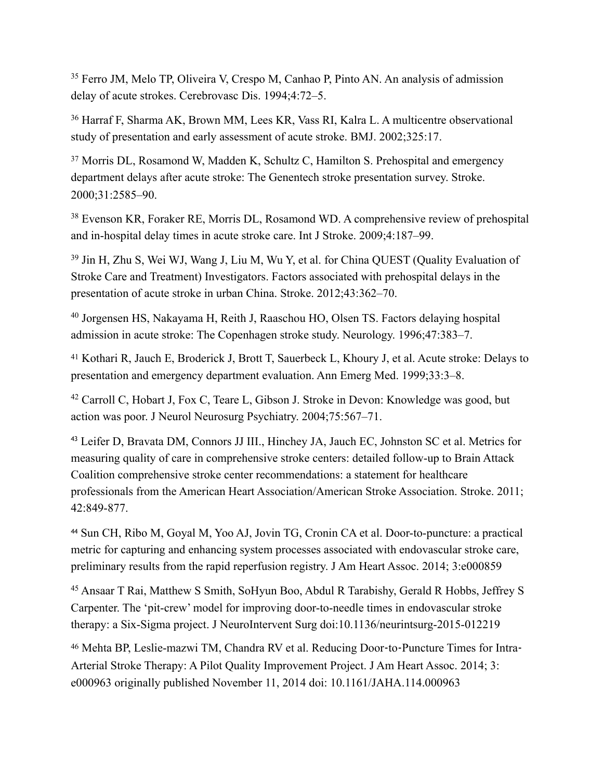<span id="page-34-0"></span><sup>[35](#page-4-3)</sup> Ferro JM, Melo TP, Oliveira V, Crespo M, Canhao P, Pinto AN. An analysis of admission delay of acute strokes. Cerebrovasc Dis. 1994;4:72–5.

<span id="page-34-1"></span><sup>[36](#page-4-4)</sup> Harraf F, Sharma AK, Brown MM, Lees KR, Vass RI, Kalra L. A multicentre observational study of presentation and early assessment of acute stroke. BMJ. 2002;325:17.

<span id="page-34-2"></span><sup>[37](#page-4-5)</sup> Morris DL, Rosamond W, Madden K, Schultz C, Hamilton S. Prehospital and emergency department delays after acute stroke: The Genentech stroke presentation survey. Stroke. 2000;31:2585–90.

<span id="page-34-3"></span><sup>[38](#page-4-6)</sup> Evenson KR, Foraker RE, Morris DL, Rosamond WD. A comprehensive review of prehospital and in-hospital delay times in acute stroke care. Int J Stroke. 2009;4:187–99.

<span id="page-34-4"></span><sup>[39](#page-4-7)</sup> Jin H, Zhu S, Wei WJ, Wang J, Liu M, Wu Y, et al. for China QUEST (Quality Evaluation of Stroke Care and Treatment) Investigators. Factors associated with prehospital delays in the presentation of acute stroke in urban China. Stroke. 2012;43:362–70.

<span id="page-34-5"></span><sup>[40](#page-4-8)</sup> Jorgensen HS, Nakayama H, Reith J, Raaschou HO, Olsen TS. Factors delaying hospital admission in acute stroke: The Copenhagen stroke study. Neurology. 1996;47:383–7.

<span id="page-34-6"></span><sup>[41](#page-4-9)</sup> Kothari R, Jauch E, Broderick J, Brott T, Sauerbeck L, Khoury J, et al. Acute stroke: Delays to presentation and emergency department evaluation. Ann Emerg Med. 1999;33:3–8.

<span id="page-34-7"></span><sup>[42](#page-4-10)</sup> Carroll C, Hobart J, Fox C, Teare L, Gibson J. Stroke in Devon: Knowledge was good, but action was poor. J Neurol Neurosurg Psychiatry. 2004;75:567–71.

<span id="page-34-8"></span><sup>[43](#page-4-11)</sup> Leifer D, Bravata DM, Connors JJ III., Hinchey JA, Jauch EC, Johnston SC et al. Metrics for measuring quality of care in comprehensive stroke centers: detailed follow-up to Brain Attack Coalition comprehensive stroke center recommendations: a statement for healthcare professionals from the American Heart Association/American Stroke Association. Stroke. 2011; 42:849-877.

<span id="page-34-9"></span><sup>[44](#page-4-12)</sup> Sun CH, Ribo M, Goyal M, Yoo AJ, Jovin TG, Cronin CA et al. Door-to-puncture: a practical metric for capturing and enhancing system processes associated with endovascular stroke care, preliminary results from the rapid reperfusion registry. J Am Heart Assoc. 2014; 3:e000859

<span id="page-34-10"></span><sup>[45](#page-4-13)</sup> Ansaar T Rai, Matthew S Smith, SoHyun Boo, Abdul R Tarabishy, Gerald R Hobbs, Jeffrey S Carpenter. The 'pit-crew' model for improving door-to-needle times in endovascular stroke therapy: a Six-Sigma project. J NeuroIntervent Surg doi:10.1136/neurintsurg-2015-012219

<span id="page-34-11"></span><sup>[46](#page-4-14)</sup> Mehta BP, Leslie-mazwi TM, Chandra RV et al. Reducing Door-to-Puncture Times for Intra-Arterial Stroke Therapy: A Pilot Quality Improvement Project. J Am Heart Assoc. 2014; 3: e000963 originally published November 11, 2014 doi: 10.1161/JAHA.114.000963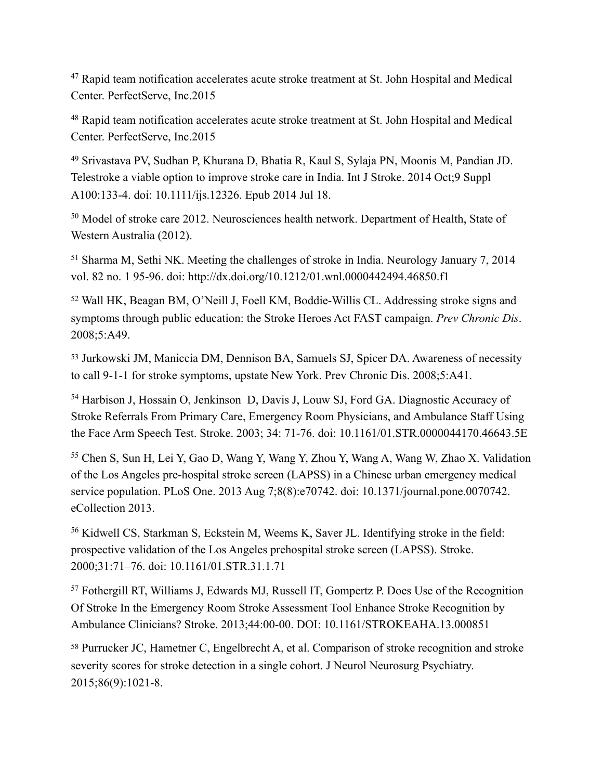<span id="page-35-0"></span><sup>[47](#page-4-15)</sup> Rapid team notification accelerates acute stroke treatment at St. John Hospital and Medical Center. PerfectServe, Inc.2015

<span id="page-35-1"></span><sup>[48](#page-4-16)</sup> Rapid team notification accelerates acute stroke treatment at St. John Hospital and Medical Center. PerfectServe, Inc.2015

<span id="page-35-2"></span> Srivastava PV, Sudhan P, Khurana D, Bhatia R, Kaul S, Sylaja PN, Moonis M, Pandian JD. [49](#page-5-0) Telestroke a viable option to improve stroke care in India. Int J Stroke. 2014 Oct;9 Suppl A100:133-4. doi: 10.1111/ijs.12326. Epub 2014 Jul 18.

<span id="page-35-3"></span> $50$  Model of stroke care 2012. Neurosciences health network. Department of Health, State of Western Australia (2012).

<span id="page-35-4"></span> $51$  Sharma M, Sethi NK. Meeting the challenges of stroke in India. Neurology January 7, 2014 vol. 82 no. 1 95-96. doi: http://dx.doi.org/10.1212/01.wnl.0000442494.46850.f1

<span id="page-35-5"></span> Wall HK, Beagan BM, O'Neill J, Foell KM, Boddie-Willis CL. Addressing stroke signs and [52](#page-6-2) symptoms through public education: the Stroke Heroes Act FAST campaign. *Prev Chronic Dis*. 2008;5:A49.

<span id="page-35-6"></span>[53](#page-6-3) Jurkowski JM, Maniccia DM, Dennison BA, Samuels SJ, Spicer DA. Awareness of necessity to call 9-1-1 for stroke symptoms, upstate New York. Prev Chronic Dis. 2008;5:A41.

<span id="page-35-7"></span><sup>[54](#page-6-4)</sup> Harbison J, Hossain O, Jenkinson D, Davis J, Louw SJ, Ford GA. Diagnostic Accuracy of Stroke Referrals From Primary Care, Emergency Room Physicians, and Ambulance Staff Using the Face Arm Speech Test. Stroke. 2003; 34: 71-76. doi: 10.1161/01.STR.0000044170.46643.5E

<span id="page-35-8"></span><sup>[55](#page-6-5)</sup> Chen S, Sun H, Lei Y, Gao D, Wang Y, Wang Y, Zhou Y, Wang A, Wang W, Zhao X. Validation of the Los Angeles pre-hospital stroke screen (LAPSS) in a Chinese urban emergency medical service population. PLoS One. 2013 Aug 7;8(8):e70742. doi: 10.1371/journal.pone.0070742. eCollection 2013.

<span id="page-35-9"></span><sup>[56](#page-7-0)</sup> Kidwell CS, Starkman S, Eckstein M, Weems K, Saver JL. Identifying stroke in the field: prospective validation of the Los Angeles prehospital stroke screen (LAPSS). Stroke. 2000;31:71–76. doi: 10.1161/01.STR.31.1.71

<span id="page-35-10"></span><sup>[57](#page-7-1)</sup> Fothergill RT, Williams J, Edwards MJ, Russell IT, Gompertz P, Does Use of the Recognition Of Stroke In the Emergency Room Stroke Assessment Tool Enhance Stroke Recognition by Ambulance Clinicians? Stroke. 2013;44:00-00. DOI: 10.1161/STROKEAHA.13.000851

<span id="page-35-11"></span><sup>[58](#page-7-2)</sup> Purrucker JC, Hametner C, Engelbrecht A, et al. Comparison of stroke recognition and stroke severity scores for stroke detection in a single cohort. J Neurol Neurosurg Psychiatry. 2015;86(9):1021-8.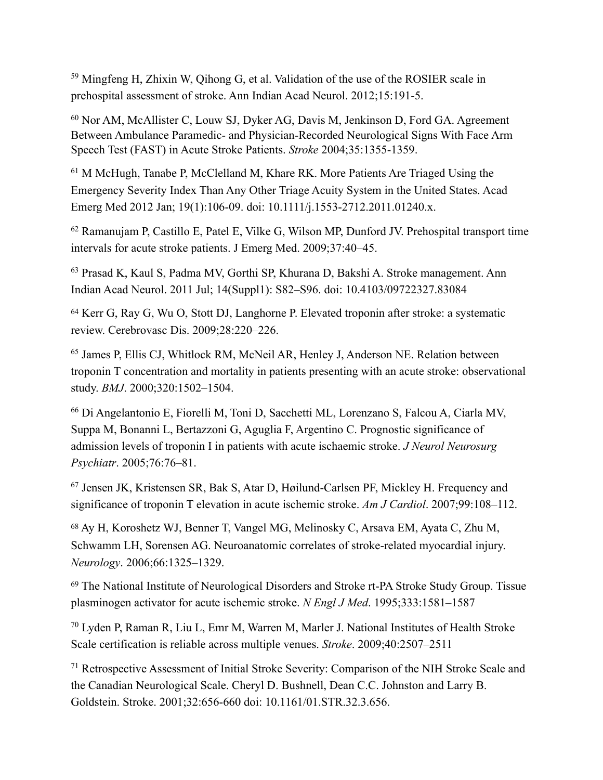<span id="page-36-0"></span> $59$  Mingfeng H, Zhixin W, Qihong G, et al. Validation of the use of the ROSIER scale in prehospital assessment of stroke. Ann Indian Acad Neurol. 2012;15:191-5.

<span id="page-36-1"></span> $60$  Nor AM, McAllister C, Louw SJ, Dyker AG, Davis M, Jenkinson D, Ford GA. Agreement Between Ambulance Paramedic- and Physician-Recorded Neurological Signs With Face Arm Speech Test (FAST) in Acute Stroke Patients. *Stroke* 2004;35:1355-1359.

<span id="page-36-2"></span> $<sup>61</sup>$  $<sup>61</sup>$  $<sup>61</sup>$  M McHugh, Tanabe P, McClelland M, Khare RK. More Patients Are Triaged Using the</sup> Emergency Severity Index Than Any Other Triage Acuity System in the United States. Acad Emerg Med 2012 Jan; 19(1):106-09. doi: 10.1111/j.1553-2712.2011.01240.x.

<span id="page-36-3"></span><sup>[62](#page-7-6)</sup> Ramanujam P, Castillo E, Patel E, Vilke G, Wilson MP, Dunford JV. Prehospital transport time intervals for acute stroke patients. J Emerg Med. 2009;37:40–45.

<span id="page-36-4"></span><sup>[63](#page-7-7)</sup> Prasad K, Kaul S, Padma MV, Gorthi SP, Khurana D, Bakshi A. Stroke management. Ann Indian Acad Neurol. 2011 Jul; 14(Suppl1): S82–S96. doi: 10.4103/09722327.83084

<span id="page-36-5"></span><sup>[64](#page-8-0)</sup> Kerr G, Ray G, Wu O, Stott DJ, Langhorne P. Elevated troponin after stroke: a systematic review. Cerebrovasc Dis. 2009;28:220–226.

<span id="page-36-6"></span><sup>[65](#page-8-1)</sup> James P, Ellis CJ, Whitlock RM, McNeil AR, Henley J, Anderson NE. Relation between troponin T concentration and mortality in patients presenting with an acute stroke: observational study. *BMJ*. 2000;320:1502–1504.

<span id="page-36-7"></span> Di Angelantonio E, Fiorelli M, Toni D, Sacchetti ML, Lorenzano S, Falcou A, Ciarla MV, [66](#page-8-2) Suppa M, Bonanni L, Bertazzoni G, Aguglia F, Argentino C. Prognostic significance of admission levels of troponin I in patients with acute ischaemic stroke. *J Neurol Neurosurg Psychiatr*. 2005;76:76–81.

<span id="page-36-8"></span><sup>[67](#page-8-3)</sup> Jensen JK, Kristensen SR, Bak S, Atar D, Høilund-Carlsen PF, Mickley H. Frequency and significance of troponin T elevation in acute ischemic stroke. *Am J Cardiol*. 2007;99:108–112.

<span id="page-36-9"></span><sup>[68](#page-8-4)</sup> Ay H, Koroshetz WJ, Benner T, Vangel MG, Melinosky C, Arsava EM, Ayata C, Zhu M, Schwamm LH, Sorensen AG. Neuroanatomic correlates of stroke-related myocardial injury. *Neurology*. 2006;66:1325–1329.

<span id="page-36-10"></span><sup>[69](#page-9-0)</sup> The National Institute of Neurological Disorders and Stroke rt-PA Stroke Study Group. Tissue plasminogen activator for acute ischemic stroke. *N Engl J Med*. 1995;333:1581–1587

<span id="page-36-11"></span> Lyden P, Raman R, Liu L, Emr M, Warren M, Marler J. National Institutes of Health Stroke [70](#page-9-1) Scale certification is reliable across multiple venues. *Stroke*. 2009;40:2507–2511

<span id="page-36-12"></span><sup>[71](#page-9-2)</sup> Retrospective Assessment of Initial Stroke Severity: Comparison of the NIH Stroke Scale and the Canadian Neurological Scale. Cheryl D. Bushnell, Dean C.C. Johnston and Larry B. Goldstein. Stroke. 2001;32:656-660 doi: 10.1161/01.STR.32.3.656.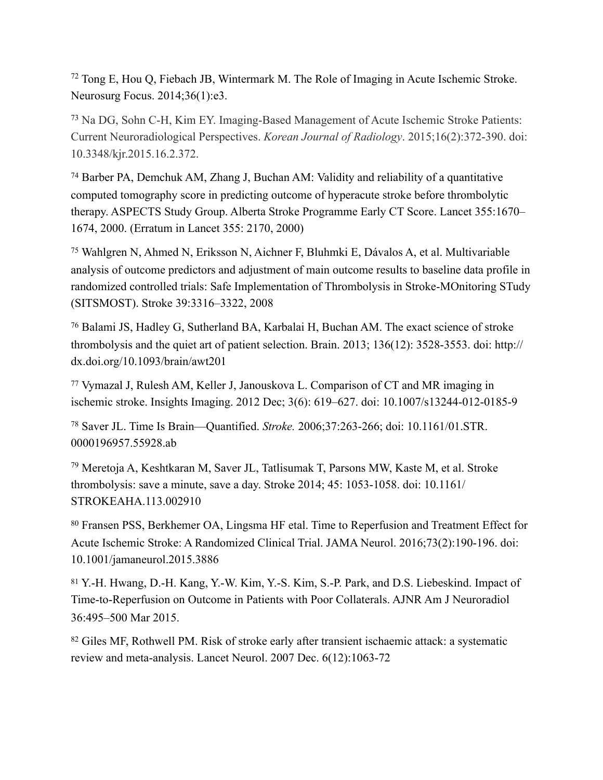<span id="page-37-0"></span> $72$  Tong E, Hou Q, Fiebach JB, Wintermark M. The Role of Imaging in Acute Ischemic Stroke. Neurosurg Focus. 2014;36(1):e3.

<span id="page-37-1"></span><sup>[73](#page-9-4)</sup> Na DG, Sohn C-H, Kim EY. Imaging-Based Management of Acute Ischemic Stroke Patients: Current Neuroradiological Perspectives. *Korean Journal of Radiology*. 2015;16(2):372-390. doi: 10.3348/kjr.2015.16.2.372.

<span id="page-37-2"></span><sup>[74](#page-9-5)</sup> Barber PA, Demchuk AM, Zhang J, Buchan AM: Validity and reliability of a quantitative computed tomography score in predicting outcome of hyperacute stroke before thrombolytic therapy. ASPECTS Study Group. Alberta Stroke Programme Early CT Score. Lancet 355:1670– 1674, 2000. (Erratum in Lancet 355: 2170, 2000)

<span id="page-37-3"></span>Wahlgren N, Ahmed N, Eriksson N, Aichner F, Bluhmki E, Dávalos A, et al. Multivariable [75](#page-9-6) analysis of outcome predictors and adjustment of main outcome results to baseline data profile in randomized controlled trials: Safe Implementation of Thrombolysis in Stroke-MOnitoring STudy (SITSMOST). Stroke 39:3316–3322, 2008

<span id="page-37-4"></span><sup>[76](#page-10-0)</sup> Balami JS, Hadley G, Sutherland BA, Karbalai H, Buchan AM. The exact science of stroke thrombolysis and the quiet art of patient selection. Brain. 2013; 136(12): 3528-3553. doi: http:// dx.doi.org/10.1093/brain/awt201

<span id="page-37-5"></span> Vymazal J, Rulesh AM, Keller J, Janouskova L. Comparison of CT and MR imaging in [77](#page-10-1) ischemic stroke. Insights Imaging. 2012 Dec; 3(6): 619–627. doi: 10.1007/s13244-012-0185-9

<span id="page-37-6"></span> Saver JL. Time Is Brain—Quantified. *Stroke.* 2006;37:263-266; doi: 10.1161/01.STR. [78](#page-10-2) 0000196957.55928.ab

<span id="page-37-7"></span><sup>[79](#page-10-3)</sup> Meretoja A, Keshtkaran M, Saver JL, Tatlisumak T, Parsons MW, Kaste M, et al. Stroke thrombolysis: save a minute, save a day. Stroke 2014; 45: 1053-1058. doi: 10.1161/ STROKEAHA.113.002910

<span id="page-37-8"></span>[80](#page-10-4) Fransen PSS, Berkhemer OA, Lingsma HF etal. Time to Reperfusion and Treatment Effect for Acute Ischemic Stroke: A Randomized Clinical Trial. JAMA Neurol. 2016;73(2):190-196. doi: 10.1001/jamaneurol.2015.3886

<span id="page-37-9"></span> Y.-H. Hwang, D.-H. Kang, Y.-W. Kim, Y.-S. Kim, S.-P. Park, and D.S. Liebeskind. Impact of [81](#page-11-0) Time-to-Reperfusion on Outcome in Patients with Poor Collaterals. AJNR Am J Neuroradiol 36:495–500 Mar 2015.

<span id="page-37-10"></span><sup>[82](#page-11-1)</sup> Giles MF, Rothwell PM. Risk of stroke early after transient ischaemic attack: a systematic review and meta-analysis. Lancet Neurol. 2007 Dec. 6(12):1063-72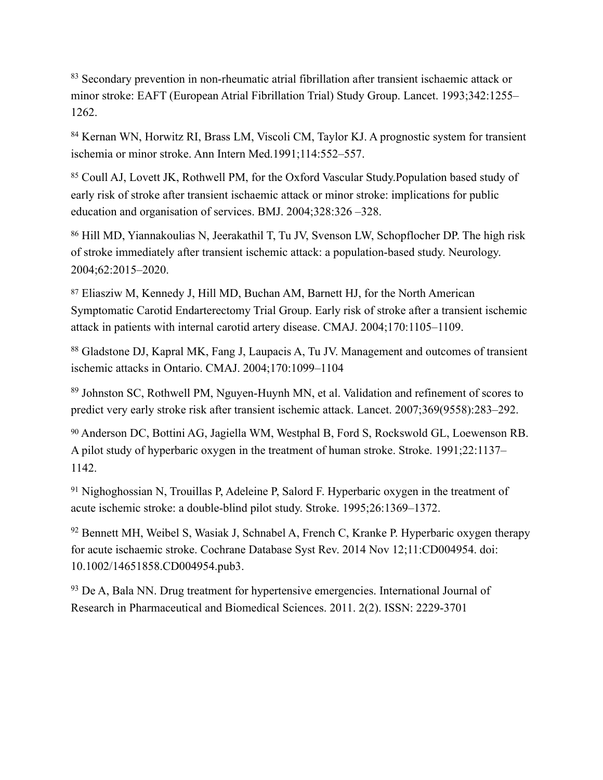<span id="page-38-0"></span><sup>[83](#page-11-2)</sup> Secondary prevention in non-rheumatic atrial fibrillation after transient ischaemic attack or minor stroke: EAFT (European Atrial Fibrillation Trial) Study Group. Lancet. 1993;342:1255– 1262.

<span id="page-38-1"></span><sup>[84](#page-11-3)</sup> Kernan WN, Horwitz RI, Brass LM, Viscoli CM, Taylor KJ. A prognostic system for transient ischemia or minor stroke. Ann Intern Med.1991;114:552–557.

<span id="page-38-2"></span>[85](#page-11-4) Coull AJ, Lovett JK, Rothwell PM, for the Oxford Vascular Study.Population based study of early risk of stroke after transient ischaemic attack or minor stroke: implications for public education and organisation of services. BMJ. 2004;328:326 –328.

<span id="page-38-3"></span>[86](#page-11-5) Hill MD, Yiannakoulias N, Jeerakathil T, Tu JV, Svenson LW, Schopflocher DP. The high risk of stroke immediately after transient ischemic attack: a population-based study. Neurology. 2004;62:2015–2020.

<span id="page-38-4"></span> Eliasziw M, Kennedy J, Hill MD, Buchan AM, Barnett HJ, for the North American [87](#page-11-6) Symptomatic Carotid Endarterectomy Trial Group. Early risk of stroke after a transient ischemic attack in patients with internal carotid artery disease. CMAJ. 2004;170:1105–1109.

<span id="page-38-5"></span><sup>[88](#page-11-7)</sup> Gladstone DJ, Kapral MK, Fang J, Laupacis A, Tu JV. Management and outcomes of transient ischemic attacks in Ontario. CMAJ. 2004;170:1099–1104

<span id="page-38-6"></span><sup>[89](#page-12-0)</sup> Johnston SC, Rothwell PM, Nguyen-Huynh MN, et al. Validation and refinement of scores to predict very early stroke risk after transient ischemic attack. Lancet. 2007;369(9558):283–292.

<span id="page-38-7"></span><sup>[90](#page-13-0)</sup> Anderson DC, Bottini AG, Jagiella WM, Westphal B, Ford S, Rockswold GL, Loewenson RB. A pilot study of hyperbaric oxygen in the treatment of human stroke. Stroke. 1991;22:1137– 1142.

<span id="page-38-8"></span><sup>[91](#page-13-1)</sup> Nighoghossian N, Trouillas P, Adeleine P, Salord F. Hyperbaric oxygen in the treatment of acute ischemic stroke: a double-blind pilot study. Stroke. 1995;26:1369–1372.

<span id="page-38-9"></span> $92$  Bennett MH, Weibel S, Wasiak J, Schnabel A, French C, Kranke P. Hyperbaric oxygen therapy for acute ischaemic stroke. Cochrane Database Syst Rev. 2014 Nov 12;11:CD004954. doi: 10.1002/14651858.CD004954.pub3.

<span id="page-38-10"></span> $93$  De A, Bala NN. Drug treatment for hypertensive emergencies. International Journal of Research in Pharmaceutical and Biomedical Sciences. 2011. 2(2). ISSN: 2229-3701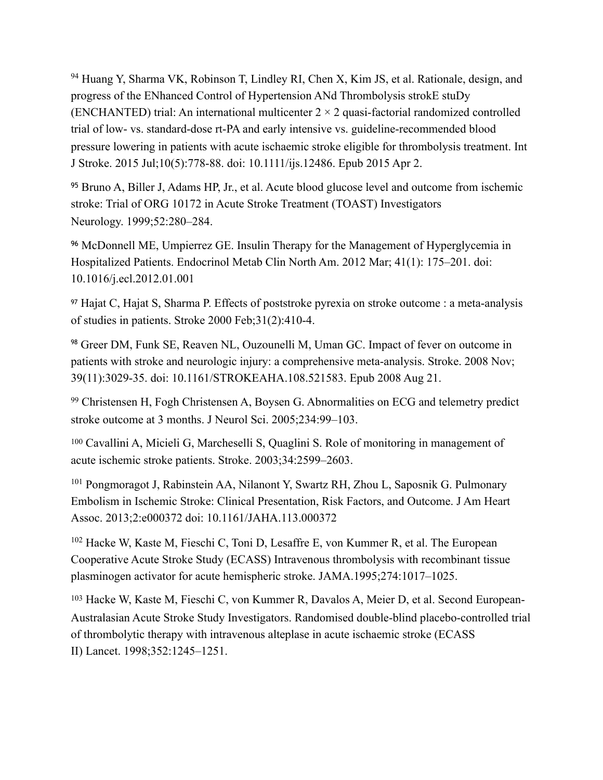<span id="page-39-0"></span><sup>[94](#page-13-4)</sup> Huang Y, Sharma VK, Robinson T, Lindley RI, Chen X, Kim JS, et al. Rationale, design, and progress of the ENhanced Control of Hypertension ANd Thrombolysis strokE stuDy (ENCHANTED) trial: An international multicenter  $2 \times 2$  quasi-factorial randomized controlled trial of low- vs. standard-dose rt-PA and early intensive vs. guideline-recommended blood pressure lowering in patients with acute ischaemic stroke eligible for thrombolysis treatment. Int J Stroke. 2015 Jul;10(5):778-88. doi: 10.1111/ijs.12486. Epub 2015 Apr 2.

<span id="page-39-1"></span>[95](#page-13-5) Bruno A, Biller J, Adams HP, Jr., et al. Acute blood glucose level and outcome from ischemic stroke: Trial of ORG 10172 in Acute Stroke Treatment (TOAST) Investigators Neurology. 1999;52:280–284.

<span id="page-39-2"></span><sup>[96](#page-13-6)</sup> McDonnell ME, Umpierrez GE. Insulin Therapy for the Management of Hyperglycemia in Hospitalized Patients. Endocrinol Metab Clin North Am. 2012 Mar; 41(1): 175–201. doi: 10.1016/j.ecl.2012.01.001

<span id="page-39-3"></span><sup>[97](#page-14-0)</sup> Hajat C, Hajat S, Sharma P. Effects of poststroke pyrexia on stroke outcome : a meta-analysis of studies in patients. Stroke 2000 Feb;31(2):410-4.

<span id="page-39-4"></span><sup>[98](#page-14-1)</sup> Greer DM, Funk SE, Reaven NL, Ouzounelli M, Uman GC. Impact of fever on outcome in patients with stroke and neurologic injury: a comprehensive meta-analysis. Stroke. 2008 Nov; 39(11):3029-35. doi: 10.1161/STROKEAHA.108.521583. Epub 2008 Aug 21.

<span id="page-39-5"></span><sup>[99](#page-14-2)</sup> Christensen H, Fogh Christensen A, Boysen G. Abnormalities on ECG and telemetry predict stroke outcome at 3 months. J Neurol Sci. 2005;234:99–103.

<span id="page-39-6"></span><sup>[100](#page-14-3)</sup> Cavallini A, Micieli G, Marcheselli S, Quaglini S. Role of monitoring in management of acute ischemic stroke patients. Stroke. 2003;34:2599–2603.

<span id="page-39-7"></span><sup>[101](#page-14-4)</sup> Pongmoragot J, Rabinstein AA, Nilanont Y, Swartz RH, Zhou L, Saposnik G, Pulmonary Embolism in Ischemic Stroke: Clinical Presentation, Risk Factors, and Outcome. J Am Heart Assoc. 2013;2:e000372 doi: 10.1161/JAHA.113.000372

<span id="page-39-8"></span> $102$  Hacke W, Kaste M, Fieschi C, Toni D, Lesaffre E, von Kummer R, et al. The European Cooperative Acute Stroke Study (ECASS) Intravenous thrombolysis with recombinant tissue plasminogen activator for acute hemispheric stroke. JAMA.1995;274:1017–1025.

<span id="page-39-9"></span><sup>[103](#page-15-1)</sup> Hacke W, Kaste M, Fieschi C, von Kummer R, Davalos A, Meier D, et al. Second European-Australasian Acute Stroke Study Investigators. Randomised double-blind placebo-controlled trial of thrombolytic therapy with intravenous alteplase in acute ischaemic stroke (ECASS II) Lancet. 1998;352:1245–1251.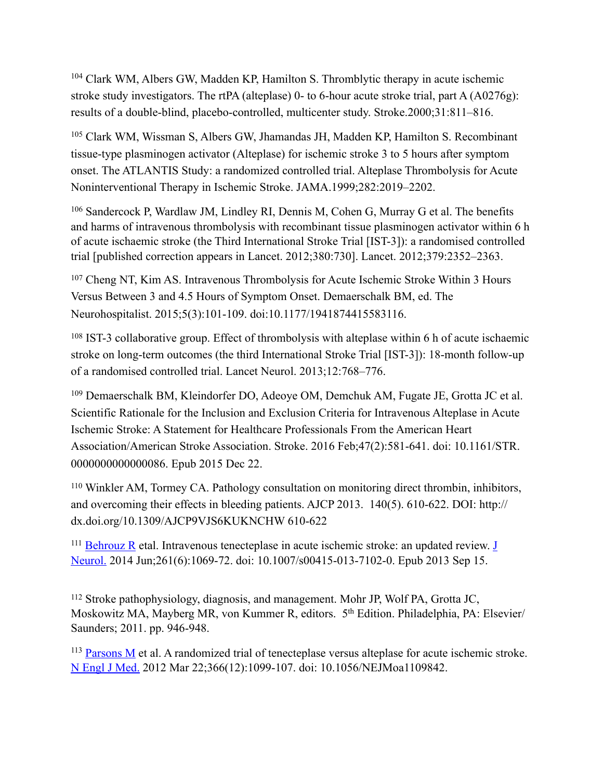<span id="page-40-0"></span><sup>[104](#page-15-2)</sup> Clark WM, Albers GW, Madden KP, Hamilton S. Thromblytic therapy in acute ischemic stroke study investigators. The rtPA (alteplase) 0- to 6-hour acute stroke trial, part A (A0276g): results of a double-blind, placebo-controlled, multicenter study. Stroke.2000;31:811–816.

<span id="page-40-1"></span><sup>[105](#page-15-3)</sup> Clark WM, Wissman S, Albers GW, Jhamandas JH, Madden KP, Hamilton S. Recombinant tissue-type plasminogen activator (Alteplase) for ischemic stroke 3 to 5 hours after symptom onset. The ATLANTIS Study: a randomized controlled trial. Alteplase Thrombolysis for Acute Noninterventional Therapy in Ischemic Stroke. JAMA.1999;282:2019–2202.

<span id="page-40-2"></span><sup>[106](#page-15-4)</sup> Sandercock P, Wardlaw JM, Lindley RI, Dennis M, Cohen G, Murray G et al. The benefits and harms of intravenous thrombolysis with recombinant tissue plasminogen activator within 6 h of acute ischaemic stroke (the Third International Stroke Trial [IST-3]): a randomised controlled trial [published correction appears in Lancet. 2012;380:730]. Lancet. 2012;379:2352–2363.

<span id="page-40-3"></span><sup>[107](#page-16-0)</sup> Cheng NT, Kim AS. Intravenous Thrombolysis for Acute Ischemic Stroke Within 3 Hours Versus Between 3 and 4.5 Hours of Symptom Onset. Demaerschalk BM, ed. The Neurohospitalist. 2015;5(3):101-109. doi:10.1177/1941874415583116.

<span id="page-40-4"></span><sup>[108](#page-16-1)</sup> IST-3 collaborative group. Effect of thrombolysis with alteplase within 6 h of acute ischaemic stroke on long-term outcomes (the third International Stroke Trial [IST-3]): 18-month follow-up of a randomised controlled trial. Lancet Neurol. 2013;12:768–776.

<span id="page-40-5"></span><sup>[109](#page-16-2)</sup> Demaerschalk BM, Kleindorfer DO, Adeoye OM, Demchuk AM, Fugate JE, Grotta JC et al. [Scientific Rationale for the Inclusion and Exclusion Criteria for Intravenous Alteplase in Acute](http://www.ncbi.nlm.nih.gov/pubmed/26696642)  [Ischemic Stroke: A Statement for Healthcare Professionals From the American Heart](http://www.ncbi.nlm.nih.gov/pubmed/26696642)  [Association/American Stroke Association.](http://www.ncbi.nlm.nih.gov/pubmed/26696642) Stroke. 2016 Feb;47(2):581-641. doi: 10.1161/STR. 0000000000000086. Epub 2015 Dec 22.

<span id="page-40-6"></span>Winkler AM, Tormey CA. Pathology consultation on monitoring direct thrombin, inhibitors, [110](#page-17-0) and overcoming their effects in bleeding patients. AJCP 2013. 140(5). 610-622. DOI: http:// dx.doi.org/10.1309/AJCP9VJS6KUKNCHW 610-622

<span id="page-40-7"></span> $^{111}$  $^{111}$  $^{111}$  [Behrouz R](https://www.ncbi.nlm.nih.gov/pubmed/?term=Behrouz%2520R%255BAuthor%255D&cauthor=true&cauthor_uid=24036924) etal. Intravenous tenecteplase in acute ischemic stroke: an updated review. J [Neurol.](https://www.ncbi.nlm.nih.gov/pubmed/24036924) 2014 Jun;261(6):1069-72. doi: 10.1007/s00415-013-7102-0. Epub 2013 Sep 15.

<span id="page-40-8"></span>Stroke pathophysiology, diagnosis, and management. Mohr JP, Wolf PA, Grotta JC, [112](#page-17-2) Moskowitz MA, Mayberg MR, von Kummer R, editors. 5th Edition. Philadelphia, PA: Elsevier/ Saunders; 2011. pp. 946-948.

<span id="page-40-9"></span><sup>113</sup> [Parsons M](https://www.ncbi.nlm.nih.gov/pubmed/?term=Parsons%2520M%255BAuthor%255D&cauthor=true&cauthor_uid=22435369) et al. A randomized trial of tenecteplase versus alteplase for acute ischemic stroke. [N Engl J Med.](https://www.ncbi.nlm.nih.gov/pubmed/22435369) 2012 Mar 22;366(12):1099-107. doi: 10.1056/NEJMoa1109842.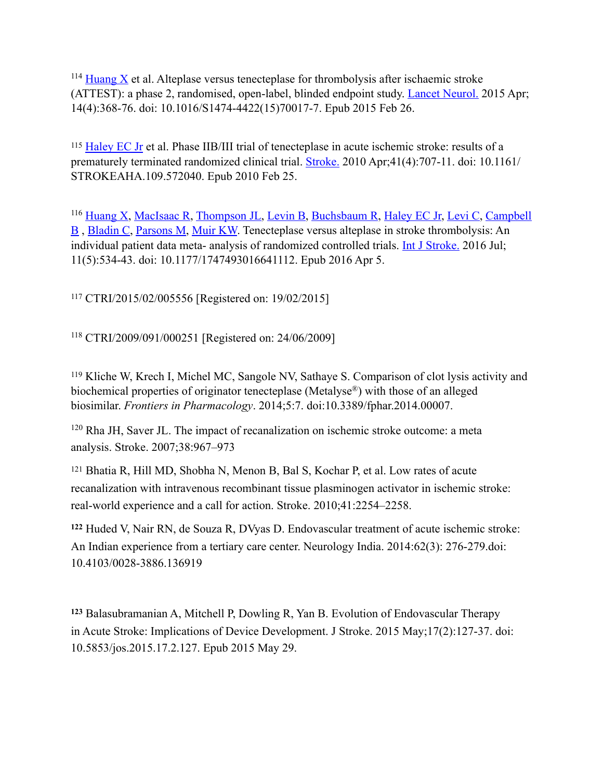<span id="page-41-0"></span> $^{114}$  $^{114}$  $^{114}$  [Huang X](https://www.ncbi.nlm.nih.gov/pubmed/?term=Huang%2520X%255BAuthor%255D&cauthor=true&cauthor_uid=25726502) et al. Alteplase versus tenecteplase for thrombolysis after ischaemic stroke (ATTEST): a phase 2, randomised, open-label, blinded endpoint study. [Lancet Neurol.](https://www.ncbi.nlm.nih.gov/pubmed/25726502) 2015 Apr; 14(4):368-76. doi: 10.1016/S1474-4422(15)70017-7. Epub 2015 Feb 26.

<span id="page-41-1"></span><sup>115</sup> [Haley EC Jr](https://www.ncbi.nlm.nih.gov/pubmed/?term=Haley%2520EC%2520Jr%255BAuthor%255D&cauthor=true&cauthor_uid=20185783) et al. Phase IIB/III trial of tenecteplase in acute ischemic stroke: results of a prematurely terminated randomized clinical trial. [Stroke.](https://www.ncbi.nlm.nih.gov/pubmed/20185783) 2010 Apr;41(4):707-11. doi: 10.1161/ STROKEAHA.109.572040. Epub 2010 Feb 25.

<span id="page-41-2"></span><sup>116</sup> [Huang X](https://www.ncbi.nlm.nih.gov/pubmed/?term=Huang%2520X%255BAuthor%255D&cauthor=true&cauthor_uid=27048693), [MacIsaac R](https://www.ncbi.nlm.nih.gov/pubmed/?term=MacIsaac%2520R%255BAuthor%255D&cauthor=true&cauthor_uid=27048693), [Thompson JL](https://www.ncbi.nlm.nih.gov/pubmed/?term=Thompson%2520JL%255BAuthor%255D&cauthor=true&cauthor_uid=27048693), [Levin B](https://www.ncbi.nlm.nih.gov/pubmed/?term=Levin%2520B%255BAuthor%255D&cauthor=true&cauthor_uid=27048693), [Buchsbaum R](https://www.ncbi.nlm.nih.gov/pubmed/?term=Buchsbaum%2520R%255BAuthor%255D&cauthor=true&cauthor_uid=27048693), [Haley EC Jr,](https://www.ncbi.nlm.nih.gov/pubmed/?term=Haley%2520EC%2520Jr%255BAuthor%255D&cauthor=true&cauthor_uid=27048693) [Levi C](https://www.ncbi.nlm.nih.gov/pubmed/?term=Levi%2520C%255BAuthor%255D&cauthor=true&cauthor_uid=27048693), Campbell [B](https://www.ncbi.nlm.nih.gov/pubmed/?term=Campbell%2520B%255BAuthor%255D&cauthor=true&cauthor_uid=27048693) , [Bladin C](https://www.ncbi.nlm.nih.gov/pubmed/?term=Bladin%2520C%255BAuthor%255D&cauthor=true&cauthor_uid=27048693), [Parsons M](https://www.ncbi.nlm.nih.gov/pubmed/?term=Parsons%2520M%255BAuthor%255D&cauthor=true&cauthor_uid=27048693), [Muir KW.](https://www.ncbi.nlm.nih.gov/pubmed/?term=Muir%2520KW%255BAuthor%255D&cauthor=true&cauthor_uid=27048693) Tenecteplase versus alteplase in stroke thrombolysis: An individual patient data meta- analysis of randomized controlled trials. [Int J Stroke.](https://www.ncbi.nlm.nih.gov/pubmed/27048693) 2016 Jul; 11(5):534-43. doi: 10.1177/1747493016641112. Epub 2016 Apr 5.

<span id="page-41-3"></span>CTRI/2015/02/005556 [Registered on: 19/02/2015] [117](#page-18-0)

<span id="page-41-4"></span>CTRI/2009/091/000251 [Registered on: 24/06/2009] [118](#page-18-1)

<span id="page-41-5"></span><sup>119</sup>Kliche W, Krech I, Michel MC, Sangole NV, Sathaye S. Comparison of clot lysis activity and biochemical properties of originator tenecteplase (Metalyse®) with those of an alleged biosimilar. *Frontiers in Pharmacology*. 2014;5:7. doi:10.3389/fphar.2014.00007.

<span id="page-41-6"></span> $120$  Rha JH, Saver JL. The impact of recanalization on ischemic stroke outcome: a meta analysis. Stroke. 2007;38:967–973

<span id="page-41-7"></span><sup>[121](#page-18-4)</sup> Bhatia R, Hill MD, Shobha N, Menon B, Bal S, Kochar P, et al. Low rates of acute recanalization with intravenous recombinant tissue plasminogen activator in ischemic stroke: real-world experience and a call for action. Stroke. 2010;41:2254–2258.

<span id="page-41-8"></span> Huded V, Nair RN, de Souza R, DVyas D. Endovascular treatment of acute ischemic stroke: **[122](#page-18-5)** An Indian experience from a tertiary care center. Neurology India. 2014:62(3): 276-279.doi: 10.4103/0028-3886.136919

<span id="page-41-9"></span> [Balasubramanian A](http://www.ncbi.nlm.nih.gov/pubmed/?term=Balasubramaian%2520A%255BAuthor%255D&cauthor=true&cauthor_uid=26060800), [Mitchell P,](http://www.ncbi.nlm.nih.gov/pubmed/?term=Mitchell%2520P%255BAuthor%255D&cauthor=true&cauthor_uid=26060800) [Dowling R](http://www.ncbi.nlm.nih.gov/pubmed/?term=Dowling%2520R%255BAuthor%255D&cauthor=true&cauthor_uid=26060800), [Yan B.](http://www.ncbi.nlm.nih.gov/pubmed/?term=Yan%2520B%255BAuthor%255D&cauthor=true&cauthor_uid=26060800) Evolution of Endovascular Therapy **[123](#page-18-6)** in Acute Stroke: Implications of Device Development. [J Stroke.](http://www.ncbi.nlm.nih.gov/pubmed/26060800) 2015 May;17(2):127-37. doi: 10.5853/jos.2015.17.2.127. Epub 2015 May 29.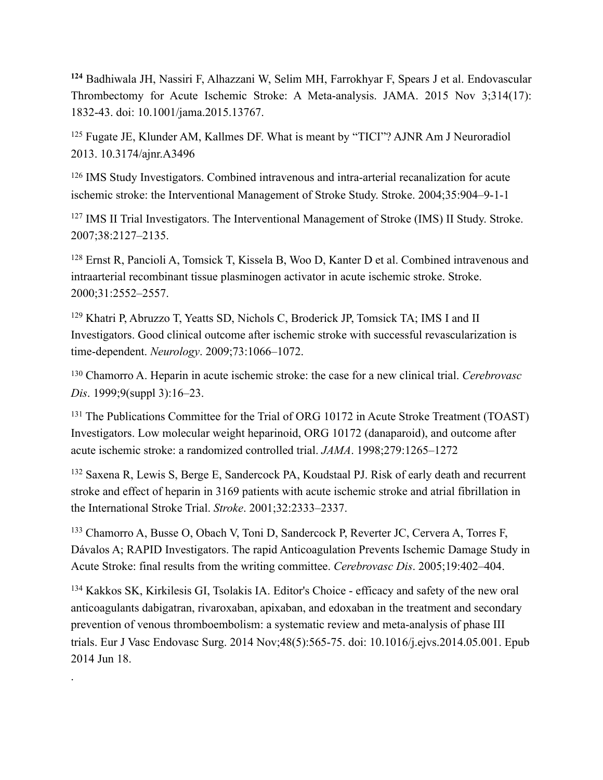<span id="page-42-0"></span> [Badhiwala JH](http://www.ncbi.nlm.nih.gov/pubmed/?term=Badhiwala%2520JH%255BAuthor%255D&cauthor=true&cauthor_uid=26529161), [Nassiri F,](http://www.ncbi.nlm.nih.gov/pubmed/?term=Nassiri%2520F%255BAuthor%255D&cauthor=true&cauthor_uid=26529161) [Alhazzani W,](http://www.ncbi.nlm.nih.gov/pubmed/?term=Alhazzani%2520W%255BAuthor%255D&cauthor=true&cauthor_uid=26529161) [Selim MH](http://www.ncbi.nlm.nih.gov/pubmed/?term=Selim%2520MH%255BAuthor%255D&cauthor=true&cauthor_uid=26529161), [Farrokhyar F,](http://www.ncbi.nlm.nih.gov/pubmed/?term=Farrokhyar%2520F%255BAuthor%255D&cauthor=true&cauthor_uid=26529161) [Spears J](http://www.ncbi.nlm.nih.gov/pubmed/?term=Spears%2520J%255BAuthor%255D&cauthor=true&cauthor_uid=26529161) et al. Endovascular **[124](#page-19-0)** Thrombectomy for Acute Ischemic Stroke: A Meta-analysis. [JAMA.](http://www.ncbi.nlm.nih.gov/pubmed/26529161) 2015 Nov 3;314(17): 1832-43. doi: 10.1001/jama.2015.13767.

<span id="page-42-1"></span><sup>[125](#page-19-1)</sup> Fugate JE, Klunder AM, Kallmes DF. What is meant by "TICI"? AJNR Am J Neuroradiol 2013. 10.3174/ajnr.A3496

<span id="page-42-2"></span><sup>[126](#page-20-0)</sup> IMS Study Investigators. Combined intravenous and intra-arterial recanalization for acute ischemic stroke: the Interventional Management of Stroke Study. Stroke. 2004;35:904–9-1-1

<span id="page-42-3"></span><sup>[127](#page-20-1)</sup> IMS II Trial Investigators. The Interventional Management of Stroke (IMS) II Study. Stroke. 2007;38:2127–2135.

<span id="page-42-4"></span><sup>[128](#page-20-2)</sup> Ernst R, Pancioli A, Tomsick T, Kissela B, Woo D, Kanter D et al. Combined intravenous and intraarterial recombinant tissue plasminogen activator in acute ischemic stroke. Stroke. 2000;31:2552–2557.

<span id="page-42-5"></span><sup>[129](#page-20-3)</sup> Khatri P, Abruzzo T, Yeatts SD, Nichols C, Broderick JP, Tomsick TA; IMS I and II Investigators. Good clinical outcome after ischemic stroke with successful revascularization is time-dependent. *Neurology*. 2009;73:1066–1072.

<span id="page-42-6"></span> Chamorro A. Heparin in acute ischemic stroke: the case for a new clinical trial. *Cerebrovasc* [130](#page-20-4) *Dis*. 1999;9(suppl 3):16–23.

<span id="page-42-7"></span><sup>[131](#page-20-5)</sup> The Publications Committee for the Trial of ORG 10172 in Acute Stroke Treatment (TOAST) Investigators. Low molecular weight heparinoid, ORG 10172 (danaparoid), and outcome after acute ischemic stroke: a randomized controlled trial. *JAMA*. 1998;279:1265–1272

<span id="page-42-8"></span><sup>[132](#page-20-6)</sup> Saxena R, Lewis S, Berge E, Sandercock PA, Koudstaal PJ. Risk of early death and recurrent stroke and effect of heparin in 3169 patients with acute ischemic stroke and atrial fibrillation in the International Stroke Trial. *Stroke*. 2001;32:2333–2337.

<span id="page-42-9"></span><sup>[133](#page-20-7)</sup> Chamorro A, Busse O, Obach V, Toni D, Sandercock P, Reverter JC, Cervera A, Torres F, Dávalos A; RAPID Investigators. The rapid Anticoagulation Prevents Ischemic Damage Study in Acute Stroke: final results from the writing committee. *Cerebrovasc Dis*. 2005;19:402–404.

<span id="page-42-10"></span><sup>134</sup> [Kakkos SK](https://www.ncbi.nlm.nih.gov/pubmed/?term=Kakkos%2520SK%255BAuthor%255D&cauthor=true&cauthor_uid=24951377), [Kirkilesis GI](https://www.ncbi.nlm.nih.gov/pubmed/?term=Kirkilesis%2520GI%255BAuthor%255D&cauthor=true&cauthor_uid=24951377), [Tsolakis IA.](https://www.ncbi.nlm.nih.gov/pubmed/?term=Tsolakis%2520IA%255BAuthor%255D&cauthor=true&cauthor_uid=24951377) Editor's Choice - efficacy and safety of the new oral anticoagulants dabigatran, rivaroxaban, apixaban, and edoxaban in the treatment and secondary prevention of venous thromboembolism: a systematic review and meta-analysis of phase III trials. [Eur J Vasc Endovasc Surg.](https://www.ncbi.nlm.nih.gov/pubmed/24951377) 2014 Nov;48(5):565-75. doi: 10.1016/j.ejvs.2014.05.001. Epub 2014 Jun 18.

.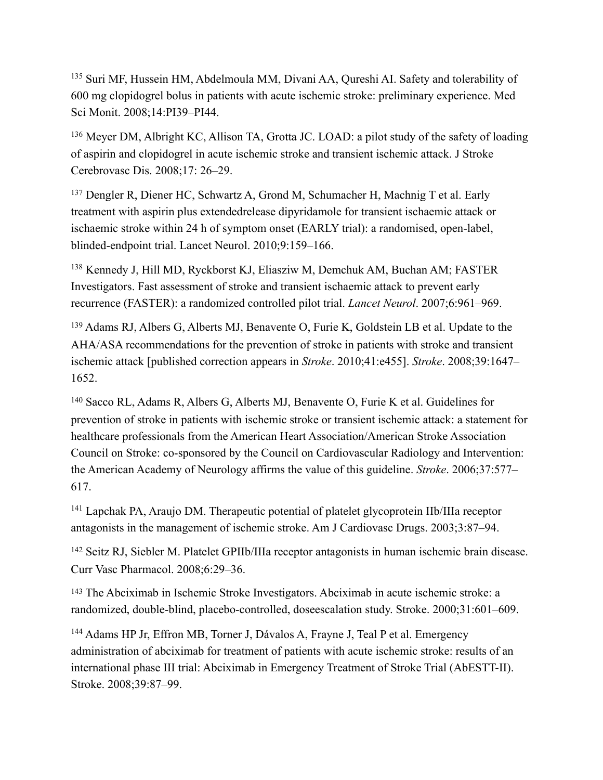<span id="page-43-0"></span><sup>[135](#page-21-0)</sup> Suri MF, Hussein HM, Abdelmoula MM, Divani AA, Qureshi AI. Safety and tolerability of 600 mg clopidogrel bolus in patients with acute ischemic stroke: preliminary experience. Med Sci Monit. 2008;14:PI39–PI44.

<span id="page-43-1"></span><sup>[136](#page-21-1)</sup> Meyer DM, Albright KC, Allison TA, Grotta JC. LOAD: a pilot study of the safety of loading of aspirin and clopidogrel in acute ischemic stroke and transient ischemic attack. J Stroke Cerebrovasc Dis. 2008;17: 26–29.

<span id="page-43-2"></span><sup>[137](#page-21-2)</sup> Dengler R, Diener HC, Schwartz A, Grond M, Schumacher H, Machnig T et al. Early treatment with aspirin plus extendedrelease dipyridamole for transient ischaemic attack or ischaemic stroke within 24 h of symptom onset (EARLY trial): a randomised, open-label, blinded-endpoint trial. Lancet Neurol. 2010;9:159–166.

<span id="page-43-3"></span><sup>[138](#page-21-3)</sup> Kennedy J, Hill MD, Ryckborst KJ, Eliasziw M, Demchuk AM, Buchan AM; FASTER Investigators. Fast assessment of stroke and transient ischaemic attack to prevent early recurrence (FASTER): a randomized controlled pilot trial. *Lancet Neurol*. 2007;6:961–969.

<span id="page-43-4"></span><sup>[139](#page-21-4)</sup> Adams RJ, Albers G, Alberts MJ, Benavente O, Furie K, Goldstein LB et al. Update to the AHA/ASA recommendations for the prevention of stroke in patients with stroke and transient ischemic attack [published correction appears in *Stroke*. 2010;41:e455]. *Stroke*. 2008;39:1647– 1652.

<span id="page-43-5"></span> Sacco RL, Adams R, Albers G, Alberts MJ, Benavente O, Furie K et al. Guidelines for [140](#page-21-5) prevention of stroke in patients with ischemic stroke or transient ischemic attack: a statement for healthcare professionals from the American Heart Association/American Stroke Association Council on Stroke: co-sponsored by the Council on Cardiovascular Radiology and Intervention: the American Academy of Neurology affirms the value of this guideline. *Stroke*. 2006;37:577– 617.

<span id="page-43-6"></span><sup>[141](#page-21-6)</sup> Lapchak PA, Araujo DM. Therapeutic potential of platelet glycoprotein IIb/IIIa receptor antagonists in the management of ischemic stroke. Am J Cardiovasc Drugs. 2003;3:87–94.

<span id="page-43-7"></span><sup>[142](#page-21-7)</sup> Seitz RJ, Siebler M. Platelet GPIIb/IIIa receptor antagonists in human ischemic brain disease. Curr Vasc Pharmacol. 2008;6:29–36.

<span id="page-43-8"></span><sup>[143](#page-21-8)</sup> The Abciximab in Ischemic Stroke Investigators. Abciximab in acute ischemic stroke: a randomized, double-blind, placebo-controlled, doseescalation study. Stroke. 2000;31:601–609.

<span id="page-43-9"></span><sup>[144](#page-21-9)</sup> Adams HP Jr, Effron MB, Torner J, Dávalos A, Frayne J, Teal P et al. Emergency administration of abciximab for treatment of patients with acute ischemic stroke: results of an international phase III trial: Abciximab in Emergency Treatment of Stroke Trial (AbESTT-II). Stroke. 2008;39:87–99.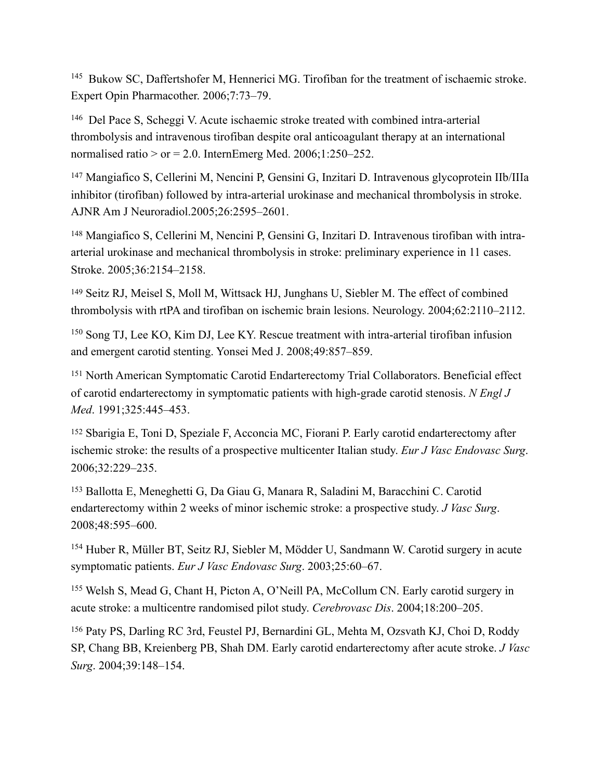<span id="page-44-0"></span><sup>[145](#page-21-10)</sup> Bukow SC, Daffertshofer M, Hennerici MG. Tirofiban for the treatment of ischaemic stroke. Expert Opin Pharmacother. 2006;7:73–79.

<span id="page-44-1"></span><sup>[146](#page-21-11)</sup> Del Pace S, Scheggi V. Acute ischaemic stroke treated with combined intra-arterial thrombolysis and intravenous tirofiban despite oral anticoagulant therapy at an international normalised ratio  $>$  or = 2.0. InternEmerg Med. 2006;1:250–252.

<span id="page-44-2"></span><sup>[147](#page-21-12)</sup> Mangiafico S, Cellerini M, Nencini P, Gensini G, Inzitari D. Intravenous glycoprotein IIb/IIIa inhibitor (tirofiban) followed by intra-arterial urokinase and mechanical thrombolysis in stroke. AJNR Am J Neuroradiol.2005;26:2595–2601.

<span id="page-44-3"></span><sup>[148](#page-21-13)</sup> Mangiafico S, Cellerini M, Nencini P, Gensini G, Inzitari D. Intravenous tirofiban with intraarterial urokinase and mechanical thrombolysis in stroke: preliminary experience in 11 cases. Stroke. 2005;36:2154–2158.

<span id="page-44-4"></span><sup>[149](#page-21-14)</sup> Seitz RJ, Meisel S, Moll M, Wittsack HJ, Junghans U, Siebler M. The effect of combined thrombolysis with rtPA and tirofiban on ischemic brain lesions. Neurology. 2004;62:2110–2112.

<span id="page-44-5"></span> $150$  Song TJ, Lee KO, Kim DJ, Lee KY. Rescue treatment with intra-arterial tirofiban infusion and emergent carotid stenting. Yonsei Med J. 2008;49:857–859.

<span id="page-44-6"></span><sup>[151](#page-22-0)</sup> North American Symptomatic Carotid Endarterectomy Trial Collaborators. Beneficial effect of carotid endarterectomy in symptomatic patients with high-grade carotid stenosis. *N Engl J Med*. 1991;325:445–453.

<span id="page-44-7"></span><sup>[152](#page-22-1)</sup> Sbarigia E, Toni D, Speziale F, Acconcia MC, Fiorani P. Early carotid endarterectomy after ischemic stroke: the results of a prospective multicenter Italian study. *Eur J Vasc Endovasc Surg*. 2006;32:229–235.

<span id="page-44-8"></span><sup>[153](#page-22-2)</sup> Ballotta E, Meneghetti G, Da Giau G, Manara R, Saladini M, Baracchini C. Carotid endarterectomy within 2 weeks of minor ischemic stroke: a prospective study. *J Vasc Surg*. 2008;48:595–600.

<span id="page-44-9"></span><sup>[154](#page-22-3)</sup> Huber R, Müller BT, Seitz RJ, Siebler M, Mödder U, Sandmann W. Carotid surgery in acute symptomatic patients. *Eur J Vasc Endovasc Surg*. 2003;25:60–67.

<span id="page-44-10"></span><sup>[155](#page-22-4)</sup> Welsh S, Mead G, Chant H, Picton A, O'Neill PA, McCollum CN. Early carotid surgery in acute stroke: a multicentre randomised pilot study. *Cerebrovasc Dis*. 2004;18:200–205.

<span id="page-44-11"></span><sup>[156](#page-22-5)</sup> Paty PS, Darling RC 3rd, Feustel PJ, Bernardini GL, Mehta M, Ozsvath KJ, Choi D, Roddy SP, Chang BB, Kreienberg PB, Shah DM. Early carotid endarterectomy after acute stroke. *J Vasc Surg*. 2004;39:148–154.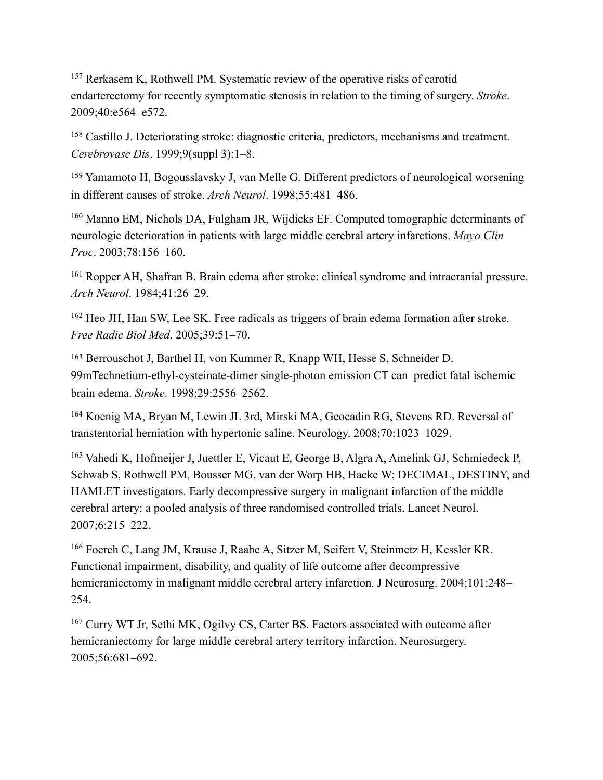<span id="page-45-0"></span> $157$  Rerkasem K, Rothwell PM. Systematic review of the operative risks of carotid endarterectomy for recently symptomatic stenosis in relation to the timing of surgery. *Stroke*. 2009;40:e564–e572.

<span id="page-45-1"></span><sup>[158](#page-22-7)</sup> Castillo J. Deteriorating stroke: diagnostic criteria, predictors, mechanisms and treatment. *Cerebrovasc Dis*. 1999;9(suppl 3):1–8.

<span id="page-45-2"></span><sup>[159](#page-22-8)</sup> Yamamoto H, Bogousslavsky J, van Melle G. Different predictors of neurological worsening in different causes of stroke. *Arch Neurol*. 1998;55:481–486.

<span id="page-45-3"></span><sup>[160](#page-22-9)</sup> Manno EM, Nichols DA, Fulgham JR, Wijdicks EF. Computed tomographic determinants of neurologic deterioration in patients with large middle cerebral artery infarctions. *Mayo Clin Proc*. 2003;78:156–160.

<span id="page-45-4"></span><sup>[161](#page-22-10)</sup> Ropper AH, Shafran B. Brain edema after stroke: clinical syndrome and intracranial pressure. *Arch Neurol*. 1984;41:26–29.

<span id="page-45-5"></span><sup>[162](#page-22-11)</sup> Heo JH, Han SW, Lee SK. Free radicals as triggers of brain edema formation after stroke. *Free Radic Biol Med*. 2005;39:51–70.

<span id="page-45-6"></span><sup>[163](#page-22-12)</sup> Berrouschot J, Barthel H, von Kummer R, Knapp WH, Hesse S, Schneider D. 99mTechnetium-ethyl-cysteinate-dimer single-photon emission CT can predict fatal ischemic brain edema. *Stroke*. 1998;29:2556–2562.

<span id="page-45-7"></span><sup>[164](#page-23-0)</sup> Koenig MA, Bryan M, Lewin JL 3rd, Mirski MA, Geocadin RG, Stevens RD. Reversal of transtentorial herniation with hypertonic saline. Neurology. 2008;70:1023–1029.

<span id="page-45-8"></span><sup>[165](#page-23-1)</sup> Vahedi K, Hofmeijer J, Juettler E, Vicaut E, George B, Algra A, Amelink GJ, Schmiedeck P, Schwab S, Rothwell PM, Bousser MG, van der Worp HB, Hacke W; DECIMAL, DESTINY, and HAMLET investigators. Early decompressive surgery in malignant infarction of the middle cerebral artery: a pooled analysis of three randomised controlled trials. Lancet Neurol. 2007;6:215–222.

<span id="page-45-9"></span><sup>[166](#page-23-2)</sup> Foerch C, Lang JM, Krause J, Raabe A, Sitzer M, Seifert V, Steinmetz H, Kessler KR. Functional impairment, disability, and quality of life outcome after decompressive hemicraniectomy in malignant middle cerebral artery infarction. J Neurosurg. 2004;101:248– 254.

<span id="page-45-10"></span><sup>[167](#page-23-3)</sup> Curry WT Jr, Sethi MK, Ogilvy CS, Carter BS. Factors associated with outcome after hemicraniectomy for large middle cerebral artery territory infarction. Neurosurgery. 2005;56:681–692.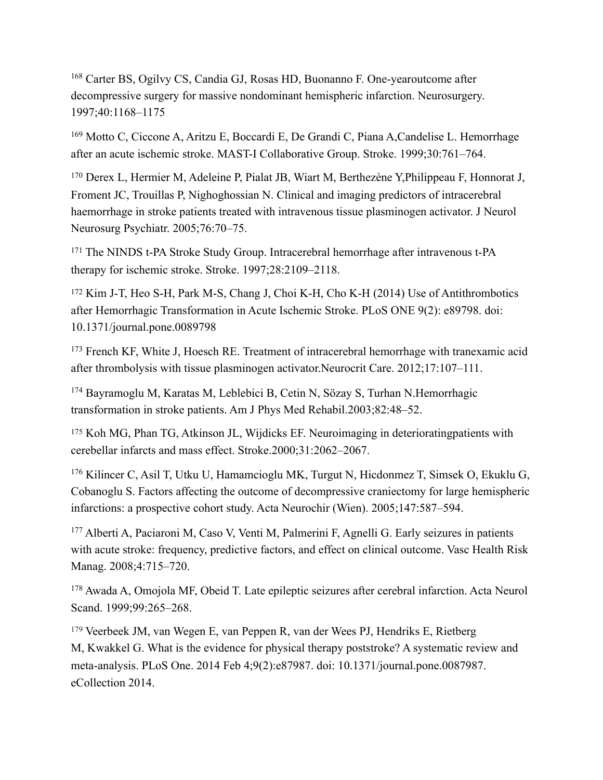<span id="page-46-0"></span><sup>[168](#page-23-4)</sup> Carter BS, Ogilvy CS, Candia GJ, Rosas HD, Buonanno F. One-yearoutcome after decompressive surgery for massive nondominant hemispheric infarction. Neurosurgery. 1997;40:1168–1175

<span id="page-46-1"></span><sup>[169](#page-23-5)</sup> Motto C, Ciccone A, Aritzu E, Boccardi E, De Grandi C, Piana A, Candelise L. Hemorrhage after an acute ischemic stroke. MAST-I Collaborative Group. Stroke. 1999;30:761–764.

<span id="page-46-2"></span><sup>[170](#page-23-6)</sup> Derex L, Hermier M, Adeleine P, Pialat JB, Wiart M, Berthezène Y, Philippeau F, Honnorat J, Froment JC, Trouillas P, Nighoghossian N. Clinical and imaging predictors of intracerebral haemorrhage in stroke patients treated with intravenous tissue plasminogen activator. J Neurol Neurosurg Psychiatr. 2005;76:70–75.

<span id="page-46-3"></span><sup>[171](#page-24-0)</sup> The NINDS t-PA Stroke Study Group. Intracerebral hemorrhage after intravenous t-PA therapy for ischemic stroke. Stroke. 1997;28:2109–2118.

<span id="page-46-4"></span><sup>[172](#page-24-1)</sup> Kim J-T, Heo S-H, Park M-S, Chang J, Choi K-H, Cho K-H (2014) Use of Antithrombotics after Hemorrhagic Transformation in Acute Ischemic Stroke. PLoS ONE 9(2): e89798. doi: 10.1371/journal.pone.0089798

<span id="page-46-5"></span> $173$  French KF, White J, Hoesch RE. Treatment of intracerebral hemorrhage with tranexamic acid after thrombolysis with tissue plasminogen activator.Neurocrit Care. 2012;17:107–111.

<span id="page-46-6"></span><sup>[174](#page-24-3)</sup> Bayramoglu M, Karatas M, Leblebici B, Cetin N, Sözay S, Turhan N.Hemorrhagic transformation in stroke patients. Am J Phys Med Rehabil.2003;82:48–52.

<span id="page-46-7"></span><sup>[175](#page-24-4)</sup> Koh MG, Phan TG, Atkinson JL, Wijdicks EF. Neuroimaging in deterioratingpatients with cerebellar infarcts and mass effect. Stroke.2000;31:2062–2067.

<span id="page-46-8"></span> $176$  Kilincer C, Asil T, Utku U, Hamamcioglu MK, Turgut N, Hicdonmez T, Simsek O, Ekuklu G, Cobanoglu S. Factors affecting the outcome of decompressive craniectomy for large hemispheric infarctions: a prospective cohort study. Acta Neurochir (Wien). 2005;147:587–594.

<span id="page-46-9"></span><sup>[177](#page-24-6)</sup> Alberti A, Paciaroni M, Caso V, Venti M, Palmerini F, Agnelli G. Early seizures in patients with acute stroke: frequency, predictive factors, and effect on clinical outcome. Vasc Health Risk Manag. 2008;4:715–720.

<span id="page-46-10"></span><sup>[178](#page-24-7)</sup> Awada A, Omojola MF, Obeid T. Late epileptic seizures after cerebral infarction. Acta Neurol Scand. 1999:99:265-268.

<span id="page-46-11"></span><sup>179</sup> [Veerbeek JM,](http://www.ncbi.nlm.nih.gov/pubmed/?term=Veerbeek%2520JM%255BAuthor%255D&cauthor=true&cauthor_uid=24505342) [van Wegen E](http://www.ncbi.nlm.nih.gov/pubmed/?term=van%2520Wegen%2520E%255BAuthor%255D&cauthor=true&cauthor_uid=24505342), [van Peppen R,](http://www.ncbi.nlm.nih.gov/pubmed/?term=van%2520Peppen%2520R%255BAuthor%255D&cauthor=true&cauthor_uid=24505342) [van der Wees PJ](http://www.ncbi.nlm.nih.gov/pubmed/?term=van%2520der%2520Wees%2520PJ%255BAuthor%255D&cauthor=true&cauthor_uid=24505342), [Hendriks E,](http://www.ncbi.nlm.nih.gov/pubmed/?term=Hendriks%2520E%255BAuthor%255D&cauthor=true&cauthor_uid=24505342) Rietberg [M,](http://www.ncbi.nlm.nih.gov/pubmed/?term=Rietberg%2520M%255BAuthor%255D&cauthor=true&cauthor_uid=24505342) [Kwakkel G.](http://www.ncbi.nlm.nih.gov/pubmed/?term=Kwakkel%2520G%255BAuthor%255D&cauthor=true&cauthor_uid=24505342) What is the evidence for physical therapy poststroke? A systematic review and meta-analysis. [PLoS One.](http://www.ncbi.nlm.nih.gov/pubmed/24505342) 2014 Feb 4;9(2):e87987. doi: 10.1371/journal.pone.0087987. eCollection 2014.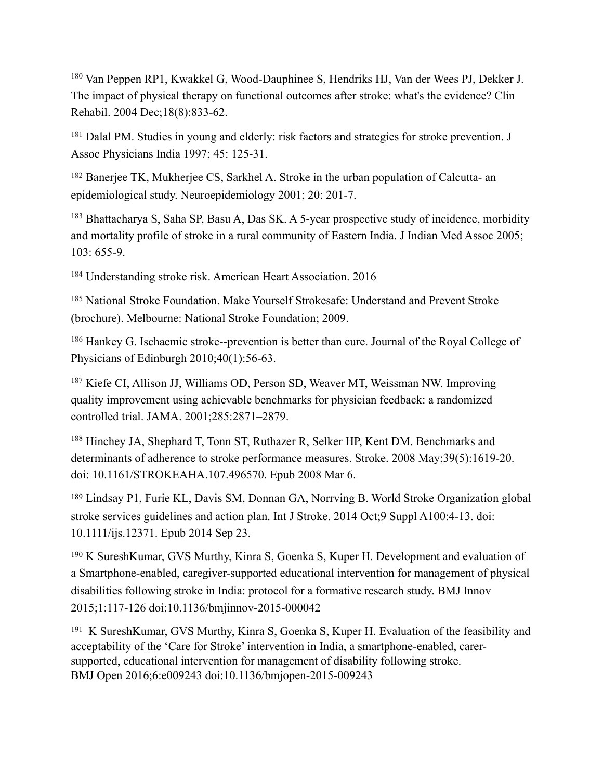<span id="page-47-0"></span><sup>180</sup> [Van Peppen RP](http://www.ncbi.nlm.nih.gov/pubmed/?term=Van%2520Peppen%2520RP%255BAuthor%255D&cauthor=true&cauthor_uid=15609840)1, [Kwakkel G](http://www.ncbi.nlm.nih.gov/pubmed/?term=Kwakkel%2520G%255BAuthor%255D&cauthor=true&cauthor_uid=15609840), [Wood-Dauphinee S](http://www.ncbi.nlm.nih.gov/pubmed/?term=Wood-Dauphinee%2520S%255BAuthor%255D&cauthor=true&cauthor_uid=15609840), [Hendriks HJ,](http://www.ncbi.nlm.nih.gov/pubmed/?term=Hendriks%2520HJ%255BAuthor%255D&cauthor=true&cauthor_uid=15609840) [Van der Wees PJ](http://www.ncbi.nlm.nih.gov/pubmed/?term=Van%2520der%2520Wees%2520PJ%255BAuthor%255D&cauthor=true&cauthor_uid=15609840), [Dekker J](http://www.ncbi.nlm.nih.gov/pubmed/?term=Dekker%2520J%255BAuthor%255D&cauthor=true&cauthor_uid=15609840). The impact of physical therapy on functional outcomes after stroke: what's the evidence? [Clin](http://www.ncbi.nlm.nih.gov/pubmed/15609840)  [Rehabil.](http://www.ncbi.nlm.nih.gov/pubmed/15609840) 2004 Dec;18(8):833-62.

<span id="page-47-1"></span><sup>[181](#page-26-0)</sup> Dalal PM. Studies in young and elderly: risk factors and strategies for stroke prevention. J Assoc Physicians India 1997; 45: 125-31.

<span id="page-47-2"></span><sup>[182](#page-26-1)</sup> Banerjee TK, Mukherjee CS, Sarkhel A. Stroke in the urban population of Calcutta- an epidemiological study. Neuroepidemiology 2001; 20: 201-7.

<span id="page-47-3"></span><sup>[183](#page-26-2)</sup> Bhattacharya S, Saha SP, Basu A, Das SK. A 5-year prospective study of incidence, morbidity and mortality profile of stroke in a rural community of Eastern India. J Indian Med Assoc 2005; 103: 655-9.

<span id="page-47-4"></span><sup>[184](#page-26-3)</sup> Understanding stroke risk. American Heart Association. 2016

<span id="page-47-5"></span><sup>[185](#page-26-4)</sup> National Stroke Foundation. Make Yourself Strokesafe: Understand and Prevent Stroke (brochure). Melbourne: National Stroke Foundation; 2009.

<span id="page-47-6"></span><sup>[186](#page-26-5)</sup> Hankey G. Ischaemic stroke--prevention is better than cure. Journal of the Royal College of Physicians of Edinburgh 2010;40(1):56-63.

<span id="page-47-7"></span> $187$  Kiefe CI, Allison JJ, Williams OD, Person SD, Weaver MT, Weissman NW. Improving quality improvement using achievable benchmarks for physician feedback: a randomized controlled trial. JAMA. 2001;285:2871–2879.

<span id="page-47-8"></span><sup>[188](#page-28-1)</sup> Hinchey JA, Shephard T, Tonn ST, Ruthazer R, Selker HP, Kent DM. Benchmarks and determinants of adherence to stroke performance measures. Stroke. 2008 May;39(5):1619-20. doi: 10.1161/STROKEAHA.107.496570. Epub 2008 Mar 6.

<span id="page-47-9"></span><sup>[189](#page-28-2)</sup> Lindsay P1, Furie KL, Davis SM, Donnan GA, Norrving B. World Stroke Organization global stroke services guidelines and action plan. Int J Stroke. 2014 Oct;9 Suppl A100:4-13. doi: 10.1111/ijs.12371. Epub 2014 Sep 23.

<span id="page-47-10"></span><sup>[190](#page-28-3)</sup> K SureshKumar, GVS Murthy, Kinra S, Goenka S, Kuper H. Development and evaluation of a Smartphone-enabled, caregiver-supported educational intervention for management of physical disabilities following stroke in India: protocol for a formative research study. BMJ Innov 2015;1:117-126 doi:10.1136/bmjinnov-2015-000042

<span id="page-47-11"></span><sup>[191](#page-28-4)</sup> K SureshKumar, GVS Murthy, Kinra S, Goenka S, Kuper H. Evaluation of the feasibility and acceptability of the 'Care for Stroke' intervention in India, a smartphone-enabled, carersupported, educational intervention for management of disability following stroke. BMJ Open 2016;6:e009243 doi:10.1136/bmjopen-2015-009243